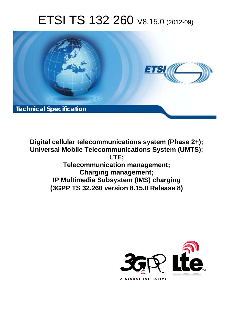# ETSI TS 132 260 V8.15.0 (2012-09)



**Digital cellular telecommunications system (Phase 2+); Universal Mobile Telecommunications System (UMTS); LTE; Telecommunication management; Charging management; IP Multimedia Subsystem (IMS) charging (3GPP TS 32.260 version 8.15.0 Release 8)** 

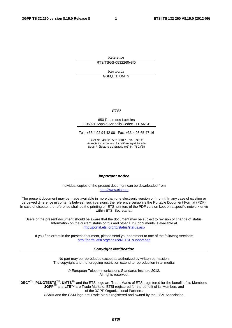Reference RTS/TSGS-0532260v8f0

> Keywords GSM,LTE,UMTS

#### *ETSI*

#### 650 Route des Lucioles F-06921 Sophia Antipolis Cedex - FRANCE

Tel.: +33 4 92 94 42 00 Fax: +33 4 93 65 47 16

Siret N° 348 623 562 00017 - NAF 742 C Association à but non lucratif enregistrée à la Sous-Préfecture de Grasse (06) N° 7803/88

#### *Important notice*

Individual copies of the present document can be downloaded from: [http://www.etsi.org](http://www.etsi.org/)

The present document may be made available in more than one electronic version or in print. In any case of existing or perceived difference in contents between such versions, the reference version is the Portable Document Format (PDF). In case of dispute, the reference shall be the printing on ETSI printers of the PDF version kept on a specific network drive within ETSI Secretariat.

Users of the present document should be aware that the document may be subject to revision or change of status. Information on the current status of this and other ETSI documents is available at <http://portal.etsi.org/tb/status/status.asp>

If you find errors in the present document, please send your comment to one of the following services: [http://portal.etsi.org/chaircor/ETSI\\_support.asp](http://portal.etsi.org/chaircor/ETSI_support.asp)

#### *Copyright Notification*

No part may be reproduced except as authorized by written permission. The copyright and the foregoing restriction extend to reproduction in all media.

> © European Telecommunications Standards Institute 2012. All rights reserved.

**DECT**TM, **PLUGTESTS**TM, **UMTS**TM and the ETSI logo are Trade Marks of ETSI registered for the benefit of its Members. **3GPP**TM and **LTE**™ are Trade Marks of ETSI registered for the benefit of its Members and of the 3GPP Organizational Partners.

**GSM**® and the GSM logo are Trade Marks registered and owned by the GSM Association.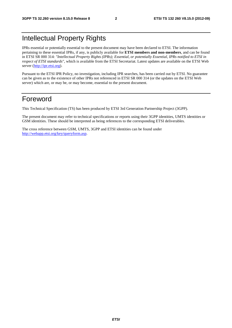# Intellectual Property Rights

IPRs essential or potentially essential to the present document may have been declared to ETSI. The information pertaining to these essential IPRs, if any, is publicly available for **ETSI members and non-members**, and can be found in ETSI SR 000 314: *"Intellectual Property Rights (IPRs); Essential, or potentially Essential, IPRs notified to ETSI in respect of ETSI standards"*, which is available from the ETSI Secretariat. Latest updates are available on the ETSI Web server [\(http://ipr.etsi.org](http://webapp.etsi.org/IPR/home.asp)).

Pursuant to the ETSI IPR Policy, no investigation, including IPR searches, has been carried out by ETSI. No guarantee can be given as to the existence of other IPRs not referenced in ETSI SR 000 314 (or the updates on the ETSI Web server) which are, or may be, or may become, essential to the present document.

### Foreword

This Technical Specification (TS) has been produced by ETSI 3rd Generation Partnership Project (3GPP).

The present document may refer to technical specifications or reports using their 3GPP identities, UMTS identities or GSM identities. These should be interpreted as being references to the corresponding ETSI deliverables.

The cross reference between GSM, UMTS, 3GPP and ETSI identities can be found under [http://webapp.etsi.org/key/queryform.asp.](http://webapp.etsi.org/key/queryform.asp)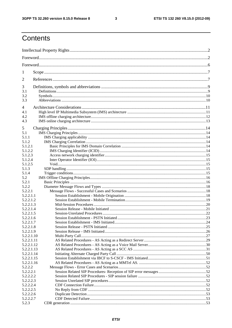#### $\mathbf{3}$

# Contents

| 1<br>$\overline{2}$<br>3<br>3.1<br>3.2<br>3.3<br>4<br>4.1<br>4.2<br>4.3<br>5<br>5.1<br>5.1.1<br>5.1.2<br>5.1.2.1<br>5.1.2.2<br>5.1.2.3<br>5.1.2.4<br>5.1.2.5<br>5.1.3<br>5.1.4<br>5.2<br>5.2.1<br>5.2.2<br>5.2.2.1<br>5.2.2.1.1<br>5.2.2.1.2<br>5.2.2.1.3<br>5.2.2.1.4<br>5.2.2.1.5<br>5.2.2.1.6<br>5.2.2.1.7<br>5.2.2.1.8<br>5.2.2.1.9<br>5.2.2.1.10<br>5.2.2.1.11<br>5.2.2.1.12<br>5.2.2.1.13<br>5.2.2.1.14<br>5.2.2.1.15<br>5.2.2.1.16<br>5.2.2.2<br>5.2.2.2.1<br>5.2.2.2.2<br>5.2.2.2.3<br>5.2.2.2.4<br>5.2.2.2.5<br>5.2.2.2.6<br>5.2.2.2.7<br>5.2.3 |  |  |
|----------------------------------------------------------------------------------------------------------------------------------------------------------------------------------------------------------------------------------------------------------------------------------------------------------------------------------------------------------------------------------------------------------------------------------------------------------------------------------------------------------------------------------------------------------|--|--|
|                                                                                                                                                                                                                                                                                                                                                                                                                                                                                                                                                          |  |  |
|                                                                                                                                                                                                                                                                                                                                                                                                                                                                                                                                                          |  |  |
|                                                                                                                                                                                                                                                                                                                                                                                                                                                                                                                                                          |  |  |
|                                                                                                                                                                                                                                                                                                                                                                                                                                                                                                                                                          |  |  |
|                                                                                                                                                                                                                                                                                                                                                                                                                                                                                                                                                          |  |  |
|                                                                                                                                                                                                                                                                                                                                                                                                                                                                                                                                                          |  |  |
|                                                                                                                                                                                                                                                                                                                                                                                                                                                                                                                                                          |  |  |
|                                                                                                                                                                                                                                                                                                                                                                                                                                                                                                                                                          |  |  |
|                                                                                                                                                                                                                                                                                                                                                                                                                                                                                                                                                          |  |  |
|                                                                                                                                                                                                                                                                                                                                                                                                                                                                                                                                                          |  |  |
|                                                                                                                                                                                                                                                                                                                                                                                                                                                                                                                                                          |  |  |
|                                                                                                                                                                                                                                                                                                                                                                                                                                                                                                                                                          |  |  |
|                                                                                                                                                                                                                                                                                                                                                                                                                                                                                                                                                          |  |  |
|                                                                                                                                                                                                                                                                                                                                                                                                                                                                                                                                                          |  |  |
|                                                                                                                                                                                                                                                                                                                                                                                                                                                                                                                                                          |  |  |
|                                                                                                                                                                                                                                                                                                                                                                                                                                                                                                                                                          |  |  |
|                                                                                                                                                                                                                                                                                                                                                                                                                                                                                                                                                          |  |  |
|                                                                                                                                                                                                                                                                                                                                                                                                                                                                                                                                                          |  |  |
|                                                                                                                                                                                                                                                                                                                                                                                                                                                                                                                                                          |  |  |
|                                                                                                                                                                                                                                                                                                                                                                                                                                                                                                                                                          |  |  |
|                                                                                                                                                                                                                                                                                                                                                                                                                                                                                                                                                          |  |  |
|                                                                                                                                                                                                                                                                                                                                                                                                                                                                                                                                                          |  |  |
|                                                                                                                                                                                                                                                                                                                                                                                                                                                                                                                                                          |  |  |
|                                                                                                                                                                                                                                                                                                                                                                                                                                                                                                                                                          |  |  |
|                                                                                                                                                                                                                                                                                                                                                                                                                                                                                                                                                          |  |  |
|                                                                                                                                                                                                                                                                                                                                                                                                                                                                                                                                                          |  |  |
|                                                                                                                                                                                                                                                                                                                                                                                                                                                                                                                                                          |  |  |
|                                                                                                                                                                                                                                                                                                                                                                                                                                                                                                                                                          |  |  |
|                                                                                                                                                                                                                                                                                                                                                                                                                                                                                                                                                          |  |  |
|                                                                                                                                                                                                                                                                                                                                                                                                                                                                                                                                                          |  |  |
|                                                                                                                                                                                                                                                                                                                                                                                                                                                                                                                                                          |  |  |
|                                                                                                                                                                                                                                                                                                                                                                                                                                                                                                                                                          |  |  |
|                                                                                                                                                                                                                                                                                                                                                                                                                                                                                                                                                          |  |  |
|                                                                                                                                                                                                                                                                                                                                                                                                                                                                                                                                                          |  |  |
|                                                                                                                                                                                                                                                                                                                                                                                                                                                                                                                                                          |  |  |
|                                                                                                                                                                                                                                                                                                                                                                                                                                                                                                                                                          |  |  |
|                                                                                                                                                                                                                                                                                                                                                                                                                                                                                                                                                          |  |  |
|                                                                                                                                                                                                                                                                                                                                                                                                                                                                                                                                                          |  |  |
|                                                                                                                                                                                                                                                                                                                                                                                                                                                                                                                                                          |  |  |
|                                                                                                                                                                                                                                                                                                                                                                                                                                                                                                                                                          |  |  |
|                                                                                                                                                                                                                                                                                                                                                                                                                                                                                                                                                          |  |  |
|                                                                                                                                                                                                                                                                                                                                                                                                                                                                                                                                                          |  |  |
|                                                                                                                                                                                                                                                                                                                                                                                                                                                                                                                                                          |  |  |
|                                                                                                                                                                                                                                                                                                                                                                                                                                                                                                                                                          |  |  |
|                                                                                                                                                                                                                                                                                                                                                                                                                                                                                                                                                          |  |  |
|                                                                                                                                                                                                                                                                                                                                                                                                                                                                                                                                                          |  |  |
|                                                                                                                                                                                                                                                                                                                                                                                                                                                                                                                                                          |  |  |
|                                                                                                                                                                                                                                                                                                                                                                                                                                                                                                                                                          |  |  |
|                                                                                                                                                                                                                                                                                                                                                                                                                                                                                                                                                          |  |  |
|                                                                                                                                                                                                                                                                                                                                                                                                                                                                                                                                                          |  |  |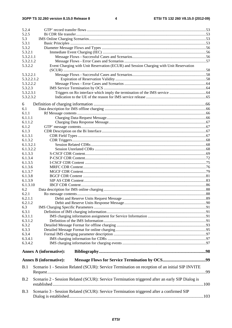$\overline{\mathbf{4}}$ 

| 5.2.4       |                                                                                                 |    |
|-------------|-------------------------------------------------------------------------------------------------|----|
| 5.2.5       |                                                                                                 |    |
| 5.3         |                                                                                                 |    |
| 5.3.1       |                                                                                                 |    |
| 5.3.2       |                                                                                                 |    |
| 5.3.2.1     |                                                                                                 |    |
| 5.3.2.1.1   |                                                                                                 |    |
| 5.3.2.1.2   |                                                                                                 |    |
| 5.3.2.2     | Event Charging with Unit Reservation (ECUR) and Session Charging with Unit Reservation          |    |
|             |                                                                                                 |    |
| 5.3.2.2.1   |                                                                                                 |    |
| 5.3.2.2.1.2 |                                                                                                 |    |
| 5.3.2.2.2   |                                                                                                 |    |
| 5.3.2.3     |                                                                                                 |    |
| 5.3.2.3.1   |                                                                                                 |    |
| 5.3.2.3.2   |                                                                                                 |    |
| 6           |                                                                                                 |    |
| 6.1         |                                                                                                 |    |
| 6.1.1       |                                                                                                 |    |
| 6.1.1.1     |                                                                                                 |    |
| 6.1.1.2     |                                                                                                 |    |
| 6.1.2       |                                                                                                 |    |
| 6.1.3       |                                                                                                 |    |
| 6.1.3.1     |                                                                                                 |    |
| 6.1.3.2     |                                                                                                 |    |
| 6.1.3.2.1   |                                                                                                 |    |
| 6.1.3.2.2   |                                                                                                 |    |
| 6.1.3.3     |                                                                                                 |    |
| 6.1.3.4     |                                                                                                 |    |
| 6.1.3.5     |                                                                                                 |    |
| 6.1.3.6     |                                                                                                 |    |
| 6.1.3.7     |                                                                                                 |    |
| 6.1.3.8     |                                                                                                 |    |
| 6.1.3.9     |                                                                                                 |    |
| 6.1.3.10    |                                                                                                 |    |
| 6.2         |                                                                                                 |    |
| 6.2.1       |                                                                                                 |    |
| 6.2.1.1     |                                                                                                 |    |
| 6.2.1.2     |                                                                                                 |    |
| 6.3         |                                                                                                 |    |
| 6.3.1       |                                                                                                 |    |
| 6.3.1.1     |                                                                                                 |    |
| 6.3.1.2     |                                                                                                 |    |
| 6.3.2       |                                                                                                 |    |
| 6.3.3       |                                                                                                 |    |
| 6.3.4       |                                                                                                 |    |
| 6.3.4.1     |                                                                                                 |    |
| 6.3.4.2     |                                                                                                 |    |
|             | Annex A (informative):                                                                          |    |
|             | <b>Annex B</b> (informative):                                                                   |    |
|             |                                                                                                 |    |
| B.1         | Scenario 1 - Session Related (SCUR): Service Termination on reception of an initial SIP INVITE  |    |
|             |                                                                                                 | 99 |
| B.2         | Scenario 2 - Session Related (SCUR): Service Termination triggered after an early SIP Dialog is |    |
|             |                                                                                                 |    |
|             |                                                                                                 |    |
| B.3         | Scenario 3 - Session Related (SCUR): Service Termination triggered after a confirmed SIP        |    |
|             |                                                                                                 |    |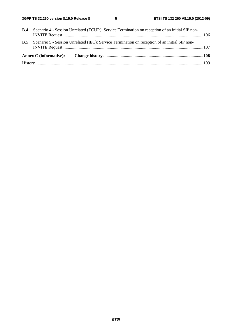| <b>B.5</b> | Scenario 5 - Session Unrelated (IEC): Service Termination on reception of an initial SIP non-      |  |
|------------|----------------------------------------------------------------------------------------------------|--|
|            | B.4 Scenario 4 - Session Unrelated (ECUR): Service Termination on reception of an initial SIP non- |  |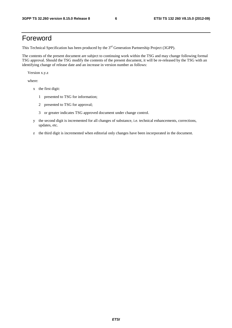## Foreword

This Technical Specification has been produced by the 3<sup>rd</sup> Generation Partnership Project (3GPP).

The contents of the present document are subject to continuing work within the TSG and may change following formal TSG approval. Should the TSG modify the contents of the present document, it will be re-released by the TSG with an identifying change of release date and an increase in version number as follows:

Version x.y.z

where:

- x the first digit:
	- 1 presented to TSG for information;
	- 2 presented to TSG for approval;
	- 3 or greater indicates TSG approved document under change control.
- y the second digit is incremented for all changes of substance, i.e. technical enhancements, corrections, updates, etc.
- z the third digit is incremented when editorial only changes have been incorporated in the document.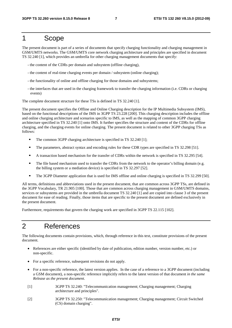### 1 Scope

The present document is part of a series of documents that specify charging functionality and charging management in GSM/UMTS networks. The GSM/UMTS core network charging architecture and principles are specified in document TS 32.240 [1], which provides an umbrella for other charging management documents that specify:

- the content of the CDRs per domain and subsystem (offline charging),
- the content of real-time charging events per domain / subsystem (online charging);
- the functionality of online and offline charging for those domains and subsystems;
- the interfaces that are used in the charging framework to transfer the charging information (i.e. CDRs or charging events)

The complete document structure for these TSs is defined in TS 32.240 [1].

The present document specifies the Offline and Online Charging description for the IP Multimedia Subsystem (IMS), based on the functional descriptions of the IMS in 3GPP TS 23.228 [200]. This charging description includes the offline and online charging architecture and scenarios specific to IMS, as well as the mapping of common 3GPP charging architecture specified in TS 32.240 [1] onto IMS. It further specifies the structure and content of the CDRs for offline charging, and the charging events for online charging. The present document is related to other 3GPP charging TSs as follows:

- The common 3GPP charging architecture is specified in TS 32.240 [1];<br>The parameters abstract syntax and encoding rules for these CDR types
- The parameters, abstract syntax and encoding rules for these CDR types are specified in TS 32.298 [51].<br>A transaction based mechanism for the transfer of CDRs within the network is specified in TS 32.295 [54]
- A transaction based mechanism for the transfer of CDRs within the network is specified in TS 32.295 [54].<br>The file based mechanism used to transfer the CDRs from the network to the operator's billing domain (e.g.
- The file based mechanism used to transfer the CDRs from the network to the operator's billing domain (e.g. the billing system or a mediation device) is specified in TS 32.297 [52].
- The 3GPP Diameter application that is used for IMS offline and online charging is specified in TS 32.299 [50].

All terms, definitions and abbreviations used in the present document, that are common across 3GPP TSs, are defined in the 3GPP Vocabulary, TR 21.905 [100]. Those that are common across charging management in GSM/UMTS domains, services or subsystems are provided in the umbrella document TS 32.240 [1] and are copied into clause 3 of the present document for ease of reading. Finally, those items that are specific to the present document are defined exclusively in the present document.

Furthermore, requirements that govern the charging work are specified in 3GPP TS 22.115 [102].

# 2 References

The following documents contain provisions, which, through reference in this text, constitute provisions of the present document.

- References are either specific (identified by date of publication, edition number, version number, etc.) or non-specific.
- For a specific reference, subsequent revisions do not apply.
- For a non-specific reference, the latest version applies. In the case of a reference to a 3GPP document (including a GSM document), a non-specific reference implicitly refers to the latest version of that document *in the same Release as the present document*.
- [1] 3GPP TS 32.240: "Telecommunication management; Charging management; Charging architecture and principles".
- [2] 3GPP TS 32.250: "Telecommunication management; Charging management; Circuit Switched (CS) domain charging".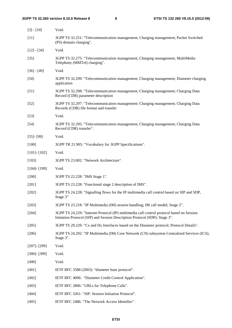| $[3] - [10]$      | Void.                                                                                                                                                                    |
|-------------------|--------------------------------------------------------------------------------------------------------------------------------------------------------------------------|
| $[11]$            | 3GPP TS 32.251: "Telecommunication management; Charging management; Packet Switched<br>(PS) domain charging".                                                            |
| $[12] - [34]$     | Void.                                                                                                                                                                    |
| $[35]$            | 3GPP TS 32.275: "Telecommunication management; Charging management; MultiMedia<br>Telephony (MMTel) charging".                                                           |
| $[36] - [49]$     | Void.                                                                                                                                                                    |
| $[50]$            | 3GPP TS 32.299: "Telecommunication management; Charging management; Diameter charging<br>application                                                                     |
| $[51]$            | 3GPP TS 32.298: "Telecommunication management; Charging management; Charging Data<br>Record (CDR) parameter description                                                  |
| $[52]$            | 3GPP TS 32.297: "Telecommunication management; Charging management; Charging Data<br>Records (CDR) file format and transfer                                              |
| $[53]$            | Void.                                                                                                                                                                    |
| $[54]$            | 3GPP TS 32.295: "Telecommunication management; Charging management; Charging Data<br>Record (CDR) transfer".                                                             |
| $[55]$ - [99]     | Void.                                                                                                                                                                    |
| $[100]$           | 3GPP TR 21.905: "Vocabulary for 3GPP Specifications".                                                                                                                    |
| $[101] - [102]$   | Void.                                                                                                                                                                    |
| $[103]$           | 3GPP TS 23.002: "Network Architecture".                                                                                                                                  |
| $[104]$ - $[199]$ | Void.                                                                                                                                                                    |
| $[200]$           | 3GPP TS 22.228: "IMS Stage 1".                                                                                                                                           |
| $[201]$           | 3GPP TS 23.228: "Functional stage 2 description of IMS".                                                                                                                 |
| $[202]$           | 3GPP TS 24.228: "Signalling flows for the IP multimedia call control based on SIP and SDP,<br>Stage 3"                                                                   |
| $[203]$           | 3GPP TS 23.218: "IP Multimedia (IM) session handling; IM call model; Stage 2".                                                                                           |
| $[204]$           | 3GPP TS 24.229: "Internet Protocol (IP) multimedia call control protocol based on Session<br>Initiation Protocol (SIP) and Session Description Protocol (SDP); Stage 3". |
| [205]             | 3GPP TS 29.229: "Cx and Dx Interfaces based on the Diameter protocol; Protocol Details".                                                                                 |
| $[206]$           | 3GPP TS 24.292: "IP Multimedia (IM) Core Network (CN) subsystem Centralized Services (ICS);<br>Stage 3".                                                                 |
| $[207]$ - $[299]$ | Void.                                                                                                                                                                    |
| $[300]$ - $[399]$ | Void.                                                                                                                                                                    |
| $[400]$           | Void.                                                                                                                                                                    |
| $[401]$           | IETF RFC 3588 (2003): "diameter base protocol".                                                                                                                          |
| $[402]$           | IETF RFC 4006: "Diameter Credit Control Application".                                                                                                                    |
| [403]             | IETF RFC 2806: "URLs for Telephone Calls".                                                                                                                               |
| [404]             | IETF RFC 3261: "SIP: Session Initiation Protocol".                                                                                                                       |
| [405]             | IETF RFC 2486: "The Network Access Identifier".                                                                                                                          |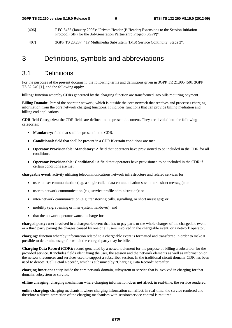- [406] RFC 3455 (January 2003): "Private Header (P-Header) Extensions to the Session Initiation Protocol (SIP) for the 3rd-Generation Partnership Project (3GPP)".
- [407] 3GPP TS 23.237: " IP Multimedia Subsystem (IMS) Service Continuity; Stage 2".

### 3 Definitions, symbols and abbreviations

### 3.1 Definitions

For the purposes of the present document, the following terms and definitions given in 3GPP TR 21.905 [50], 3GPP TS 32.240 [1], and the following apply:

**billing:** function whereby CDRs generated by the charging function are transformed into bills requiring payment.

**Billing Domain:** Part of the operator network, which is outside the core network that receives and processes charging information from the core network charging functions. It includes functions that can provide billing mediation and billing end applications.

**CDR field Categories:** the CDR fields are defined in the present document. They are divided into the following categories:

- **Mandatory:** field that shall be present in the CDR.
- **Conditional:** field that shall be present in a CDR if certain conditions are met.
- **Operator Provisionable: Mandatory:** A field that operators have provisioned to be included in the CDR for all conditions.
- **Operator Provisionable: Conditional:** A field that operators have provisioned to be included in the CDR if certain conditions are met.

**chargeable event:** activity utilizing telecommunications network infrastructure and related services for:

- user to user communication (e.g. a single call, a data communication session or a short message); or
- user to network communication (e.g. service profile administration); or
- inter-network communication (e.g. transferring calls, signalling, or short messages); or
- mobility (e.g. roaming or inter-system handover); and
- that the network operator wants to charge for.

**charged party:** user involved in a chargeable event that has to pay parts or the whole charges of the chargeable event, or a third party paying the charges caused by one or all users involved in the chargeable event, or a network operator.

**charging:** function whereby information related to a chargeable event is formatted and transferred in order to make it possible to determine usage for which the charged party may be billed.

**Charging Data Record (CDR):** record generated by a network element for the purpose of billing a subscriber for the provided service. It includes fields identifying the user, the session and the network elements as well as information on the network resources and services used to support a subscriber session. In the traditional circuit domain, CDR has been used to denote "Call Detail Record", which is subsumed by "Charging Data Record" hereafter.

**charging function:** entity inside the core network domain, subsystem or service that is involved in charging for that domain, subsystem or service.

**offline charging:** charging mechanism where charging information **does not** affect, in real-time, the service rendered

**online charging:** charging mechanism where charging information can affect, in real-time, the service rendered and therefore a direct interaction of the charging mechanism with session/service control is required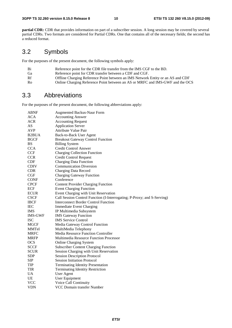**partial CDR:** CDR that provides information on part of a subscriber session. A long session may be covered by several partial CDRs. Two formats are considered for Partial CDRs. One that contains all of the necessary fields; the second has a reduced format.

## 3.2 Symbols

For the purposes of the present document, the following symbols apply:

| Bi             | Reference point for the CDR file transfer from the IMS CGF to the BD.           |
|----------------|---------------------------------------------------------------------------------|
| Ga             | Reference point for CDR transfer between a CDF and CGF.                         |
| Rf             | Offline Charging Reference Point between an IMS Network Entity or an AS and CDF |
| R <sub>0</sub> | Online Charging Reference Point between an AS or MRFC and IMS-GWF and the OCS   |

### 3.3 Abbreviations

For the purposes of the present document, the following abbreviations apply:

| ABNF           | <b>Augmented Backus-Naur Form</b>                                       |
|----------------|-------------------------------------------------------------------------|
| <b>ACA</b>     | <b>Accounting Answer</b>                                                |
| <b>ACR</b>     | <b>Accounting Request</b>                                               |
| AS             | <b>Application Server</b>                                               |
| <b>AVP</b>     | Attribute Value Pair                                                    |
| <b>B2BUA</b>   | Back-to-Back User Agent                                                 |
| <b>BGCF</b>    | <b>Breakout Gateway Control Function</b>                                |
| <b>BS</b>      | <b>Billing System</b>                                                   |
| <b>CCA</b>     | Credit Control Answer                                                   |
| <b>CCF</b>     | <b>Charging Collection Function</b>                                     |
| <b>CCR</b>     | <b>Credit Control Request</b>                                           |
| <b>CDF</b>     | <b>Charging Data Function</b>                                           |
| <b>CDIV</b>    | <b>Communication Diversion</b>                                          |
| <b>CDR</b>     | Charging Data Record                                                    |
| CGF            | <b>Charging Gateway Function</b>                                        |
| <b>CONF</b>    | Conference                                                              |
| <b>CPCF</b>    | <b>Content Provider Charging Function</b>                               |
| ECF            | <b>Event Charging Function</b>                                          |
| <b>ECUR</b>    | Event Charging with Unit Reservation                                    |
| <b>CSCF</b>    | Call Session Control Function (I-Interrogating; P-Proxy; and S-Serving) |
| <b>IBCF</b>    | <b>Interconnect Border Control Function</b>                             |
| <b>IEC</b>     | <b>Immediate Event Charging</b>                                         |
| <b>IMS</b>     | IP Multimedia Subsystem                                                 |
| <b>IMS-GWF</b> | <b>IMS</b> Gateway Function                                             |
| <b>ISC</b>     | <b>IMS</b> Service Control                                              |
| <b>MGCF</b>    | Media Gateway Control Function                                          |
| <b>MMTel</b>   | MultiMedia Telephony                                                    |
| <b>MRFC</b>    | <b>Media Resource Function Controller</b>                               |
| <b>MRFP</b>    | Multimedia Resource Function Processor                                  |
| <b>OCS</b>     | <b>Online Charging System</b>                                           |
| <b>SCCF</b>    | <b>Subscriber Content Charging Function</b>                             |
| <b>SCUR</b>    | Session Charging with Unit Reservation                                  |
| <b>SDP</b>     | <b>Session Description Protocol</b>                                     |
| SIP            | <b>Session Initiation Protocol</b>                                      |
| TIP            | <b>Terminating Identity Presentation</b>                                |
| <b>TIR</b>     | <b>Terminating Identity Restriction</b>                                 |
| <b>UA</b>      | <b>User Agent</b>                                                       |
| UE             | User Equipment                                                          |
| <b>VCC</b>     | Voice Call Continuity                                                   |
| <b>VDN</b>     | VCC Domain transfer Number                                              |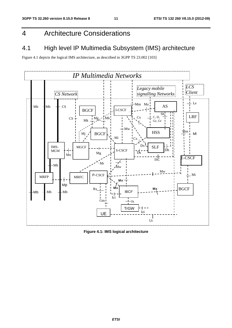# 4 Architecture Considerations

# 4.1 High level IP Multimedia Subsystem (IMS) architecture

Figure 4.1 depicts the logical IMS architecture, as described in 3GPP TS 23.002 [103]



**Figure 4.1: IMS logical architecture**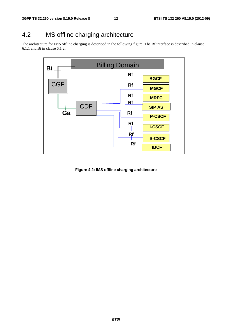# 4.2 IMS offline charging architecture

The architecture for IMS offline charging is described in the following figure. The Rf interface is described in clause 6.1.1 and Bi in clause 6.1.2.



**Figure 4.2: IMS offline charging architecture**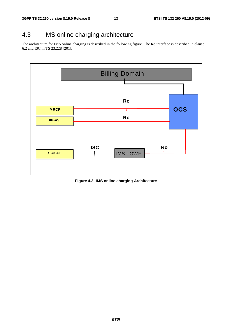# 4.3 IMS online charging architecture

The architecture for IMS online charging is described in the following figure. The Ro interface is described in clause 6.2 and ISC in TS 23.228 [201].



**Figure 4.3: IMS online charging Architecture**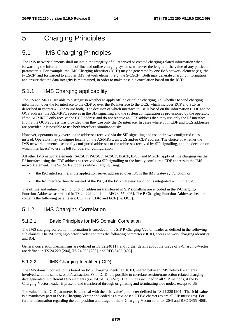# 5 Charging Principles

### 5.1 IMS Charging Principles

The IMS network elements shall maintain the integrity of all received or created charging-related information when forwarding the information to the offline and online charging systems, whatever the length of the value of any particular parameter is. For example, the IMS Charging Identifier (ICID) may be generated by one IMS network element (e.g. the P-CSCF) and forwarded to another IMS network element (e.g. the S-CSCF). Both may generate charging information and ensure that the data integrity is maintained, in order to make possible correlation based on the ICID.

### 5.1.1 IMS Charging applicability

The AS and MRFC are able to distinguish whether to apply offline or online charging, i.e. whether to send charging information over the Rf interface to the CDF or over the Ro interface to the OCS, which includes ECF and SCF as described in chapter 4.3 (or to use both). The decision of which interface to use is based on the information (CDF and/or OCS address) the AS/MRFC receives in the SIP signalling and the system configuration as provisioned by the operator. If the AS/MRFC only receive the CDF address and do not receive an OCS address then they use only the Rf interface. If only the OCS address was provided then they use only the Ro interface. In cases where both CDF and OCS addresses are provided it is possible to use both interfaces simultaneously.

However, operators may overrule the addresses received via the SIP signalling and use their own configured rules instead. Operators may configure locally on the AS/MRFC an OCS and/or CDF address. The choice of whether the IMS network elements use locally configured addresses or the addresses received by SIP signalling, and the decision on which interface(s) to use, is left for operator configuration.

All other IMS network elements (S-CSCF, P-CSCF, I-CSCF, BGCF, IBCF, and MGCF) apply offline charging via the Rf interface using the CDF address as received via SIP signalling or the locally configured CDF address in the IMS network element. The S-CSCF supports online charging using:

- the ISC interface, i.e. if the application server addressed over ISC is the IMS Gateway Function, or
- the Ro interface directly instead of the ISC, if the IMS Gateway Function is integrated within the S-CSCF.

The offline and online charging function addresses transferred in SIP signalling are encoded in the P-Charging-Function-Addresses as defined in TS 24.229 [204] and RFC 3455 [406]. The P-Charging-Function-Addresses header contains the following parameters: CCF (i.e. CDF) and ECF (i.e. OCS).

### 5.1.2 IMS Charging Correlation

#### 5.1.2.1 Basic Principles for IMS Domain Correlation

The IMS charging correlation information is encoded in the SIP P-Charging-Vector header as defined in the following sub clauses. The P-Charging-Vector header contains the following parameters: ICID, access network charging identifier and IOI.

General correlation mechanisms are defined in TS 32.240 [1], and further details about the usage of P-Charging-Vector are defined in TS 24.229 [204], TS 24.292 [206], and RFC 3455 [406].

### 5.1.2.2 IMS Charging Identifier (ICID)

The IMS domain correlation is based on IMS Charging Identifier (ICID) shared between IMS network elements involved with the same session/transaction. With ICID it is possible to correlate session/transaction related charging data generated in different IMS elements (i.e. x-CSCFs, ASs'). The ICID is included in all SIP methods, if the P-Charging-Vector header is present, and transferred through originating and terminating side nodes, except to UE.

The value of the ICID parameter is identical with the 'icid-value' parameter defined in TS 24.229 [204]. The 'icid-value' is a mandatory part of the P-Charging-Vector and coded as a text-based UTF-8 charset (as are all SIP messages). For further information regarding the composition and usage of the P-Charging-Vector refer to [204] and RFC 3455 [406].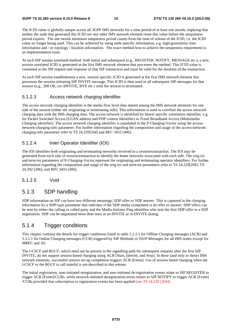#### **3GPP TS 32.260 version 8.15.0 Release 8 15 ETSI TS 132 260 V8.15.0 (2012-09)**

The ICID value is globally unique across all 3GPP IMS networks for a time period of at least one month, implying that neither the node that generated this ICID nor any other IMS network element reuse this value before the uniqueness period expires. The one month minimum uniqueness period counts from the time of release of the ICID, i.e. the ICID value no longer being used. This can be achieved by using node specific information, e.g. high-granularity time information and / or topology / location information. The exact method how to achieve the uniqueness requirement is an implementation issue.

At each SIP session unrelated method, both initial and subsequent (e.g., REGISTER, NOTIFY, MESSAGE etc.), a new, session unrelated ICID is generated at the first IMS network element that processes the method. This ICID value is contained in the SIP request and response of that SIP transaction and must be valid for the duration of the transaction.

At each SIP session establishment a new, session specific ICID is generated at the first IMS network element that processes the session-initiating SIP INVITE message. This ICID is then used in all subsequent SIP messages for that session (e.g., 200 OK, (re-)INVITE, BYE etc.) until the session is terminated.

### 5.1.2.3 Access network charging identifier

The access network charging identifier is the media flow level data shared among the IMS network elements for one side of the session (either the originating or terminating side). This information is used to correlate the access network charging data with the IMS charging data. The access network is identified by bearer specific correlation identifier, e.g. for Packet Switched Access (GGSN address and PDP context Identifier) or Fixed Broadband Access (Multimedia Charging Identifier). The access network charging identifier is populated in the P-Charging-Vector using the accessnetwork-charging-info parameter. For further information regarding the composition and usage of the access-networkcharging-info parameter refer to TS 24.229[204] and RFC 3455 [406].

### 5.1.2.4 Inter Operator Identifier (IOI)

The IOI identifies both originating and terminating networks involved in a session/transaction. The IOI may be generated from each side of session/transaction to identify the home networks associated with each side. The orig-ioi and term-ioi parameters of P-Charging-Vector represent the originating and terminating operator identifiers. For further information regarding the composition and usage of the orig-ioi and term-ioi parameters refer to TS 24.229[204], TS 24.292 [206], and RFC 3455 [406].

#### 5.1.2.5 Void

### 5.1.3 SDP handling

SDP information on SIP can have two different meanings; SDP offer or SDP answer. This is captured in the charging information by a SDP-type parameter that indicates if the SDP media component is an offer or answer. SDP offers can be sent by either the calling or called party and the Media Initiator Flag identifies who sent the first SDP offer in a SDP negotiation. SDP can be negotiated more than once in an INVITE or re-INVITE dialog,

### 5.1.4 Trigger conditions

This chapter contains the details for trigger conditions listed in table 5.2.1.1 for Offline Charging messages (ACR) and 5.3.1.1 for Online Charging messages (CCR) triggered by SIP Methods or ISUP Messages for all IMS nodes except for MRFC and AS.

The I-CSCF and BGCF, which need not be present in the signalling path for subsequent requests after the first SIP INVITE, do not support session based charging using ACR [Start, Interim, and Stop]. In these (and only in these) IMS network elements, successful session set-up completion triggers ACR [Event]. Use of session based charging when the I-CSCF or the BGCF is call stateful is not described in this release.

The initial registration, user-initiated reregistration, and user-initiated de-registration events relate to SIP REGISTER to trigger ACR [Event]/CCRs, while network-initiated deregistration event relates to SIP NOTIFY to trigger ACR [Event] /CCRs provided that subscription to registration events has been applied (see TS 24.229 [204]).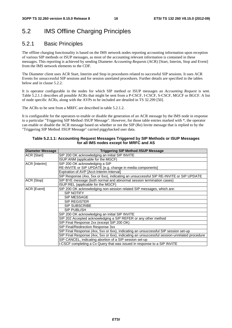# 5.2 IMS Offline Charging Principles

### 5.2.1 Basic Principles

The offline charging functionality is based on the IMS network nodes reporting accounting information upon reception of various SIP methods or ISUP messages, as most of the accounting relevant information is contained in these messages. This reporting is achieved by sending Diameter *Accounting Requests* (ACR) [Start, Interim, Stop and Event] from the IMS network elements to the CDF.

The Diameter client uses ACR Start, Interim and Stop in procedures related to successful SIP sessions. It uses ACR Events for unsuccessful SIP sessions and for session unrelated procedures. Further details are specified in the tables below and in clause 5.2.2.

It is operator configurable in the nodes for which SIP method or ISUP messages an *Accounting Request* is sent. Table 5.2.1.1 describes all possible ACRs that might be sent from a P-CSCF, I-CSCF, S-CSCF, MGCF or BGCF. A list of node specific ACRs, along with the AVPs to be included are detailed in TS 32.299 [50].

The ACRs to be sent from a MRFC are described in table 5.2.1.2.

It is configurable for the operators to enable or disable the generation of an ACR message by the IMS node in response to a particular "Triggering SIP Method /ISUP Message". However, for those table entries marked with \*, the operator can enable or disable the ACR message based on whether or not the SIP (Re) Invite message that is replied to by the "Triggering SIP Method /ISUP Message" carried piggybacked user data.

#### **Table 5.2.1.1: Accounting Request Messages Triggered by SIP Methods or ISUP Messages for all IMS nodes except for MRFC and AS**

| <b>Diameter Message</b> | <b>Triggering SIP Method /ISUP Message</b>                                                   |
|-------------------------|----------------------------------------------------------------------------------------------|
| <b>ACR</b> [Start]      | SIP 200 OK acknowledging an initial SIP INVITE                                               |
|                         | ISUP: ANM (applicable for the MGCF)                                                          |
| ACR [Interim]           | SIP 200 OK acknowledging a SIP                                                               |
|                         | RE-INVITE or SIP UPDATE [e.g. change in media components]                                    |
|                         | Expiration of AVP [Acct-Interim-Interval]                                                    |
|                         | SIP Response (4xx, 5xx or 6xx), indicating an unsuccessful SIP RE-INVITE or SIP UPDATE       |
| ACR [Stop]              | SIP BYE message (both normal and abnormal session termination cases)                         |
|                         | ISUP:REL (applicable for the MGCF)                                                           |
| <b>ACR</b> [Event]      | SIP 200 OK acknowledging non-session related SIP messages, which are:                        |
|                         | <b>SIP NOTIFY</b>                                                                            |
|                         | SIP MESSAGE                                                                                  |
|                         | SIP REGISTER                                                                                 |
|                         | <b>SIP SUBSCRIBE</b>                                                                         |
|                         | SIP PUBLISH                                                                                  |
|                         | SIP 200 OK acknowledging an initial SIP INVITE                                               |
|                         | SIP 202 Accepted acknowledging a SIP REFER or any other method                               |
|                         | SIP Final Response 2xx (except SIP 200 OK)                                                   |
|                         | SIP Final/Redirection Response 3xx                                                           |
|                         | SIP Final Response (4xx, 5xx or 6xx), indicating an unsuccessful SIP session set-up          |
|                         | SIP Final Response (4xx, 5xx or 6xx), indicating an unsuccessful session-unrelated procedure |
|                         | SIP CANCEL, indicating abortion of a SIP session set-up                                      |
|                         | I-CSCF completing a Cx Query that was issued in response to a SIP INVITE                     |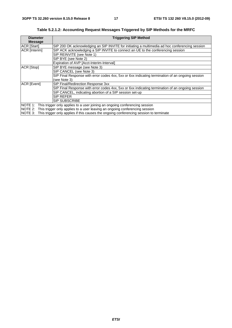| <b>Diameter</b><br><b>Message</b>                                                                 | <b>Triggering SIP Method</b>                                                                     |  |  |
|---------------------------------------------------------------------------------------------------|--------------------------------------------------------------------------------------------------|--|--|
| <b>ACR</b> [Start]                                                                                | SIP 200 OK acknowledging an SIP INVITE for initiating a multimedia ad hoc conferencing session   |  |  |
| ACR [Interim]                                                                                     | SIP ACK acknowledging a SIP INVITE to connect an UE to the conferencing session                  |  |  |
|                                                                                                   | SIP REINVITE (see Note 1)                                                                        |  |  |
|                                                                                                   | SIP BYE (see Note 2)                                                                             |  |  |
|                                                                                                   | Expiration of AVP [Acct-Interim-Interval]                                                        |  |  |
| ACR [Stop]                                                                                        | SIP BYE message (see Note 3)                                                                     |  |  |
|                                                                                                   | SIP CANCEL (see Note 3)                                                                          |  |  |
|                                                                                                   | SIP Final Response with error codes 4xx, 5xx or 6xx indicating termination of an ongoing session |  |  |
|                                                                                                   | (see Note 3)                                                                                     |  |  |
| ACR [Event]                                                                                       | SIP Final/Redirection Response 3xx                                                               |  |  |
|                                                                                                   | SIP Final Response with error codes 4xx, 5xx or 6xx indicating termination of an ongoing session |  |  |
|                                                                                                   | SIP CANCEL, indicating abortion of a SIP session set-up                                          |  |  |
|                                                                                                   | SIP REFER                                                                                        |  |  |
|                                                                                                   | <b>SIP SUBSCRIBE</b>                                                                             |  |  |
|                                                                                                   | NOTE 1: This trigger only applies to a user joining an ongoing conferencing session              |  |  |
|                                                                                                   | NOTE 2: This trigger only applies to a user leaving an ongoing conferencing session              |  |  |
| NOTE 3:<br>This trigger only applies if this causes the ongoing conferencing session to terminate |                                                                                                  |  |  |

**Table 5.2.1.2: Accounting Request Messages Triggered by SIP Methods for the MRFC**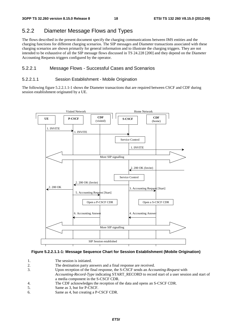### 5.2.2 Diameter Message Flows and Types

The flows described in the present document specify the charging communications between IMS entities and the charging functions for different charging scenarios. The SIP messages and Diameter transactions associated with these charging scenarios are shown primarily for general information and to illustrate the charging triggers. They are not intended to be exhaustive of all the SIP message flows discussed in TS 24.228 [200] and they depend on the Diameter Accounting Requests triggers configured by the operator.

#### 5.2.2.1 Message Flows - Successful Cases and Scenarios

#### 5.2.2.1.1 Session Establishment - Mobile Origination

The following figure 5.2.2.1.1-1 shows the Diameter transactions that are required between CSCF and CDF during session establishment originated by a UE.



#### **Figure 5.2.2.1.1-1: Message Sequence Chart for Session Establishment (Mobile Origination)**

- 1. The session is initiated.
- 2. The destination party answers and a final response are received.
- 3. Upon reception of the final response, the S-CSCF sends an *Accounting-Request* with
- *Accounting-Record-Type* indicating START\_RECORD to record start of a user session and start of a media component in the S-CSCF CDR.
- 4. The CDF acknowledges the reception of the data and opens an S-CSCF CDR.
- 5. Same as 3, but for P-CSCF.
- 6. Same as 4, but creating a P-CSCF CDR.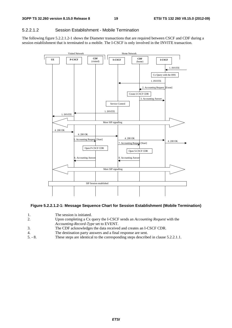#### 5.2.2.1.2 Session Establishment - Mobile Termination

The following figure 5.2.2.1.2-1 shows the Diameter transactions that are required between CSCF and CDF during a session establishment that is terminated to a mobile. The I-CSCF is only involved in the INVITE transaction.



#### **Figure 5.2.2.1.2-1: Message Sequence Chart for Session Establishment (Mobile Termination)**

- 1. The session is initiated.<br>2. Upon completing a Cx q
- 2. Upon completing a Cx query the I-CSCF sends an *Accounting Request* with the
- *Accounting-Record-Type* set to EVENT.
- 3. The CDF acknowledges the data received and creates an I-CSCF CDR.
- 4. The destination party answers and a final response are sent.
- 5. 8. These steps are identical to the corresponding steps described in clause 5.2.2.1.1.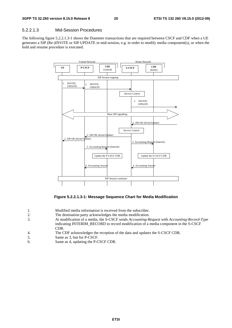#### 5.2.2.1.3 Mid-Session Procedures

The following figure 5.2.2.1.3-1 shows the Diameter transactions that are required between CSCF and CDF when a UE generates a SIP (Re-)INVITE or SIP UPDATE in mid-session, e.g. in order to modify media component(s), or when the hold and resume procedure is executed.



**Figure 5.2.2.1.3-1: Message Sequence Chart for Media Modification** 

| Modified media information is received from the subscriber. |  |  |  |  |  |  |  |  |
|-------------------------------------------------------------|--|--|--|--|--|--|--|--|
|-------------------------------------------------------------|--|--|--|--|--|--|--|--|

- 2. The destination party acknowledges the media modification.
- 3. At modification of a media, the S-CSCF sends *Accounting-Request* with *Accounting-Record-Type* indicating INTERIM\_RECORD to record modification of a media component in the S-CSCF CDR.
- 4. The CDF acknowledges the reception of the data and updates the S-CSCF CDR.
- 5. Same as 3, but for P-CSCF.<br>6. Same as 4, undating the P-C
- Same as 4, updating the P-CSCF CDR.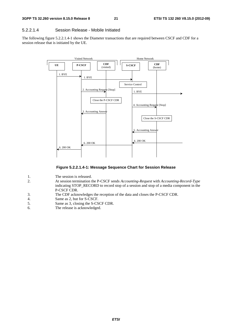#### 5.2.2.1.4 Session Release - Mobile Initiated

The following figure 5.2.2.1.4-1 shows the Diameter transactions that are required between CSCF and CDF for a session release that is initiated by the UE.



#### **Figure 5.2.2.1.4-1: Message Sequence Chart for Session Release**

- 1. The session is released.<br>2. At session termination t
- 2. At session termination the P-CSCF sends *Accounting-Request* with *Accounting-Record-Type* indicating STOP\_RECORD to record stop of a session and stop of a media component in the P-CSCF CDR.
- 3. The CDF acknowledges the reception of the data and closes the P-CSCF CDR.
- 4. Same as 2, but for S-CSCF.
- 5. Same as 3, closing the S-CSCF CDR.<br>6. The release is acknowledged.
- The release is acknowledged.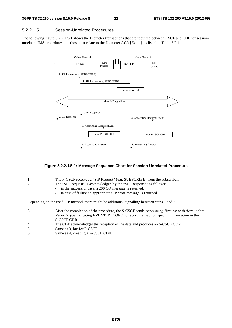#### 5.2.2.1.5 Session-Unrelated Procedures

The following figure 5.2.2.1.5-1 shows the Diameter transactions that are required between CSCF and CDF for sessionunrelated IMS procedures, i.e. those that relate to the Diameter ACR [Event], as listed in Table 5.2.1.1.



#### **Figure 5.2.2.1.5-1: Message Sequence Chart for Session-Unrelated Procedure**

|  | The P-CSCF receives a "SIP Request" (e.g. SUBSCRIBE) from the subscriber. |
|--|---------------------------------------------------------------------------|
|--|---------------------------------------------------------------------------|

- 2. The "SIP Request" is acknowledged by the "SIP Response" as follows:
	- in the successful case, a 200 OK message is returned;
	- in case of failure an appropriate SIP error message is returned.

Depending on the used SIP method, there might be additional signalling between steps 1 and 2.

| 3. | After the completion of the procedure, the S-CSCF sends Accounting-Request with Accounting-<br><i>Record-Type</i> indicating EVENT RECORD to record transaction specific information in the<br>S-CSCF CDR. |
|----|------------------------------------------------------------------------------------------------------------------------------------------------------------------------------------------------------------|
| 4. | The CDF acknowledges the reception of the data and produces an S-CSCF CDR.                                                                                                                                 |
| 5. | Same as 3, but for P-CSCF.                                                                                                                                                                                 |

6. Same as 4, creating a P-CSCF CDR.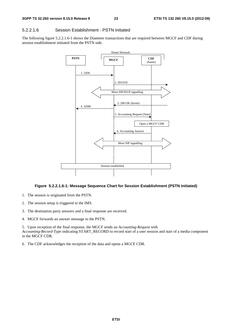#### 5.2.2.1.6 Session Establishment - PSTN Initiated

The following figure 5.2.2.1.6-1 shows the Diameter transactions that are required between MGCF and CDF during session establishment initiated from the PSTN side.



#### **Figure 5.2.2.1.6-1: Message Sequence Chart for Session Establishment (PSTN Initiated)**

- 1. The session is originated from the PSTN.
- 2. The session setup is triggered in the IMS.
- 3. The destination party answers and a final response are received.
- 4. MGCF forwards an answer message to the PSTN.

5. Upon reception of the final response, the MGCF sends an *Accounting-Request* with *Accounting-Record-Type* indicating START\_RECORD to record start of a user session and start of a media component in the MGCF CDR.

6. The CDF acknowledges the reception of the data and opens a MGCF CDR.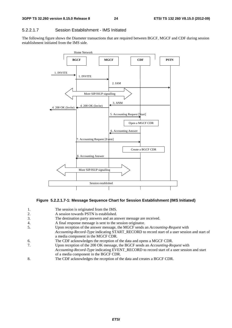#### 5.2.2.1.7 Session Establishment - IMS Initiated

The following figure shows the Diameter transactions that are required between BGCF, MGCF and CDF during session establishment initiated from the IMS side.



#### **Figure 5.2.2.1.7-1: Message Sequence Chart for Session Establishment (IMS Initiated)**

- 1. The session is originated from the IMS.
- 2. A session towards PSTN is established.
- 3. The destination party answers and an answer message are received.
- 4. A final response message is sent to the session originator.
- 5. Upon reception of the answer message, the MGCF sends an *Accounting-Request* with
	- *Accounting-Record-Type* indicating START\_RECORD to record start of a user session and start of a media component in the MGCF CDR.
- 6. The CDF acknowledges the reception of the data and opens a MGCF CDR.
- 7. Upon reception of the 200 OK message, the BGCF sends an *Accounting-Request* with
- *Accounting-Record-Type* indicating EVENT\_RECORD to record start of a user session and start of a media component in the BGCF CDR.
- 8. The CDF acknowledges the reception of the data and creates a BGCF CDR.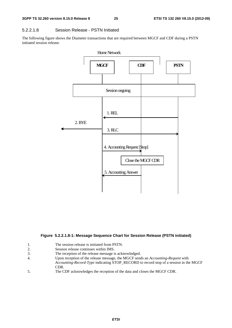#### 5.2.2.1.8 Session Release - PSTN Initiated

The following figure shows the Diameter transactions that are required between MGCF and CDF during a PSTN initiated session release.



#### **Figure 5.2.2.1.8-1: Message Sequence Chart for Session Release (PSTN initiated)**

- 1. The session release is initiated from PSTN.<br>2. Session release continues within IMS.
- Session release continues within IMS.
- 3. The reception of the release message is acknowledged.
- 4. Upon reception of the release message, the MGCF sends an *Accounting-Request* with *Accounting-Record-Type* indicating STOP\_RECORD to record stop of a session in the MGCF CDR.
- 5. The CDF acknowledges the reception of the data and closes the MGCF CDR.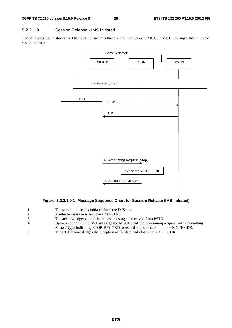#### 5.2.2.1.9 Session Release - IMS Initiated

The following figure shows the Diameter transactions that are required between MGCF and CDF during a IMS initiated session release.



#### **Figure 5.2.2.1.9-1: Message Sequence Chart for Session Release (IMS initiated)**

- 1. The session release is initiated from the IMS side.
- 2. A release message is sent towards PSTN.
- 3. The acknowledgement of the release message is received from PSTN.
- 4. Upon reception of the BYE message the MGCF sends an *Accounting Request* with *Accounting Record Type* indicating STOP\_RECORD to record stop of a session in the MGCF CDR.
- 5. The CDF acknowledges the reception of the data and closes the MGCF CDR.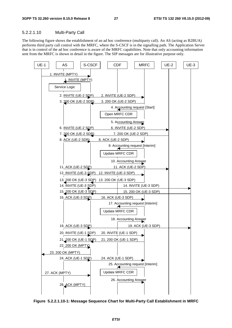#### 5.2.2.1.10 Multi-Party Call

The following figure shows the establishment of an ad hoc conference (multiparty call). An AS (acting as B2BUA) performs third party call control with the MRFC, where the S-CSCF is in the signalling path. The Application Server that is in control of the ad hoc conference is aware of the MRFC capabilities. Note that only accounting information sent from the MRFC is shown in detail in the figure. The SIP messages are for illustrative purpose only.



**Figure 5.2.2.1.10-1: Message Sequence Chart for Multi-Party Call Establishment in MRFC**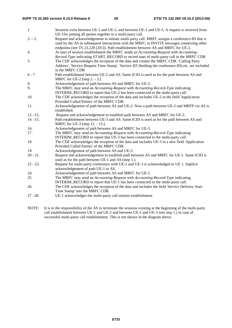- 1. Sessions exist between UE-1 and UE-2, and between UE-1 and UE-3. A request is received from UE-1for putting all parties together to a multi-party call.
- 2. 3. Request and acknowledgement to initiate multi-party call. MRFC assigns a conference-ID that is used by the AS in subsequent interactions with the MRFC in INVITE messages connecting other endpoints (see TS 23.228 [201]). Path establishment between AS and MRFC for UE-2.
- 4. At start of session establishment the MRFC sends an *Accounting-Request* with *Accounting-Record-Type* indicating START\_RECORD to record start of multi-party call in the MRFC CDR
- 5. The CDF acknowledges the reception of the data and creates the MRFC CDR. 'Calling Party Address', 'Service Request Time Stamp', 'Service ID' (holding the conference-ID) etc. are included in the MRFC CDR
- 6 7. Path establishment between UE-2 and AS. Same ICID is used as for the path between AS and MRFC for UE-2 (step 2. - 3.).
- 8 Acknowledgement of path between AS and MRFC for UE-2.
- 9. The MRFC may send an *Accounting-Request* with *Accounting-Record-Type* indicating INTERIM\_RECORD to report that  $UE-2$  has been connected to the multi-party call.
- 10. The CDF acknowledges the reception of the data and includes UE-2 in the field 'Application Provided Called Parties' of the MRFC CDR.
- 11. Acknowledgement of path between AS and UE-2. Now a path between UE-2 and MRFP via AS is established.
- 12 –13.. Request and acknowledgement to establish path between AS and MRFC for UE-3.<br>14. -15. Path establishment between UE-3 and AS. Same ICID is used as for the path between
- Path establishment between UE-3 and AS. Same ICID is used as for the path between AS and MRFC for UE-3 (step 12. - 13.).
- 16. Acknowledgement of path between AS and MRFC for UE-3.<br>17. The MRFC may send an *Accounting-Request* with *Accounting*
- 17. The MRFC may send an *Accounting-Request* with *Accounting-Record-Type* indicating INTERIM\_RECORD to report that UE-3 has been connected to the multi-party call.
- 18. The CDF acknowledges the reception of the data and includes UE-3 in a new field 'Application Provided Called Parties' of the MRFC CDR.
- 19. Acknowledgement of path between AS and UE-3.
- 20 21. Request and acknowledgement to establish path between AS and MRFC for UE-1. Same ICID is used as for the path between UE-1 and AS (step 1.).
- 22 23. Request for multi-party conference with UE-2 and UE-3 is acknowledged to UE 1. Implicit acknowledgement of path UE-1 to AS.
- 24. Acknowledgement of path between AS and MRFC for UE-1.
- 25. The MRFC may send an *Accounting-Request* with *Accounting-Record-Type* indicating INTERIM\_RECORD to report that UE-1 has been connected to the multi-party call.
- 26. The CDF acknowledges the reception of the data and includes the field 'Service Delivery Start Time Stamp' into the MRFC CDR.
- 27 –28. UE-1 acknowledges the multi-party call session establishment.
- NOTE: It is in the responsibility of the AS to terminate the sessions existing at the beginning of the multi-party call establishment between UE-1 and UE-2 and between UE-1 and UE-3 (see step 1.) in case of successful multi-party call establishment. This is not shown in the diagram above.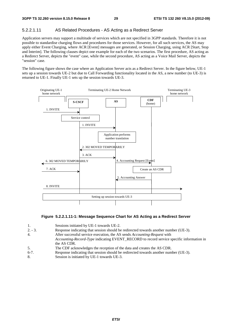#### 5.2.2.1.11 AS Related Procedures - AS Acting as a Redirect Server

Application servers may support a multitude of services which are not specified in 3GPP standards. Therefore it is not possible to standardise charging flows and procedures for those services. However, for all such services, the AS may apply either Event Charging, where ACR [Event] messages are generated, or Session Charging, using ACR [Start, Stop and Interim]. The following clauses depict one example for each of the two scenarios. The first procedure, AS acting as a Redirect Server, depicts the "event" case, while the second procedure, AS acting as a Voice Mail Server, depicts the "session" case.

The following figure shows the case where an Application Server acts as a Redirect Server. In the figure below, UE-1 sets up a session towards UE-2 but due to Call Forwarding functionality located in the AS, a new number (to UE-3) is returned to UE-1. Finally UE-1 sets up the session towards UE-3.



#### **Figure 5.2.2.1.11-1: Message Sequence Chart for AS Acting as a Redirect Server**

| 1.        | Sessions initiated by UE-1 towards UE-2.                                                 |
|-----------|------------------------------------------------------------------------------------------|
|           |                                                                                          |
| $2. - 3.$ | Response indicating that session should be redirected towards another number (UE-3).     |
| 4.        | After successful service execution, the AS sends Accounting-Request with                 |
|           | Accounting-Record-Type indicating EVENT_RECORD to record service specific information in |
|           | the AS CDR.                                                                              |
| 5.        | The CDF acknowledges the reception of the data and creates the AS CDR.                   |
| $6-7.$    | Response indicating that session should be redirected towards another number (UE-3).     |

8. Session is initiated by UE-1 towards UE-3.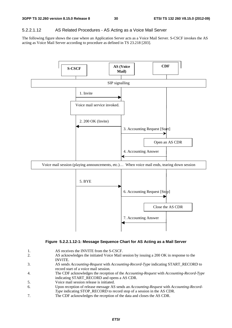#### 5.2.2.1.12 AS Related Procedures - AS Acting as a Voice Mail Server

The following figure shows the case where an Application Server acts as a Voice Mail Server. S-CSCF invokes the AS acting as Voice Mail Server according to procedure as defined in TS 23.218 [203].



#### **Figure 5.2.2.1.12-1: Message Sequence Chart for AS Acting as a Mail Server**

- 1. AS receives the INVITE from the S-CSCF.
- 2. AS acknowledges the initiated Voice Mail session by issuing a 200 OK in response to the INVITE.
- 3. AS sends *Accounting-Request* with *Accounting-Record-Type* indicating START\_RECORD to record start of a voice mail session.
- 4. The CDF acknowledges the reception of the *Accounting-Request* with *Accounting-Record-Type*  indicating START\_RECORD and opens a AS CDR.
- 5. Voice mail session release is initiated.
- 6. Upon reception of release message AS sends an *Accounting-Request* with *Accounting-Record-Type* indicating STOP\_RECORD to record stop of a session in the AS CDR.
- 7. The CDF acknowledges the reception of the data and closes the AS CDR.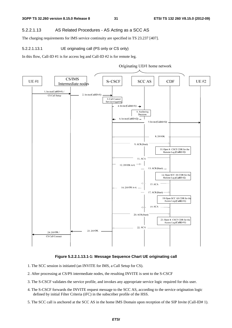#### 5.2.2.1.13 AS Related Procedures - AS Acting as a SCC AS

The charging requirements for IMS service continuity are specified in TS 23.237 [407].

#### 5.2.2.1.13.1 UE originating call (PS only or CS only)

In this flow, Call-ID #1 is for access leg and Call-ID #2 is for remote leg.



#### **Figure 5.2.2.1.13.1-1: Message Sequence Chart UE originating call**

- 1. The SCC session is initiated (an INVITE for IMS, a Call Setup for CS).
- 2. After processing at CS/PS intermediate nodes, the resulting INVITE is sent to the S-CSCF
- 3. The S-CSCF validates the service profile, and invokes any appropriate service logic required for this user.
- 4. The S-CSCF forwards the INVITE request message to the SCC AS, according to the service origination logic defined by initial Filter Criteria (iFC) in the subscriber profile of the HSS.
- 5. The SCC call is anchored at the SCC AS in the home IMS Domain upon reception of the SIP Invite (Call-ID# 1).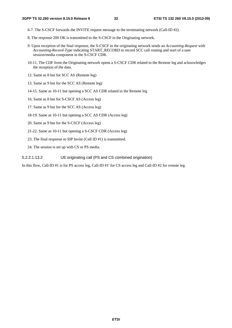- 6-7. The S-CSCF forwards the INVITE request message to the terminating network (Call-ID #2).
- 8. The response 200 OK is transmitted to the S-CSCF in the Originating network.
- 9. Upon reception of the final response, the S-CSCF in the originating network sends an *Accounting-Request* with *Accounting-Record-Type* indicating START\_RECORD to record SCC call routing and start of a user session/media component in the S-CSCF CDR.
- 10-11. The CDF from the Originating network opens a S-CSCF CDR related to the Remote leg and acknowledges the reception of the data.
- 12. Same as 8 but for SCC AS (Remote leg)
- 13. Same as 9 but for the SCC AS (Remote leg)
- 14-15. Same as 10-11 but opening a SCC AS CDR related to the Remote leg
- 16. Same as 8 but for S-CSCF AS (Access leg)
- 17. Same as 9 but for the SCC AS (Access leg)
- 18-19. Same as 10-11 but opening a SCC AS CDR (Access leg)
- 20. Same as 9 but for the S-CSCF (Access leg)
- 21-22. Same as 10-11 but opening a S-CSCF CDR (Access leg)
- 23. The final response to SIP Invite (Call ID #1) is transmitted.
- 24. The session is set up with CS or PS media.

5.2.2.1.13.2 UE originating call (PS and CS combined origination)

In this flow, Call-ID #1 is for PS access leg, Call-ID #1' for CS access leg and Call-ID #2 for remote leg.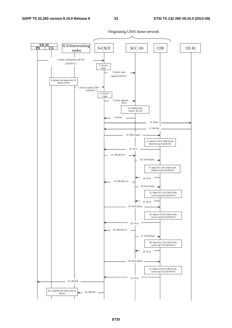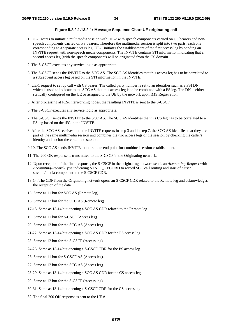#### **Figure 5.2.2.1.13.2-1: Message Sequence Chart UE originating call**

- 1. UE-1 wants to initiate a multimedia session with UE-2 with speech components carried on CS bearers and nonspeech components carried on PS bearers. Therefore the multimedia session is split into two parts, each one corresponding to a separate access leg. UE-1 initiates the establishment of the first access leg by sending an INVITE request with non-speech media components. The INVITE contains STI information indicating that a second access leg (with the speech component) will be originated from the CS domain.
- 2. The S-CSCF executes any service logic as appropriate.
- 3. The S-CSCF sends the INVITE to the SCC AS. The SCC AS identifies that this access leg has to be correlated to a subsequent access leg based on the STI information in the INVITE.
- 4. UE-1 request to set up call with CS bearer. The called party number is set to an identifier such as a PSI DN, which is used to indicate to the SCC AS that this access leg is to be combined with a PS leg. The DN is either statically configured on the UE or assigned to the UE by the network upon IMS Registration.
- 5. After processing at ICS/Interworking nodes, the resulting INVITE is sent to the S-CSCF.
- 6. The S-CSCF executes any service logic as appropriate.
- 7. The S-CSCF sends the INVITE to the SCC AS. The SCC AS identifies that this CS leg has to be correlated to a PS leg based on the iFC in the INVITE.
- 8. After the SCC AS receives both the INVITE requests in step 3 and in step 7, the SCC AS identifies that they are part of the same multimedia session and combines the two access legs of the session by checking the caller's identity and anchor the combined session.
- 9-10. The SCC AS sends INVITE to the remote end point for combined session establishment.
- 11. The 200 OK response is transmitted to the S-CSCF in the Originating network.
- 12. Upon reception of the final response, the S-CSCF in the originating network sends an *Accounting-Request* with *Accounting-Record-Type* indicating START\_RECORD to record SCC call routing and start of a user session/media component in the S-CSCF CDR.
- 13-14. The CDF from the Originating network opens an S-CSCF CDR related to the Remote leg and acknowledges the reception of the data.
- 15. Same as 11 but for SCC AS (Remote leg)
- 16. Same as 12 but for the SCC AS (Remote leg)
- 17-18. Same as 13-14 but opening a SCC AS CDR related to the Remote leg
- 19. Same as 11 but for S-CSCF (Access leg)
- 20. Same as 12 but for the SCC AS (Access leg)
- 21-22. Same as 13-14 but opening a SCC AS CDR for the PS access leg.
- 23. Same as 12 but for the S-CSCF (Access leg)
- 24-25. Same as 13-14 but opening a S-CSCF CDR for the PS access leg.
- 26. Same as 11 but for S-CSCF AS (Access leg).
- 27. Same as 12 but for the SCC AS (Access leg).
- 28-29. Same as 13-14 but opening a SCC AS CDR for the CS access leg.
- 29. Same as 12 but for the S-CSCF (Access leg)
- 30-31. Same as 13-14 but opening a S-CSCF CDR for the CS access leg.
- 32. The final 200 OK response is sent to the UE #1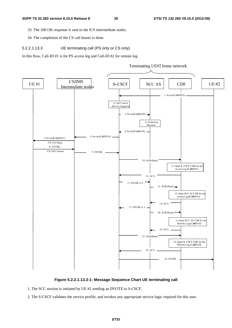33. The 200 OK response is sent to the ICS intermediate nodes.

34. The completion of the CS call bearer is done.

5.2.2.1.13.3 UE terminating call (PS only or CS only)

In this flow, Call-ID #1 is for PS access leg and Call-ID #2 for remote leg.



**Figure 5.2.2.1.13.3-1: Message Sequence Chart UE terminating call** 

1. The SCC session is initiated by UE #2 sending an INVITE to S-CSCF.

2. The S-CSCF validates the service profile, and invokes any appropriate service logic required for this user.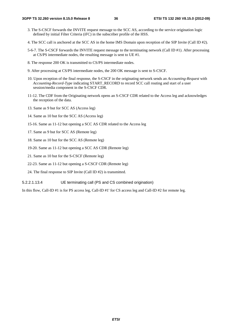- 3. The S-CSCF forwards the INVITE request message to the SCC AS, according to the service origination logic defined by initial Filter Criteria (iFC) in the subscriber profile of the HSS.
- 4. The SCC call is anchored at the SCC AS in the home IMS Domain upon reception of the SIP Invite (Call ID #2).
- 5-6-7. The S-CSCF forwards the INVITE request message to the terminating network (Call ID #1). After processing at CS/PS intermediate nodes, the resulting message is sent to UE #1.
- 8. The response 200 OK is transmitted to CS/PS intermediate nodes.
- 9. After processing at CS/PS intermediate nodes, the 200 OK message is sent to S-CSCF.
- 10. Upon reception of the final response, the S-CSCF in the originating network sends an *Accounting-Request* with *Accounting-Record-Type* indicating START\_RECORD to record SCC call routing and start of a user session/media component in the S-CSCF CDR.
- 11-12. The CDF from the Originating network opens an S-CSCF CDR related to the Access leg and acknowledges the reception of the data.
- 13. Same as 9 but for SCC AS (Access leg)
- 14. Same as 10 but for the SCC AS (Access leg)
- 15-16. Same as 11-12 but opening a SCC AS CDR related to the Access leg
- 17. Same as 9 but for SCC AS (Remote leg)
- 18. Same as 10 but for the SCC AS (Remote leg)
- 19-20. Same as 11-12 but opening a SCC AS CDR (Remote leg)
- 21. Same as 10 but for the S-CSCF (Remote leg)
- 22-23. Same as 11-12 but opening a S-CSCF CDR (Remote leg)
- 24. The final response to SIP Invite (Call ID #2) is transmitted.

#### 5.2.2.1.13.4 UE terminating call (PS and CS combined origination)

In this flow, Call-ID #1 is for PS access leg, Call-ID #1' for CS access leg and Call-ID #2 for remote leg.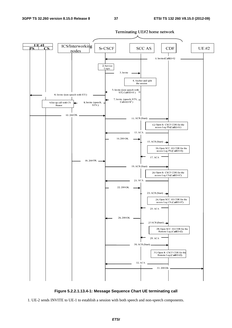

**Figure 5.2.2.1.13.4-1: Message Sequence Chart UE terminating call** 

1. UE-2 sends INVITE to UE-1 to establish a session with both speech and non-speech components.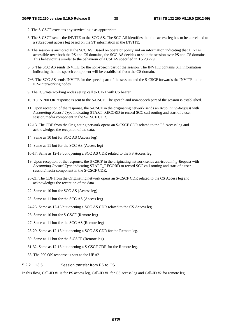- 2. The S-CSCF executes any service logic as appropriate.
- 3. The S-CSCF sends the INVITE to the SCC AS. The SCC AS identifies that this access leg has to be correlated to a subsequent access leg based on the ST information in the INVITE.
- 4. The session is anchored at the SCC AS. Based on operator policy and on information indicating that UE-1 is accessible over both the PS and CS domains, the SCC AS decides to split the session over PS and CS domains. This behaviour is similar to the behaviour of a CSI AS specified in TS 23.279.
- 5~6. The SCC AS sends INVITE for the non-speech part of the session. The INVITE contains STI information indicating that the speech component will be established from the CS domain.
- 7~8. The SCC AS sends INVITE for the speech part of the session and the S-CSCF forwards the INVITE to the ICS/Interworking nodes.
- 9. The ICS/Interworking nodes set up call to UE-1 with CS bearer.
- 10~18. A 200 OK response is sent to the S-CSCF. The speech and non-speech part of the session is established.
- 11. Upon reception of the response, the S-CSCF in the originating network sends an *Accounting-Request* with *Accounting-Record-Type* indicating START\_RECORD to record SCC call routing and start of a user session/media component in the S-CSCF CDR.
- 12-13. The CDF from the Originating network opens an S-CSCF CDR related to the PS Access leg and acknowledges the reception of the data.
- 14. Same as 10 but for SCC AS (Access leg)
- 15. Same as 11 but for the SCC AS (Access leg)
- 16-17. Same as 12-13 but opening a SCC AS CDR related to the PS Access leg.
- 19. Upon reception of the response, the S-CSCF in the originating network sends an *Accounting-Request* with *Accounting-Record-Type* indicating START\_RECORD to record SCC call routing and start of a user session/media component in the S-CSCF CDR.
- 20-21. The CDF from the Originating network opens an S-CSCF CDR related to the CS Access leg and acknowledges the reception of the data.
- 22. Same as 10 but for SCC AS (Access leg)
- 23. Same as 11 but for the SCC AS (Access leg)
- 24-25. Same as 12-13 but opening a SCC AS CDR related to the CS Access leg.
- 26. Same as 10 but for S-CSCF (Remote leg)
- 27. Same as 11 but for the SCC AS (Remote leg)
- 28-29. Same as 12-13 but opening a SCC AS CDR for the Remote leg.
- 30. Same as 11 but for the S-CSCF (Remote leg)
- 31-32. Same as 12-13 but opening a S-CSCF CDR for the Remote leg.
- 33. The 200 OK response is sent to the UE #2.

### 5.2.2.1.13.5 Session transfer from PS to CS

In this flow, Call-ID #1 is for PS access leg, Call-ID #1' for CS access leg and Call-ID #2 for remote leg.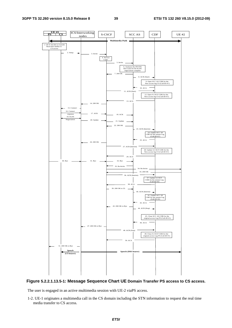

#### **Figure 5.2.2.1.13.5-1: Message Sequence Chart UE Domain Transfer PS access to CS access.**

The user is engaged in an active multimedia session with UE-2 viaPS access.

1-2. UE-1 originates a multimedia call in the CS domain including the STN information to request the real time media transfer to CS access.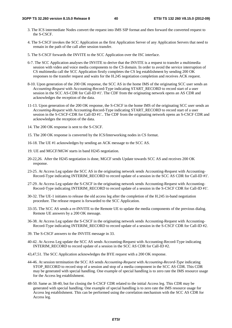- 3. The ICS intermediate Nodes convert the request into IMS SIP format and then forward the converted request to the S-CSCF.
- 4. The S-CSCF invokes the SCC Application as the first Application Server of any Application Servers that need to remain in the path of the call after session transfer.
- 5. The S-CSCF forwards the INVITE to the SCC Application over the ISC interface.
- 6-7. The SCC Application analyses the INVITE to derive that the INVITE is a request to transfer a multimedia session with video and voice media components to the CS domain. In order to avoid the service interruption of CS multimedia call the SCC Application firstly completes the CS leg establishment by sending 200 OK responses to the transfer request and waits for the H.245 negotiation completion and receives ACK request.
- 8-10. Upon generation of the 200 OK response, the SCC AS in the home IMS of the originating SCC user sends an *Accounting-Request* with Accounting-Record-Type indicating START\_RECORD to record start of a user session in the SCC AS-CDR for Call-ID #1'. The CDF from the originating network opens an AS CDR and acknowledges the reception of the data.
- 11-13. Upon generation of the 200 OK response, the S-CSCF in the home IMS of the originating SCC user sends an *Accounting-Request* with Accounting-Record-Type indicating START\_RECORD to record start of a user session in the S-CSCF-CDR for Call-ID #1'.. The CDF from the originating network opens an S-CSCF CDR and acknowledges the reception of the data.
- 14. The 200 OK response is sent to the S-CSCF.
- 15. The 200 OK response is converted by the ICS/Interworking nodes in CS format.
- 16-18. The UE #1 acknowledges by sending an ACK message to the SCC AS.
- 19. UE and MGCF/MGW starts in band H245 negotiation.
- 20-22,26. After the H245 negotiation is done, MGCF sends Update towards SCC AS and receives 200 OK response.
- 23-25. At Access Leg update the SCC AS in the originating network sends Accounting-Request with Accounting-Record-Type indicating INTERIM\_RECORD to record update of a session in the SCC AS CDR for Call-ID #1'.
- 27-29. At Access Leg update the S-CSCF in the originating network sends Accounting-Request with Accounting-Record-Type indicating INTERIM\_RECORD to record update of a session in the S-CSCF CDR for Call-ID #1'.
- 30-32. The UE-1 initiates to release the old access leg after the completion of the H.245 in-band negotiation procedure. The release request is forwarded to the SCC Application.
- 33-35. The SCC AS sends a re-INVITE to the Remote UE to update the media components of the previous dialog. Remote UE answers by a 200 OK message.
- 36-38. At Access Leg update the S-CSCF in the originating network sends Accounting-Request with Accounting-Record-Type indicating INTERIM\_RECORD to record update of a session in the S-CSCF CDR for Call-ID #2.
- 39. The S-CSCF answers to the INVITE message in 33.
- 40-42. At Access Leg update the SCC AS sends Accounting-Request with Accounting-Record-Type indicating INTERIM\_RECORD to record update of a session in the SCC AS CDR for Call-ID #2.
- 43,47,51. The SCC Application acknowledges the BYE request with a 200 OK response.
- 44-46. At session termination the SCC AS sends *Accounting-Request* with *Accounting-Record-Type* indicating STOP\_RECORD to record stop of a session and stop of a media component in the SCC AS CDR. This CDR may be generated with special handling. One example of special handling is to zero rate the IMS resource usage for the Access leg establishment.
- 48-50. Same as 38-40, but for closing the S-CSCF CDR related to the initial Access leg. This CDR may be generated with special handling. One example of special handling is to zero rate the IMS resource usage for Access leg establishment. This can be performed using the correlation mechanism with the SCC AS CDR for Access leg.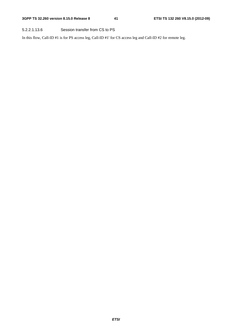## 5.2.2.1.13.6 Session transfer from CS to PS

In this flow, Call-ID #1 is for PS access leg, Call-ID #1' for CS access leg and Call-ID #2 for remote leg.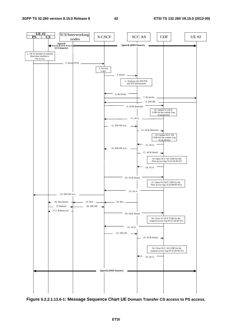#### **3GPP TS 32.260 version 8.15.0 Release 8 42 ETSI TS 132 260 V8.15.0 (2012-09)**



**Figure 5.2.2.1.13.6-1: Message Sequence Chart UE Domain Transfer CS access to PS access.**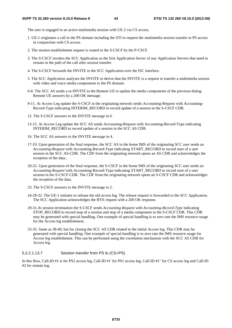The user is engaged in an active multimedia session with UE-2 via CS access.

- 1. UE-1 originates a call in the PS domain including the STI to request the multimedia session transfer to PS access in conjunction with CS access.
- 2. The session establishment request is routed to the S-CSCF by the P-CSCF.
- 3. The S-CSCF invokes the SCC Application as the first Application Server of any Application Servers that need to remain in the path of the call after session transfer.
- 4. The S-CSCF forwards the INVITE to the SCC Application over the ISC interface.
- 5. The SCC Application analyses the INVITE to derive that the INVITE is a request to transfer a multimedia session with video and voice media components to the PS domain.
- 6-8. The SCC AS sends a re-INVITE to the Remote UE to update the media components of the previous dialog. Remote UE answers by a 200 OK message.
- 9-11. At Access Leg update the S-CSCF in the originating network sends Accounting-Request with Accounting-Record-Type indicating INTERIM\_RECORD to record update of a session in the S-CSCF CDR.
- 12. The S-CSCF answers to the INVITE message in 6.
- 13-15. At Access Leg update the SCC AS sends Accounting-Request with Accounting-Record-Type indicating INTERIM\_RECORD to record update of a session in the SCC AS CDR.
- 16. The SCC AS answers to the INVITE message in 4.
- 17-19. Upon generation of the final response, the SCC AS in the home IMS of the originating SCC user sends an *Accounting-Request* with Accounting-Record-Type indicating START\_RECORD to record start of a user session in the SCC AS-CDR. The CDF from the originating network opens an AS CDR and acknowledges the reception of the data..
- 20-22. Upon generation of the final response, the S-CSCF in the home IMS of the originating SCC user sends an *Accounting-Request* with Accounting-Record-Type indicating START\_RECORD to record start of a user session in the S-CSCF-CDR. The CDF from the originating network opens an S-CSCF CDR and acknowledges the reception of the data.
- 23. The S-CSCF answers to the INVITE message in 2.
- 24-28-32. The UE-1 initiates to release the old access leg. The release request is forwarded to the SCC Application. The SCC Application acknowledges the BYE request with a 200 OK response.
- 29-31.At session termination the S-CSCF sends *Accounting-Request* with *Accounting-Record-Type* indicating STOP\_RECORD to record stop of a session and stop of a media component in the S-CSCF CDR. This CDR may be generated with special handling. One example of special handling is to zero rate the IMS resource usage for the Access leg establishment.
- 33-35. Same as 38-40, but for closing the SCC AS CDR related to the initial Access leg. This CDR may be generated with special handling. One example of special handling is to zero rate the IMS resource usage for Access leg establishment. This can be performed using the correlation mechanism with the SCC AS CDR for Access leg.

#### 5.2.2.1.13.7 Session transfer from PS to (CS+PS)

In this flow, Call-ID #1 is for PS2 access leg, Call-ID #1' for PS1 access leg, Call-ID #1" for CS access leg and Call-ID #2 for remote leg.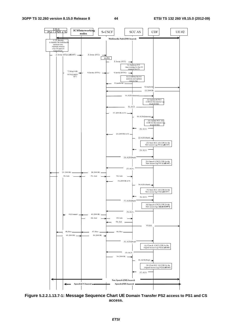

**Figure 5.2.2.1.13.7-1: Message Sequence Chart UE Domain Transfer PS2 access to PS1 and CS access.**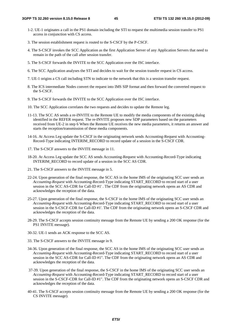- 1-2. UE-1 originates a call in the PS1 domain including the STI to request the multimedia session transfer to PS1 access in conjunction with CS access.
- 3. The session establishment request is routed to the S-CSCF by the P-CSCF.
- 4. The S-CSCF invokes the SCC Application as the first Application Server of any Application Servers that need to remain in the path of the call after session transfer.
- 5. The S-CSCF forwards the INVITE to the SCC Application over the ISC interface.
- 6. The SCC Application analyses the STI and decides to wait for the session transfer request in CS access.
- 7. UE-1 origins a CS call including STN to indicate to the network that this is a session transfer request.
- 8. The ICS intermediate Nodes convert the request into IMS SIP format and then forward the converted request to the S-CSCF.
- 9. The S-CSCF forwards the INVITE to the SCC Application over the ISC interface.
- 10. The SCC Application correlates the two requests and decides to update the Remote leg.
- 11-13. The SCC AS sends a re-INVITE to the Remote UE to modify the media components of the existing dialog identified in the REFER request. The re-INVITE proposes new SDP parameters based on the parameters received from UE-2 in step 6 When the Remote UE receives the new media parameters, it returns an answer and starts the reception/transmission of these media components.
- 14-16. At Access Leg update the S-CSCF in the originating network sends Accounting-Request with Accounting-Record-Type indicating INTERIM\_RECORD to record update of a session in the S-CSCF CDR.
- 17. The S-CSCF answers to the INVITE message in 11.
- 18-20. At Access Leg update the SCC AS sends Accounting-Request with Accounting-Record-Type indicating INTERIM\_RECORD to record update of a session in the SCC AS CDR.
- 21. The S-CSCF answers to the INVITE message in 5.
- 22-24. Upon generation of the final response, the SCC AS in the home IMS of the originating SCC user sends an *Accounting-Request* with Accounting-Record-Type indicating START\_RECORD to record start of a user session in the SCC AS-CDR for Call-ID #1' . The CDF from the originating network opens an AS CDR and acknowledges the reception of the data.
- 25-27. Upon generation of the final response, the S-CSCF in the home IMS of the originating SCC user sends an *Accounting-Request* with Accounting-Record-Type indicating START\_RECORD to record start of a user session in the S-CSCF-CDR for Call-ID #1'. The CDF from the originating network opens an S-CSCF CDR and acknowledges the reception of the data.
- 28-29. The S-CSCF accepts session continuity message from the Remote UE by sending a 200 OK response (for the PS1 INVITE message).
- 30-32. UE-1 sends an ACK response to the SCC AS.
- 33. The S-CSCF answers to the INVITE message in 9.
- 34-36. Upon generation of the final response, the SCC AS in the home IMS of the originating SCC user sends an *Accounting-Request* with Accounting-Record-Type indicating START\_RECORD to record start of a user session in the SCC AS-CDR for Call-ID #1". The CDF from the originating network opens an AS CDR and acknowledges the reception of the data.
- 37-39. Upon generation of the final response, the S-CSCF in the home IMS of the originating SCC user sends an *Accounting-Request* with Accounting-Record-Type indicating START\_RECORD to record start of a user session in the S-CSCF-CDR for Call-ID #1". The CDF from the originating network opens an S-CSCF CDR and acknowledges the reception of the data.
- 40-41. The S-CSCF accepts session continuity message from the Remote UE by sending a 200 OK response (for the CS INVITE message).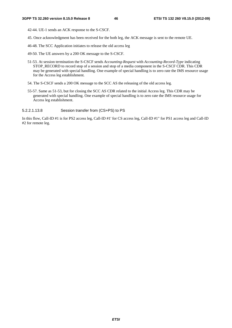42-44. UE-1 sends an ACK response to the S-CSCF.

- 45. Once acknowledgment has been received for the both leg, the ACK message is sent to the remote UE.
- 46-48. The SCC Application initiates to release the old access leg
- 49-50. The UE answers by a 200 OK message to the S-CSCF.
- 51-53. At session termination the S-CSCF sends *Accounting-Request* with *Accounting-Record-Type* indicating STOP\_RECORD to record stop of a session and stop of a media component in the S-CSCF CDR. This CDR may be generated with special handling. One example of special handling is to zero rate the IMS resource usage for the Access leg establishment.
- 54. The S-CSCF sends a 200 OK message to the SCC AS the releasing of the old access leg.
- 55-57. Same as 51-53, but for closing the SCC AS CDR related to the initial Access leg. This CDR may be generated with special handling. One example of special handling is to zero rate the IMS resource usage for Access leg establishment.
- 5.2.2.1.13.8 Session transfer from (CS+PS) to PS

In this flow, Call-ID #1 is for PS2 access leg, Call-ID #1' for CS access leg, Call-ID #1" for PS1 access leg and Call-ID #2 for remote leg.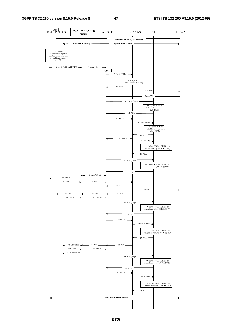#### **3GPP TS 32.260 version 8.15.0 Release 8 47 ETSI TS 132 260 V8.15.0 (2012-09)**



*ETSI*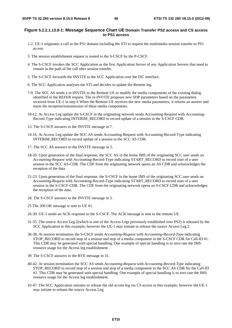#### **Figure 5.2.2.1.13.8-1: Message Sequence Chart UE Domain Transfer PS2 access and CS access to PS1 access**

- 1-2. UE-1 originates a call in the PS1 domain including the STI to request the multimedia session transfer to PS1 access.
- 3. The session establishment request is routed to the S-CSCF by the P-CSCF.
- 4. The S-CSCF invokes the SCC Application as the first Application Server of any Application Servers that need to remain in the path of the call after session transfer.
- 5. The S-CSCF forwards the INVITE to the SCC Application over the ISC interface.
- 6. The SCC Application analyses the STI and decides to update the Remote leg.
- 7-9. The SCC AS sends a re-INVITE to the Remote UE to modify the media components of the existing dialog identified in the REFER request. The re-INVITE proposes new SDP parameters based on the parameters received from UE-2 in step 6 When the Remote UE receives the new media parameters, it returns an answer and starts the reception/transmission of these media components.
- 10-12. At Access Leg update the S-CSCF in the originating network sends Accounting-Request with Accounting-Record-Type indicating INTERIM\_RECORD to record update of a session in the S-CSCF CDR.
- 13. The S-CSCF answers to the INVITE message in 7.
- 14-16. At Access Leg update the SCC AS sends Accounting-Request with Accounting-Record-Type indicating INTERIM\_RECORD to record update of a session in the SCC AS CDR.
- 17. The SCC AS answers to the INVITE message in 5.
- 18-20. Upon generation of the final response, the SCC AS in the home IMS of the originating SCC user sends an *Accounting-Request* with Accounting-Record-Type indicating START\_RECORD to record start of a user session in the SCC AS-CDR. The CDF from the originating network opens an AS CDR and acknowledges the reception of the data
- 21-23. Upon generation of the final response, the S-CSCF in the home IMS of the originating SCC user sends an *Accounting-Request* with Accounting-Record-Type indicating START\_RECORD to record start of a user session in the S-CSCF-CDR. The CDF from the originating network opens an S-CSCF CDR and acknowledges the reception of the data.
- 24. The S-CSCF answers to the INVITE message in 3.
- 25 The 200 OK message is sent to UE #1.
- 26-30. UE-1 sends an ACK response to the S-CSCF. The ACK message is sent to the remote UE.
- 31-35. The source Access Leg 2(which is one of the Access Legs previously established over PS2) is released by the SCC Application in this example, however the UE-1 may initiate to release the source Access Leg 2.
- 36-38. At session termination the S-CSCF sends *Accounting-Request* with *Accounting-Record-Type* indicating STOP\_RECORD to record stop of a session and stop of a media component in the S-CSCF CDR for Call-ID #1. This CDR may be generated with special handling. One example of special handling is to zero rate the IMS resource usage for the Access leg establishment.
- 39. The S-CSCF answers to the BYE message in 31.
- 40-42. At session termination the SCC AS sends *Accounting-Request* with *Accounting-Record-Type* indicating STOP\_RECORD to record stop of a session and stop of a media component in the SCC AS CDR for the Call-ID #1. This CDR may be generated with special handling. One example of special handling is to zero rate the IMS resource usage for the Access leg establishment.
- 43-47. The SCC Application initiates to release the old access leg via CS access in this example, however the UE-1 may initiate to release the source Access Leg.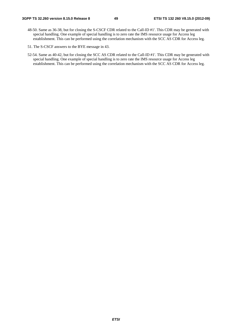- 48-50. Same as 36-38, but for closing the S-CSCF CDR related to the Call-ID #1'. This CDR may be generated with special handling. One example of special handling is to zero rate the IMS resource usage for Access leg establishment. This can be performed using the correlation mechanism with the SCC AS CDR for Access leg.
- 51. The S-CSCF answers to the BYE message in 43.
- 52-54. Same as 40-42, but for closing the SCC AS CDR related to the Call-ID #1'. This CDR may be generated with special handling. One example of special handling is to zero rate the IMS resource usage for Access leg establishment. This can be performed using the correlation mechanism with the SCC AS CDR for Access leg.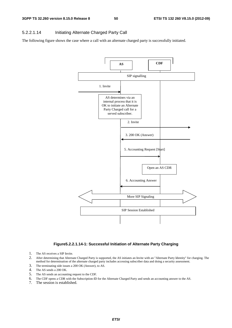# 5.2.2.1.14 Initiating Alternate Charged Party Call

The following figure shows the case where a call with an alternate charged party is successfully initiated.



**Figure5.2.2.1.14-1: Successful Initiation of Alternate Party Charging** 

- 1. The AS receives a SIP Invite.
- 2. After determining that Alternate Charged Party is supported, the AS initiates an Invite with an "Alternate Party Identity" for charging. The method for determination of the alternate charged party includes accessing subscriber data and doing a security assessment.
- 3. The terminating side issues a 200 OK (Answer), to AS.
- 4. The AS sends a 200 OK.
- 5. The AS sends an accounting request to the CDF.
- 6. The CDF opens a CDR with the Subscription-ID for the Alternate Charged Party and sends an accounting answer to the AS.
- 7. The session is established.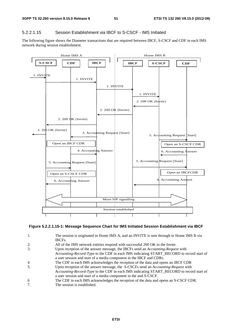## 5.2.2.1.15 Session Establishment via IBCF to S-CSCF - IMS Initiated

The following figure shows the Diameter transactions that are required between IBCF, S-CSCF and CDF in each IMS network during session establishment.



#### **Figure 5.2.2.1.15-1: Message Sequence Chart for IMS Initiated Session Establishment via IBCF**

- 1. The session is originated in Home IMS A, and an INVITE is sent through to Home IMS B via IBCFs.
- 2. All of the IMS network entities respond with successful 200 OK to the Invite.
- 3. Upon reception of the answer message, the IBCFs send an *Accounting-Request* with
- *Accounting-Record-Type* to the CDF in each IMS indicating START\_RECORD to record start of a user session and start of a media component in the IBCF and CDRs.
- 4 The CDF in each IMS acknowledges the reception of the data and opens an IBCF CDR<br>5. Upon reception of the answer message, the S-CSCFs send an *Accounting-Request* with
- 5. Upon reception of the answer message, the S-CSCFs send an *Accounting-Request* with *Accounting-Record-Type* to the CDF in each IMS indicating START\_RECORD to record start of a user session and start of a media component in the and S-CSCF.
- 6 The CDF in each IMS acknowledges the reception of the data and opens an S-CSCF CDR.
- 7. The session is established.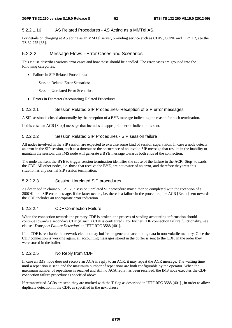### 5.2.2.1.16 AS Related Procedures - AS Acting as a MMTel AS.

For details on charging at AS acting as an MMTel server, providing service such as CDIV, CONF and TIP/TIR, see the TS 32.275 [35].

## 5.2.2.2 Message Flows - Error Cases and Scenarios

This clause describes various error cases and how these should be handled. The error cases are grouped into the following categories:

- Failure in SIP Related Procedures:
	- Session Related Error Scenarios;
	- Session Unrelated Error Scenarios.
- Errors in Diameter (Accounting) Related Procedures.

### 5.2.2.2.1 Session Related SIP Procedures- Reception of SIP error messages

A SIP session is closed abnormally by the reception of a BYE message indicating the reason for such termination.

In this case, an ACR [Stop] message that includes an appropriate error indication is sent.

### 5.2.2.2.2 Session Related SIP Procedures - SIP session failure

All nodes involved in the SIP session are expected to exercise some kind of session supervision. In case a node detects an error in the SIP session, such as a timeout or the occurrence of an invalid SIP message that results in the inability to maintain the session, this IMS node will generate a BYE message towards both ends of the connection.

The node that sent the BYE to trigger session termination identifies the cause of the failure in the ACR [Stop] towards the CDF. All other nodes, i.e. those that receive the BYE, are not aware of an error, and therefore they treat this situation as any normal SIP session termination.

### 5.2.2.2.3 Session Unrelated SIP procedures

As described in clause 5.1.2.1.2, a session unrelated SIP procedure may either be completed with the reception of a 200OK, or a SIP error message. If the latter occurs, i.e. there is a failure in the procedure, the ACR [Event] sent towards the CDF includes an appropriate error indication.

# 5.2.2.2.4 CDF Connection Failure

When the connection towards the primary CDF is broken, the process of sending accounting information should continue towards a secondary CDF (if such a CDF is configured). For further CDF connection failure functionality, see clause "*Transport Failure Detection*" in IETF RFC 3588 [401].

If no CDF is reachable the network element may buffer the generated accounting data in non-volatile memory. Once the CDF connection is working again, all accounting messages stored in the buffer is sent to the CDF, in the order they were stored in the buffer.

# 5.2.2.2.5 No Reply from CDF

In case an IMS node does not receive an ACA in reply to an ACR, it may repeat the ACR message. The waiting time until a repetition is sent, and the maximum number of repetitions are both configurable by the operator. When the maximum number of repetitions is reached and still no ACA reply has been received, the IMS node executes the CDF connection failure procedure as specified above.

If retransmitted ACRs are sent, they are marked with the T-flag as described in IETF RFC 3588 [401] , in order to allow duplicate detection in the CDF, as specified in the next clause.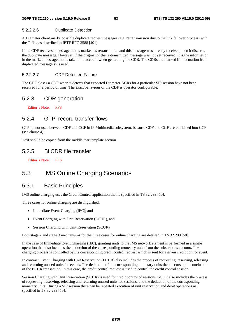#### 5.2.2.2.6 Duplicate Detection

A Diameter client marks possible duplicate request messages (e.g. retransmission due to the link failover process) with the T-flag as described in IETF RFC 3588 [401].

If the CDF receives a message that is marked as retransmitted and this message was already received, then it discards the duplicate message. However, if the original of the re-transmitted message was not yet received, it is the information in the marked message that is taken into account when generating the CDR. The CDRs are marked if information from duplicated message(s) is used.

## 5.2.2.2.7 CDF Detected Failure

The CDF closes a CDR when it detects that expected Diameter ACRs for a particular SIP session have not been received for a period of time. The exact behaviour of the CDF is operator configurable.

# 5.2.3 CDR generation

Editor's Note: FFS

# 5.2.4 GTP' record transfer flows

GTP' is not used between CDF and CGF in IP Multimedia subsystem, because CDF and CGF are combined into CCF (see clause 4).

Text should be copied from the middle tear template section.

# 5.2.5 Bi CDR file transfer

Editor's Note: FFS

# 5.3 IMS Online Charging Scenarios

# 5.3.1 Basic Principles

IMS online charging uses the Credit Control application that is specified in TS 32.299 [50].

Three cases for online charging are distinguished:

- Immediate Event Charging (IEC); and
- Event Charging with Unit Reservation (ECUR), and
- Session Charging with Unit Reservation (SCUR)

Both stage 2 and stage 3 mechanisms for the three cases for online charging are detailed in TS 32.299 [50].

In the case of Immediate Event Charging (IEC), granting units to the IMS network element is performed in a single operation that also includes the deduction of the corresponding monetary units from the subscriber's account. The charging process is controlled by the corresponding credit control request which is sent for a given credit control event.

In contrast, Event Charging with Unit Reservation (ECUR) also includes the process of requesting, reserving, releasing and returning unused units for events. The deduction of the corresponding monetary units then occurs upon conclusion of the ECUR transaction. In this case, the credit control request is used to control the credit control session.

Session Charging with Unit Reservation (SCUR) is used for credit control of sessions. SCUR also includes the process of requesting, reserving, releasing and returning unused units for sessions, and the deduction of the corresponding monetary units. During a SIP session there can be repeated execution of unit reservation and debit operations as specified in TS 32.299 [50].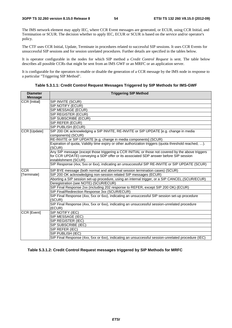The IMS network element may apply IEC, where CCR Event messages are generated, or ECUR, using CCR Initial, and Termination or SCUR. The decision whether to apply IEC, ECUR or SCUR is based on the service and/or operator's policy.

The CTF uses CCR Initial, Update, Terminate in procedures related to successful SIP sessions. It uses CCR Events for unsuccessful SIP sessions and for session unrelated procedures. Further details are specified in the tables below.

It is operator configurable in the nodes for which SIP method a *Credit Control Request* is sent. The table below describes all possible CCRs that might be sent from an IMS GWF or an MRFC or an application server.

It is configurable for the operators to enable or disable the generation of a CCR message by the IMS node in response to a particular "Triggering SIP Method".

| <b>Diameter</b>      | <b>Triggering SIP Method</b>                                                                           |  |  |
|----------------------|--------------------------------------------------------------------------------------------------------|--|--|
| <b>Message</b>       |                                                                                                        |  |  |
| <b>CCR</b> [Initial] | SIP INVITE (SCUR)                                                                                      |  |  |
|                      | SIP NOTIFY (ECUR)                                                                                      |  |  |
|                      | SIP MESSAGE (ECUR)                                                                                     |  |  |
|                      | SIP REGISTER (ECUR)                                                                                    |  |  |
|                      | SIP SUBSCRIBE (ECUR)                                                                                   |  |  |
|                      | SIP REFER (ECUR)                                                                                       |  |  |
|                      | SIP PUBLISH (ECUR)                                                                                     |  |  |
| CCR [Update]         | SIP 200 OK acknowledging a SIP INVITE, RE-INVITE or SIP UPDATE [e.g. change in media                   |  |  |
|                      | components] (SCUR)                                                                                     |  |  |
|                      | RE-INVITE or SIP UPDATE [e.g. change in media components] (SCUR)                                       |  |  |
|                      | Expiration of quota, Validity time expiry or other authorization triggers (quota threshold reached, ). |  |  |
|                      | (SCUR)                                                                                                 |  |  |
|                      | Any SIP message (except those triggering a CCR INITIAL or those not covered by the above triggers      |  |  |
|                      | for CCR UPDATE) conveying a SDP offer or its associated SDP answer before SIP session                  |  |  |
|                      | establishment (SCUR)                                                                                   |  |  |
|                      | SIP Response (4xx, 5xx or 6xx), indicating an unsuccessful SIP RE-INVITE or SIP UPDATE (SCUR)          |  |  |
| CCR                  | SIP BYE message (both normal and abnormal session termination cases) (SCUR)                            |  |  |
| [Terminate]          | SIP 200 OK acknowledging non-session related SIP messages (ECUR)                                       |  |  |
|                      | Aborting a SIP session set-up procedure, using an internal trigger, or a SIP CANCEL.(SCUR/ECUR)        |  |  |
|                      | Deregistration (see NOTE) (SCUR/ECUR)                                                                  |  |  |
|                      | SIP Final Response 2xx (including 202 response to REFER, except SIP 200 OK) (ECUR)                     |  |  |
|                      | SIP Final/Redirection Response 3xx (SCUR/ECUR)                                                         |  |  |
|                      | SIP Final Response (4xx, 5xx or 6xx), indicating an unsuccessful SIP session set-up procedure          |  |  |
|                      | (SCUR)                                                                                                 |  |  |
|                      | SIP Final Response (4xx, 5xx or 6xx), indicating an unsuccessful session-unrelated procedure           |  |  |
|                      | (ECUR)                                                                                                 |  |  |
| <b>CCR [Event]</b>   | SIP NOTIFY (IEC)                                                                                       |  |  |
|                      | SIP MESSAGE (IEC)                                                                                      |  |  |
|                      | SIP REGISTER (IEC)                                                                                     |  |  |
|                      | SIP SUBSCRIBE (IEC)                                                                                    |  |  |
|                      | SIP REFER (IEC)                                                                                        |  |  |
|                      | SIP PUBLISH (IEC)                                                                                      |  |  |
|                      | SIP Final Response (4xx, 5xx or 6xx), indicating an unsuccessful session-unrelated procedure (IEC)     |  |  |

**Table 5.3.1.1: Credit Control Request Messages Triggered by SIP Methods for IMS-GWF** 

#### **Table 5.3.1.2: Credit Control Request messages triggered by SIP Methods for MRFC**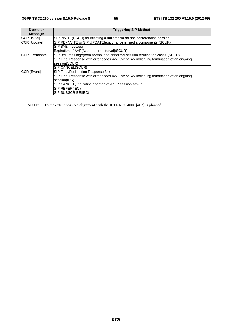| <b>Diameter</b> | <b>Triggering SIP Method</b>                                                             |
|-----------------|------------------------------------------------------------------------------------------|
| <b>Message</b>  |                                                                                          |
| CCR [Initial]   | SIP INVITE(SCUR) for initiating a multimedia ad hoc conferencing session                 |
| CCR [Update]    | SIP RE-INVITE or SIP UPDATE[e.g. change in media components](SCUR)                       |
|                 | SIP BYE message                                                                          |
|                 | Expiration of AVP[Acct-Interim-Interval] (SCUR)                                          |
| CCR [Terminate] | SIP BYE message(both normal and abnormal session termination cases)(SCUR)                |
|                 | SIP Final Response with error codes 4xx, 5xx or 6xx indicating termination of an ongoing |
|                 | session(SCUR)                                                                            |
|                 | <b>SIP CANCEL(SCUR)</b>                                                                  |
| CCR [Event]     | SIP Final/Redirection Response 3xx                                                       |
|                 | SIP Final Response with error codes 4xx, 5xx or 6xx indicating termination of an ongoing |
|                 | session(IEC)                                                                             |
|                 | SIP CANCEL, indicating abortion of a SIP session set-up                                  |
|                 | SIP REFER(IEC)                                                                           |
|                 | SIP SUBSCRIBE(IEC)                                                                       |

NOTE: To the extent possible alignment with the IETF RFC 4006 [402] is planned.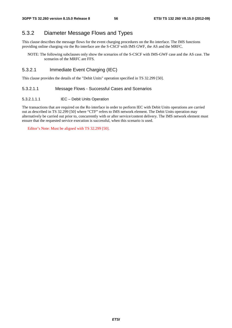# 5.3.2 Diameter Message Flows and Types

This clause describes the message flows for the event charging procedures on the Ro interface. The IMS functions providing online charging *via* the Ro interface are the S-CSCF with IMS GWF, the AS and the MRFC.

NOTE: The following subclauses only show the scenarios of the S-CSCF with IMS-GWF case and the AS case. The scenarios of the MRFC are FFS.

# 5.3.2.1 Immediate Event Charging (IEC)

This clause provides the details of the "Debit Units" operation specified in TS 32.299 [50].

#### 5.3.2.1.1 Message Flows - Successful Cases and Scenarios

#### 5.3.2.1.1.1 IEC – Debit Units Operation

The transactions that are required on the Ro interface in order to perform IEC with Debit Units operations are carried out as described in TS 32.299 [50] where "CTF" refers to IMS network element. The Debit Units operation may alternatively be carried out prior to, concurrently with or after service/content delivery. The IMS network element must ensure that the requested service execution is successful, when this scenario is used.

Editor's Note: Must be aligned with TS 32.299 [50].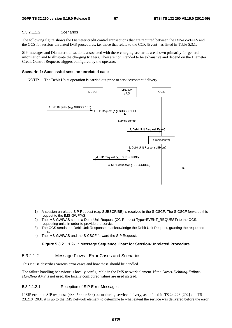## 5.3.2.1.1.2 Scenarios

The following figure shows the Diameter credit control transactions that are required between the IMS-GWF/AS and the OCS for session-unrelated IMS procedures, i.e. those that relate to the CCR [Event], as listed in Table 5.3.1.

SIP messages and Diameter transactions associated with these charging scenarios are shown primarily for general information and to illustrate the charging triggers. They are not intended to be exhaustive and depend on the Diameter Credit Control Requests triggers configured by the operator.

## **Scenario 1: Successful session unrelated case**

NOTE: The Debit Units operation is carried out prior to service/content delivery.



- 1) A session unrelated SIP Request (e.g. SUBSCRIBE) is received in the S-CSCF. The S-CSCF forwards this request to the IMS-GWF/AS.
- 2) The IMS-GWF/AS sends a Debit Unit Request (CC-Request-Type=EVENT\_REQUEST) to the OCS, requesting units in order to provide the service.
- 3) The OCS sends the Debit Unit Response to acknowledge the Debit Unit Request, granting the requested units.
- 4) The IMS-GWF/AS and the S-CSCF forward the SIP Request.

# **Figure 5.3.2.1.1.2-1 : Message Sequence Chart for Session-Unrelated Procedure**

# 5.3.2.1.2 Message Flows - Error Cases and Scenarios

This clause describes various error cases and how these should be handled.

The failure handling behaviour is locally configurable in the IMS network element. If the *Direct-Debiting-Failure-Handling* AVP is not used, the locally configured values are used instead.

# 5.3.2.1.2.1 Reception of SIP Error Messages

If SIP errors in SIP response (4xx, 5xx or 6xx) occur during service delivery, as defined in TS 24.228 [202] and TS 23.218 [203], it is up to the IMS network element to determine to what extent the service was delivered before the error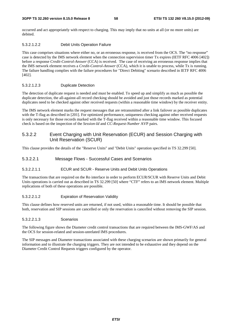occurred and act appropriately with respect to charging. This may imply that no units at all (or no more units) are debited.

#### 5.3.2.1.2.2 Debit Units Operation Failure

This case comprises situations where either no, or an erroneous response, is received from the OCS. The "no response" case is detected by the IMS network element when the connection supervision timer Tx expires (IETF RFC 4006 [402]) before a response *Credit-Control-Answer* (CCA) is received. The case of receiving an erroneous response implies that the IMS network element receives a *Credit-Control-Answer* (CCA), which it is unable to process, while Tx is running. The failure handling complies with the failure procedures for "Direct Debiting" scenario described in IETF RFC 4006 [402].

#### 5.3.2.1.2.3 Duplicate Detection

The detection of duplicate request is needed and must be enabled. To speed up and simplify as much as possible the duplicate detection, the all-against-all record checking should be avoided and just those records marked as potential duplicates need to be checked against other received requests (within a reasonable time window) by the receiver entity.

The IMS network element marks the request messages that are retransmitted after a link failover as possible duplicates with the T-flag as described in [201]. For optimized performance, uniqueness checking against other received requests is only necessary for those records marked with the T-flag received within a reasonable time window. This focused check is based on the inspection of the *Session-Id* and *CC-Request-Number* AVP pairs.

# 5.3.2.2 Event Charging with Unit Reservation (ECUR) and Session Charging with Unit Reservation (SCUR)

This clause provides the details of the "Reserve Units" and "Debit Units" operation specified in TS 32.299 [50].

#### 5.3.2.2.1 Message Flows - Successful Cases and Scenarios

#### 5.3.2.2.1.1 ECUR and SCUR - Reserve Units and Debit Units Operations

The transactions that are required on the Ro interface in order to perform ECUR/SCUR with Reserve Units and Debit Units operations is carried out as described in TS 32.299 [50] where "CTF" refers to an IMS network element. Multiple replications of both of these operations are possible.

#### 5.3.2.2.1.2 Expiration of Reservation Validity

This clause defines how reserved units are returned, if not used, within a reasonable time. It should be possible that both, reservation and SIP sessions are cancelled or only the reservation is cancelled without removing the SIP session.

#### 5.3.2.2.1.3 Scenarios

The following figure shows the Diameter credit control transactions that are required between the IMS-GWF/AS and the OCS for session-related and session-unrelated IMS procedures.

The SIP messages and Diameter transactions associated with these charging scenarios are shown primarily for general information and to illustrate the charging triggers. They are not intended to be exhaustive and they depend on the Diameter Credit Control Requests triggers configured by the operator.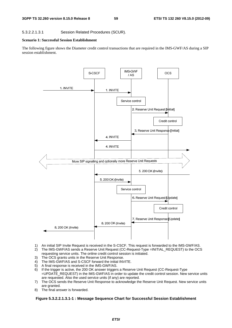# 5.3.2.2.1.3.1 Session Related Procedures (SCUR).

### **Scenario 1: Successful Session Establishment**

The following figure shows the Diameter credit control transactions that are required in the IMS-GWF/AS during a SIP session establishment.



- 1) An initial SIP Invite Request is received in the S-CSCF. This request is forwarded to the IMS-GWF/AS.
- 2) The IMS-GWF/AS sends a Reserve Unit Request (CC-Request-Type =INITIAL\_REQUEST) to the OCS requesting service units. The online credit control session is initiated.
- 3) The OCS grants units in the Reserve Unit Response.
- 4) The IMS-GWF/AS and S-CSCF forward the initial INVITE.
- 5) A final response is received in the IMS-GWF/AS.
- 6) If the trigger is active, the 200 OK answer triggers a Reserve Unit Request (CC-Request-Type =UPDATE\_REQUEST) in the IMS-GWF/AS in order to update the credit control session. New service units are requested. Also the used service units (if any) are reported.
- 7) The OCS sends the Reserve Unit Response to acknowledge the Reserve Unit Request. New service units are granted.
- 8) The final answer is forwarded.

# **Figure 5.3.2.2.1.3.1-1 : Message Sequence Chart for Successful Session Establishment**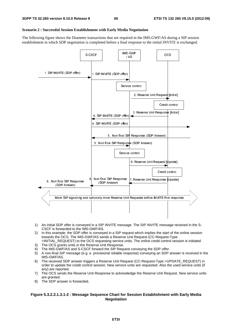#### **Scenario 2 : Successful Session Establishment with Early Media Negotiation**

The following figure shows the Diameter transactions that are required in the IMS-GWF/AS during a SIP session establishment in which SDP negotiation is completed before a final response to the initial INVITE is exchanged.



- 1) An initial SDP offer is conveyed in a SIP INVITE message. The SIP INVITE message received in the S-CSCF is forwarded to the IMS-GWF/AS.
- 2) In this example, the SDP offer is conveyed in a SIP request which implies the start of the online session towards the OCS. The IMS-GWF/AS sends a Reserve Unit Request (CC-Request-Type =INITIAL\_REQUEST) to the OCS requesting service units. The online credit control session is initiated.
- 3) The OCS grants units in the Reserve Unit Response.
- 4) The IMS-GWF/AS and S-CSCF forward the SIP Request conveying the SDP offer.
- 5) A non-final SIP message (e.g. a provisional reliable response) conveying an SDP answer is received in the IMS-GWF/AS.
- 6) The received SDP answer triggers a Reserve Unit Request (CC-Request-Type =UPDATE\_REQUEST) in order to update the credit control session. New service units are requested. Also the used service units (if any) are reported.
- 7) The OCS sends the Reserve Unit Response to acknowledge the Reserve Unit Request. New service units are granted.
- 8) The SDP answer is forwarded.

### **Figure 5.3.2.2.1.3.1-2 : Message Sequence Chart for Session Establishment with Early Media Negotiation**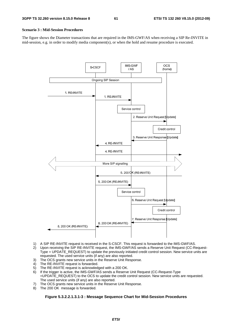#### **Scenario 3 : Mid-Session Procedures**

The figure shows the Diameter transactions that are required in the IMS-GWF/AS when receiving a SIP Re-INVITE in mid-session, e.g. in order to modify media component(s), or when the hold and resume procedure is executed.



- 1) A SIP RE-INVITE request is received in the S-CSCF. This request is forwarded to the IMS-GWF/AS.
- 2) Upon receiving the SIP RE-INVITE request, the IMS-GWF/AS sends a Reserve Unit Request (CC-Request-Type = UPDATE\_REQUEST) to update the previously initiated credit control session. New service units are requested. The used service units (if any) are also reported.
- 3) The OCS grants new service units in the Reserve Unit Response.
- 4) The RE-INVITE request is forwarded.
- 5) The RE-INVITE request is acknowledged with a 200 OK.
- 6) If the trigger is active, the IMS-GWF/AS sends a Reserve Unit Request (CC-Request-Type =UPDATE\_REQUEST) to the OCS to update the credit control session. New service units are requested. The used service units (if any) are also reported.
- 7) The OCS grants new service units in the Reserve Unit Response.
- 8) The 200 OK message is forwarded.

## **Figure 5.3.2.2.1.3.1-3 : Message Sequence Chart for Mid-Session Procedures**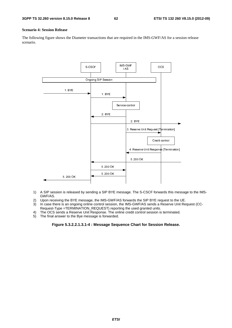#### **Scenario 4: Session Release**

The following figure shows the Diameter transactions that are required in the IMS-GWF/AS for a session release scenario.



- 1) A SIP session is released by sending a SIP BYE message. The S-CSCF forwards this message to the IMS-GWF/AS.
- 2) Upon receiving the BYE message, the IMS-GWF/AS forwards the SIP BYE request to the UE.<br>3) In case there is an ongoing online control session, the IMS-GWF/AS sends a Reserve Unit Req
- In case there is an ongoing online control session, the IMS-GWF/AS sends a Reserve Unit Request (CC-Request-Type =TERMINATION\_REQUEST) reporting the used granted units.
- 4) The OCS sends a Reserve Unit Response. The online credit control session is terminated.
- 5) The final answer to the Bye message is forwarded.

### **Figure 5.3.2.2.1.3.1-4 : Message Sequence Chart for Session Release.**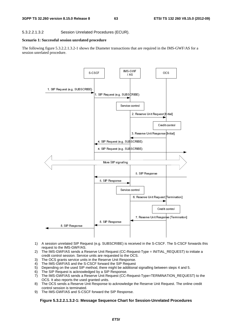## 5.3.2.2.1.3.2 Session Unrelated Procedures (ECUR).

### **Scenario 1: Successful session unrelated procedure**

The following figure 5.3.2.2.1.3.2-1 shows the Diameter transactions that are required in the IMS-GWF/AS for a session unrelated procedure.



- 1) A session unrelated SIP Request (e.g. SUBSCRIBE) is received in the S-CSCF. The S-CSCF forwards this request to the IMS-GWF/AS.
- 2) The IMS-GWF/AS sends a Reserve Unit Request (CC-Request-Type = INITIAL\_REQUEST) to initiate a credit control session. Service units are requested to the OCS.
- 3) The OCS grants service units in the Reserve Unit Response.
- 4) The IMS-GWF/AS and the S-CSCF forward the SIP Request
- 5) Depending on the used SIP method, there might be additional signalling between steps 4 and 5.
- 6) The SIP Request is acknowledged by a SIP Response.
- 7) The IMS-GWF/AS sends a Reserve Unit Request (CC-Request-Type=TERMINATION\_REQUEST) to the OCS. It also reports the used granted units.
- 8) The OCS sends a Reserve Unit Response to acknowledge the Reserve Unit Request. The online credit control session is terminated.
- 9) The IMS-GWF/AS and S-CSCF forward the SIP Response.

**Figure 5.3.2.2.1.3.2-1: Message Sequence Chart for Session-Unrelated Procedures**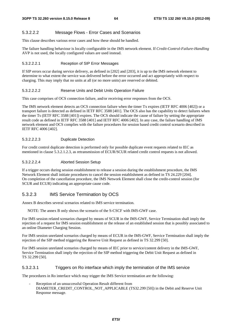#### 5.3.2.2.2 Message Flows - Error Cases and Scenarios

This clause describes various error cases and how these should be handled.

The failure handling behaviour is locally configurable in the IMS network element. If *Credit-Control-Failure-Handling* AVP is not used, the locally configured values are used instead.

#### 5.3.2.2.2.1 Reception of SIP Error Messages

If SIP errors occur during service delivery, as defined in [202] and [203], it is up to the IMS network element to determine to what extent the service was delivered before the error occurred and act appropriately with respect to charging. This may imply that no units at all (or no more units) are reserved or debited.

#### 5.3.2.2.2.2 Reserve Units and Debit Units Operation Failure

This case comprises of OCS connection failure, and/or receiving error responses from the OCS.

The IMS network element detects an OCS connection failure when the timer Tx expires (IETF RFC 4006 [402]) or a transport failure is detected as defined in IETF RFC 3588 [401]. The OCS also has the capability to detect failures when the timer Ts (IETF RFC 3588 [401]) expires. The OCS should indicate the cause of failure by setting the appropriate result code as defined in IETF RFC 3588 [401] and IETF RFC 4006 [402]. In any case, the failure handling of IMS network element and OCS complies with the failure procedures for session based credit control scenario described in IETF RFC 4006 [402].

#### 5.3.2.2.2.3 Duplicate Detection

For credit control duplicate detection is performed only for possible duplicate event requests related to IEC as mentioned in clause 5.3.2.1.2.3, as retransmission of ECUR/SCUR related credit control requests is not allowed.

#### 5.3.2.2.2.4 Aborted Session Setup

If a trigger occurs during session establishment to release a session during the establishment procedure, the IMS Network Element shall initiate procedures to cancel the session establishment as defined in TS 24.229 [204]. On completion of the cancellation procedure, the IMS Network Element shall close the credit-control session (for SCUR and ECUR) indicating an appropriate cause code.

# 5.3.2.3 IMS Service Termination by OCS

Annex B describes several scenarios related to IMS service termination.

NOTE: The annex B only shows the scenario of the S-CSCF with IMS-GWF case.

For IMS session related scenarios charged by means of SCUR in the IMS-GWF, Service Termination shall imply the rejection of a request for IMS session establishment or the release of an established session that is possibly associated to an online Diameter Charging Session.

For IMS session unrelated scenarios charged by means of ECUR in the IMS-GWF, Service Termination shall imply the rejection of the SIP method triggering the Reserve Unit Request as defined in TS 32.299 [50].

For IMS session unrelated scenarios charged by means of IEC prior to service/content delivery in the IMS-GWF, Service Termination shall imply the rejection of the SIP method triggering the Debit Unit Request as defined in TS 32.299 [50].

#### 5.3.2.3.1 Triggers on Ro interface which imply the termination of the IMS service

The procedures in Ro interface which may trigger the IMS Service termination are the following:

Reception of an unsuccessful Operation Result different from DIAMETER\_CREDIT\_CONTROL\_NOT\_APPLICABLE (TS32.299 [50]) in the Debit and Reserve Unit Response message.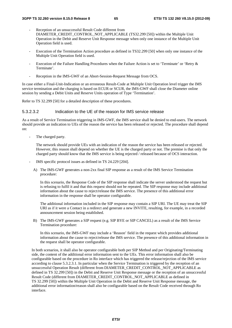- Reception of an unsuccessful Result Code different from DIAMETER\_CREDIT\_CONTROL\_NOT\_APPLICABLE (TS32.299 [50]) within the Multiple Unit Operation in the Debit and Reserve Unit Response message when only one instance of the Multiple Unit Operation field is used.
- Execution of the Termination Action procedure as defined in TS32.299 [50] when only one instance of the Multiple Unit Operation field is used.
- Execution of the Failure Handling Procedures when the Failure Action is set to 'Terminate' or 'Retry & Terminate'.
- Reception in the IMS-GWF of an Abort-Session-Request Message from OCS.

In case either a Final-Unit-Indication or an erroneous Result-Code at Multiple Unit Operation level trigger the IMS service termination and the charging is based on ECUR or SCUR, the IMS-GWF shall close the Diameter online session by sending a Debit Units and Reserve Units operation of Type 'Termination'.

Refer to TS 32.299 [50] for a detailed description of these procedures.

#### 5.3.2.3.2 Indication to the UE of the reason for IMS service release

As a result of Service Termination triggering in IMS-GWF, the IMS service shall be denied to end-users. The network should provide an indication to UEs of the reason the service has been released or rejected. The procedure shall depend on:

The charged party.

The network should provide UEs with an indication of the reason the service has been released or rejected. However, this reason shall depend on whether the UE is the charged party or not. The premise is that only the charged party should know that the IMS service is being rejected / released because of OCS interaction.

- IMS specific protocol issues as defined in TS 24.229 [204].
	- A) The IMS-GWF generates a non-2xx final SIP response as a result of the IMS Service Termination procedure:

In this scenario, the Response Code of the SIP response shall indicate the server understood the request but is refusing to fulfil it and that this request should not be repeated. The SIP response may include additional information about the cause to reject/release the IMS service. The presence of this additional error information in the response shall be operator configurable.

The additional information included in the SIP response may contain a SIP URI. The UE may treat the SIP URI as if it were a Contact in a redirect and generate a new INVITE, resulting, for example, in a recorded announcement session being established.

B) The IMS-GWF generates a SIP request (e.g. SIP BYE or SIP CANCEL) as a result of the IMS Service Termination procedure:

In this scenario, the IMS-GWF may include a 'Reason' field in the request which provides additional information about the cause to reject/release the IMS service. The presence of this additional information in the request shall be operator configurable.

In both scenarios, it shall also be operator configurable both per SIP Method and per Originating/Terminating side, the content of the additional error information sent to the UEs. This error information shall also be configurable based on the procedure in Ro interface which has triggered the release/rejection of the IMS service according to clause 5.3.2.3.1. In particular when the Service Termination is triggered by the reception of an unsuccessful Operation Result (different from DIAMETER\_CREDIT\_CONTROL\_NOT\_APPLICABLE as defined in TS 32.299 [50]) in the Debit and Reserve Unit Response message or the reception of an unsuccessful Result Code (different from DIAMETER\_CREDIT\_CONTROL\_NOT\_APPLICABLE as defined in TS 32.299 [50]) within the Multiple Unit Operation in the Debit and Reserve Unit Response message, the additional error information/reason shall also be configurable based on the Result Code received through Ro interface.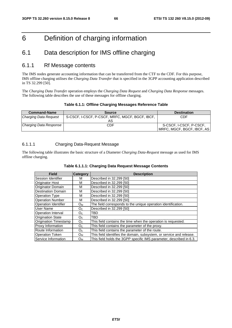# 6 Definition of charging information

# 6.1 Data description for IMS offline charging

# 6.1.1 Rf Message contents

The IMS nodes generate accounting information that can be transferred from the CTF to the CDF. For this purpose, IMS offline charging utilises the *Charging Data Transfer* that is specified in the 3GPP accounting application described in TS 32.299 [50].

The *Charging Data Transfe*r operation employs the *Charging Data Request* and *Charging Data Response* messages. The following table describes the use of these messages for offline charging.

|  | Table 6.1.1: Offline Charging Messages Reference Table |
|--|--------------------------------------------------------|
|--|--------------------------------------------------------|

| <b>Command-Name</b>    | <b>Source</b>                                   | <b>Destination</b>         |
|------------------------|-------------------------------------------------|----------------------------|
| Charging Data Request  | S-CSCF, I-CSCF, P-CSCF, MRFC, MGCF, BGCF, IBCF, | CDF                        |
|                        |                                                 |                            |
| Charging Data Response | CDF                                             | S-CSCF, I-CSCF, P-CSCF,    |
|                        |                                                 | MRFC, MGCF, BGCF, IBCF, AS |

# 6.1.1.1 Charging Data-Request Message

The following table illustrates the basic structure of a Diameter *Charging Data-Request* message as used for IMS offline charging.

|  |  | Table 6.1.1.1: Charging Data Request Message Contents |  |  |
|--|--|-------------------------------------------------------|--|--|
|--|--|-------------------------------------------------------|--|--|

| <b>Field</b>                 | <b>Category</b> | <b>Description</b>                                                   |
|------------------------------|-----------------|----------------------------------------------------------------------|
| Session Identifier           | м               | Described in 32.299 [50]                                             |
| <b>Originator Host</b>       | м               | Described in 32.299 [50]                                             |
| Originator Domain            | м               | Described in 32,299 [50]                                             |
| <b>Destination Domain</b>    | М               | Described in 32.299 [50]                                             |
| <b>Operation Type</b>        | м               | Described in 32.299 [50]                                             |
| <b>Operation Number</b>      | М               | Described in 32,299 [50]                                             |
| <b>Operation Identifier</b>  | $O_{M}$         | The field corresponds to the unique operation identification.        |
| User Name                    | O <sub>C</sub>  | Described in 32.299 [50]                                             |
| <b>Operation Interval</b>    | O <sub>C</sub>  | TBD                                                                  |
| <b>Origination State</b>     | O <sub>C</sub>  | TBD                                                                  |
| <b>Origination Timestamp</b> | O <sub>C</sub>  | This field contains the time when the operation is requested.        |
| Proxy Information            | O <sub>c</sub>  | This field contains the parameter of the proxy.                      |
| Route Information            | O <sub>C</sub>  | This field contains the parameter of the route.                      |
| <b>Operation Token</b>       | $O_{M}$         | This field identifies the domain, subsystem, or service and release. |
| Service Information          | $O_{M}$         | This field holds the 3GPP specific IMS parameter, described in 6.3.  |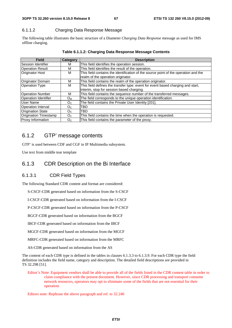#### **3GPP TS 32.260 version 8.15.0 Release 8 67 ETSI TS 132 260 V8.15.0 (2012-09)**

# 6.1.1.2 Charging Data Response Message

The following table illustrates the basic structure of a Diameter *Charging Data Response* message as used for IMS offline charging.

| <b>Field</b>                | Category       | <b>Description</b>                                                                  |
|-----------------------------|----------------|-------------------------------------------------------------------------------------|
| Session Identifier          | м              | This field identifies the operation session.                                        |
| <b>Operation Result</b>     | м              | This field identifies the result of the operation.                                  |
| <b>Originator Host</b>      | м              | This field contains the identification of the source point of the operation and the |
|                             |                | realm of the operation originator.                                                  |
| Originator Domain           | м              | This field contains the realm of the operation originator.                          |
| <b>Operation Type</b>       | м              | This field defines the transfer type: event for event based charging and start,     |
|                             |                | interim, stop for session based charging.                                           |
| <b>Operation Number</b>     | М              | This field contains the sequence number of the transferred messages.                |
| <b>Operation Identifier</b> | $O_{M}$        | The field corresponds to the unique operation identification.                       |
| User Name                   | O <sub>C</sub> | The field contains the Private User Identity [201].                                 |
| Operation Interval          | O <sub>C</sub> | <b>TBD</b>                                                                          |
| <b>Origination State</b>    | O <sub>C</sub> | <b>TBD</b>                                                                          |
| Origination Timestamp       | O <sub>C</sub> | This field contains the time when the operation is requested.                       |
| <b>Proxy Information</b>    | O <sub>c</sub> | This field contains the parameter of the proxy.                                     |

**Table 6.1.1.2: Charging Data Response Message Contents** 

# 6.1.2 GTP' message contents

GTP' is used between CDF and CGF in IP Multimedia subsystem.

Use text from middle tear template

# 6.1.3 CDR Description on the Bi Interface

# 6.1.3.1 CDR Field Types

The following Standard CDR content and format are considered:

S-CSCF-CDR generated based on information from the S-CSCF

I-CSCF-CDR generated based on information from the I-CSCF

P-CSCF-CDR generated based on information from the P-CSCF

BGCF-CDR generated based on information from the BGCF

IBCF-CDR generated based on information from the IBCF

MGCF-CDR generated based on information from the MGCF

MRFC-CDR generated based on information from the MRFC

AS-CDR generated based on information from the AS

The content of each CDR type is defined in the tables in clauses 6.1.3.3 to 6.1.3.9. For each CDR type the field definition includes the field name, category and description. The detailed field descriptions are provided in TS 32.298 [51].

Editor's Note: Equipment vendors shall be able to provide all of the fields listed in the CDR content table in order to claim compliance with the present document. However, since CDR processing and transport consume network resources, operators may opt to eliminate some of the fields that are not essential for their operation.

Editors note: Rephrase the above paragraph and ref. to 32.240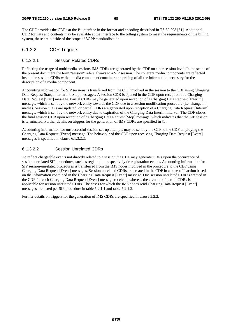The CDF provides the CDRs at the Bi interface in the format and encoding described in TS 32.298 [51]. Additional CDR formats and contents may be available at the interface to the billing system to meet the requirements of the billing system, these are outside of the scope of 3GPP standardisation.

# 6.1.3.2 CDR Triggers

#### 6.1.3.2.1 Session Related CDRs

Reflecting the usage of multimedia sessions IMS CDRs are generated by the CDF on a per session level. In the scope of the present document the term "session" refers always to a SIP session. The coherent media components are reflected inside the session CDRs with a media component container comprising of all the information necessary for the description of a media component.

Accounting information for SIP sessions is transferred from the CTF involved in the session to the CDF using Charging Data Request Start, Interim and Stop messages. A session CDR is opened in the CDF upon reception of a Charging Data Request [Start] message. Partial CDRs may be generated upon reception of a Charging Data Request [Interim] message, which is sent by the network entity towards the CDF due to a session modification procedure (i.e. change in media). Session CDRs are updated, or partial CDRs are generated upon reception of a Charging Data Request [Interim] message, which is sent by the network entity due to expiration of the Charging Data Interim Interval. The CDF closes the final session CDR upon reception of a Charging Data Request [Stop] message, which indicates that the SIP session is terminated. Further details on triggers for the generation of IMS CDRs are specified in [1].

Accounting information for unsuccessful session set-up attempts may be sent by the CTF to the CDF employing the Charging Data Request [Event] message. The behaviour of the CDF upon receiving Charging Data Request [Event] messages is specified in clause 6.1.3.2.2.

### 6.1.3.2.2 Session Unrelated CDRs

To reflect chargeable events not directly related to a session the CDF may generate CDRs upon the occurrence of session unrelated SIP procedures, such as registration respectively de-registration events. Accounting information for SIP session-unrelated procedures is transferred from the IMS nodes involved in the procedure to the CDF using Charging Data Request [Event] messages. Session unrelated CDRs are created in the CDF in a "one-off" action based on the information contained in the Charging Data Request [Event] message. One session unrelated CDR is created in the CDF for each Charging Data Request [Event] message received, whereas the creation of partial CDRs is not applicable for session unrelated CDRs. The cases for which the IMS nodes send Charging Data Request [Event] messages are listed per SIP procedure in table 5.2.1.1 and table 5.2.1.2.

Further details on triggers for the generation of IMS CDRs are specified in clause 5.2.2.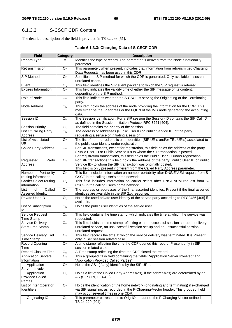# 6.1.3.3 S-CSCF CDR Content

The detailed description of the field is provided in TS 32.298 [51].

# **Table 6.1.3.3: Charging Data of S-CSCF CDR**

| <b>Field</b>                                | <b>Category</b>           | <b>Description</b>                                                                                                                                                                                                                                                 |
|---------------------------------------------|---------------------------|--------------------------------------------------------------------------------------------------------------------------------------------------------------------------------------------------------------------------------------------------------------------|
| Record Type                                 | м                         | Identifies the type of record. The parameter is derived from the Node functionality<br>parameter.                                                                                                                                                                  |
| Retransmission                              | $\overline{O}_C$          | This parameter, when present, indicates that information from retransmitted Charging<br>Data Requests has been used in this CDR                                                                                                                                    |
| SIP Method                                  | O <sub>C</sub>            | Specifies the SIP-method for which the CDR is generated. Only available in session<br>unrelated cases.                                                                                                                                                             |
| Event                                       | O <sub>C</sub>            | This field identifies the SIP event package to which the SIP request is referred.                                                                                                                                                                                  |
| <b>Expires Information</b>                  | O <sub>C</sub>            | This field indicates the validity time of either the SIP message or its content,                                                                                                                                                                                   |
|                                             |                           | depending on the SIP method.                                                                                                                                                                                                                                       |
| Role of Node                                | $O_{M}$                   | This field indicates whether the S-CSCF is serving the Originating or the Terminating<br>party.                                                                                                                                                                    |
| <b>Node Address</b>                         | O <sub>M</sub>            | This item holds the address of the node providing the information for the CDR. This<br>may either be the IP address or the FQDN of the IMS node generating the accounting<br>data.                                                                                 |
| Session ID                                  | $O_M$                     | The Session identification. For a SIP session the Session-ID contains the SIP Call ID<br>as defined in the Session Initiation Protocol RFC 3261 [404].                                                                                                             |
| <b>Session Priority</b>                     | O <sub>C</sub>            | The field contains the priority of the session.                                                                                                                                                                                                                    |
| List Of Calling Party                       | $O_{M}$                   | The address or addresses (Public User ID or Public Service ID) of the party                                                                                                                                                                                        |
| Address                                     |                           | requesting a service or initiating a session.                                                                                                                                                                                                                      |
| List of Associated<br><b>URI</b>            | O <sub>C</sub>            | The list of non-barred public user identities (SIP URIs and/or TEL URIs) associated to<br>the public user identity under registration.                                                                                                                             |
| <b>Called Party Address</b>                 | $O_M$                     | For SIP transactions, except for registration, this field holds the address of the party<br>(Public User ID or Public Service ID) to whom the SIP transaction is posted.<br>For registration transactions, this field holds the Public User ID under registration. |
| Requested<br>Party                          | O <sub>C</sub>            | For SIP transactions this field holds the address of the party (Public User ID or Public                                                                                                                                                                           |
| <b>Address</b>                              |                           | Service ID) to whom the SIP transaction was originally posted.<br>This field is only present if different from the Called Party Address parameter.                                                                                                                 |
| Portability<br><b>Number</b>                | O <sub>C</sub>            | This field includes information on number portability after DNS/ENUM request from S-                                                                                                                                                                               |
| routing information                         |                           | CSCF in the calling user's home network.                                                                                                                                                                                                                           |
| <b>Carrier Select routing</b>               | O <sub>c</sub>            | This field includes information on carrier select after DNS/ENUM request from S-                                                                                                                                                                                   |
| information                                 |                           | CSCF in the calling user's home network.                                                                                                                                                                                                                           |
| Called<br>of<br>List                        | O <sub>C</sub>            | The address or addresses of the final asserted identities. Present if the final asserted                                                                                                                                                                           |
| Asserted Identity                           |                           | identities are available in the SIP 2xx response.                                                                                                                                                                                                                  |
| Private User ID                             | O <sub>C</sub>            | Holds the used private user identity of the served party according to RFC2486 [405] if<br>available.                                                                                                                                                               |
| List of Subscription                        | $O_{M}$                   | Holds the public user identities of the served user                                                                                                                                                                                                                |
| ld                                          |                           |                                                                                                                                                                                                                                                                    |
| Service Request                             | $O_{M}$                   | This field contains the time stamp, which indicates the time at which the service was                                                                                                                                                                              |
| <b>Time Stamp</b>                           |                           | requested.                                                                                                                                                                                                                                                         |
| Service Delivery<br><b>Start Time Stamp</b> | $O_{M}$                   | This field holds the time stamp reflecting either: successful session set-up, a delivery<br>unrelated service, an unsuccessful session set-up and an unsuccessful session<br>unrelated request.                                                                    |
| Service Delivery End                        | O <sub>C</sub>            | This field records the time at which the service delivery was terminated. It is Present                                                                                                                                                                            |
| <b>Time Stamp</b>                           |                           | only in SIP session related case.                                                                                                                                                                                                                                  |
| <b>Record Opening</b><br>Time               | O <sub>C</sub>            | A time stamp reflecting the time the CDF opened this record. Present only in SIP<br>session related case.                                                                                                                                                          |
| <b>Record Closure Time</b>                  | $\mathsf{O}_{\mathsf{M}}$ | A Time stamp reflecting the time the CDF closed the record.                                                                                                                                                                                                        |
| <b>Application Servers</b>                  | O <sub>C</sub>            | This a grouped CDR field containing the fields: "Application Server Involved" and                                                                                                                                                                                  |
| Information                                 |                           | "Application Provided Called Parties".                                                                                                                                                                                                                             |
| Application<br>Servers Involved             | O <sub>C</sub>            | Holds the ASs (if any) identified by the SIP URIs.                                                                                                                                                                                                                 |
| Application                                 | O <sub>C</sub>            | Holds a list of the Called Party Address(es), if the address(es) are determined by an                                                                                                                                                                              |
| <b>Provided Called</b><br>Parties           |                           | AS (SIP URI, E.164).                                                                                                                                                                                                                                               |
| List of Inter Operator                      | O <sub>c</sub>            | Holds the identification of the home network (originating and terminating) if exchanged                                                                                                                                                                            |
| <b>Identifiers</b>                          |                           | via SIP signalling, as recorded in the P-Charging-Vector header. This grouped field<br>may occur several times in one CDR.                                                                                                                                         |
| Originating IOI                             | O <sub>C</sub>            | This parameter corresponds to Orig-IOI header of the P-Charging-Vector defined in                                                                                                                                                                                  |
|                                             |                           | TS 24.229 [204].                                                                                                                                                                                                                                                   |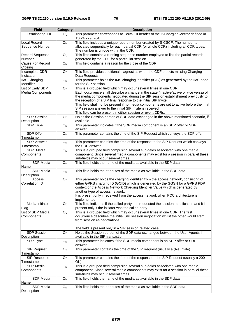| <b>Field</b>                                 | <b>Category</b>           | <b>Description</b>                                                                                                                                                                                                                                                                                                                                                                                                                                                                                                                             |
|----------------------------------------------|---------------------------|------------------------------------------------------------------------------------------------------------------------------------------------------------------------------------------------------------------------------------------------------------------------------------------------------------------------------------------------------------------------------------------------------------------------------------------------------------------------------------------------------------------------------------------------|
| <b>Terminating IOI</b>                       | O <sub>C</sub>            | This parameter corresponds to Term-IOI header of the P-Charging-Vector defined in<br>TS 24.229 [204].                                                                                                                                                                                                                                                                                                                                                                                                                                          |
| Local Record<br>Sequence Number              | O <sub>M</sub>            | This field includes a unique record number created by S-CSCF. The number is<br>allocated sequentially for each partial CDR (or whole CDR) including all CDR types.<br>The number is unique within the CDF.                                                                                                                                                                                                                                                                                                                                     |
| Record Sequence<br>Number                    | O <sub>C</sub>            | This field contains a running sequence number employed to link the partial records<br>generated by the CDF for a particular session.                                                                                                                                                                                                                                                                                                                                                                                                           |
| Cause For Record<br>Closing                  | $O_{M}$                   | This field contains a reason for the close of the CDR.                                                                                                                                                                                                                                                                                                                                                                                                                                                                                         |
| Incomplete CDR<br>Indication                 | O <sub>C</sub>            | This field provides additional diagnostics when the CDF detects missing Charging<br>Data Requests.                                                                                                                                                                                                                                                                                                                                                                                                                                             |
| <b>IMS Charging</b><br>Identifier            | O <sub>M</sub>            | This parameter holds the IMS charging identifier (ICID) as generated by the IMS node<br>for the SIP session.                                                                                                                                                                                                                                                                                                                                                                                                                                   |
| List of Early SDP<br><b>Media Components</b> | O <sub>C</sub>            | This is a grouped field which may occur several times in one CDR.<br>Each occurrence shall describe a change in the state (inactive/active or vice versa) of<br>the media components negotiated during the SIP session establishment previously to<br>the reception of a SIP final response to the initial SIP Invite.<br>This field shall not be present if no media components are set to active before the final<br>SIP session answer to the initial SIP Invite is received.<br>This field can be present in either session or event CDRs. |
| <b>SDP Session</b><br>Description            | O <sub>C</sub>            | Holds the Session portion of SDP data exchanged in the above mentioned scenario, if<br>available.                                                                                                                                                                                                                                                                                                                                                                                                                                              |
| SDP Type                                     | $O_{M}$                   | This parameter indicates if the SDP media component is an SDP offer or SDP<br>answer.                                                                                                                                                                                                                                                                                                                                                                                                                                                          |
| SDP Offer<br>Timestamp                       | $O_M$                     | This parameter contains the time of the SIP Request which conveys the SDP offer.                                                                                                                                                                                                                                                                                                                                                                                                                                                               |
| <b>SDP Answer</b><br>Timestamp               | $O_M$                     | This parameter contains the time of the response to the SIP Request which conveys<br>the SDP answer.                                                                                                                                                                                                                                                                                                                                                                                                                                           |
| SDP Media<br>Components                      | O <sub>M</sub>            | This is a grouped field comprising several sub-fields associated with one media<br>component. Since several media components may exist for a session in parallel these<br>sub-fields may occur several times.                                                                                                                                                                                                                                                                                                                                  |
| <b>SDP</b> Media<br>Name                     | $O_M$                     | This field holds the name of the media as available in the SDP data.                                                                                                                                                                                                                                                                                                                                                                                                                                                                           |
| SDP Media<br>Description                     | ${\mathsf O}_{\mathsf M}$ | This field holds the attributes of the media as available in the SDP data.                                                                                                                                                                                                                                                                                                                                                                                                                                                                     |
| Access<br>Correlation ID                     | O <sub>C</sub>            | This parameter holds the charging identifier from the access network, consisting of<br>either GPRS charging ID (GCID) which is generated by the GGSN for a GPRS PDP<br>context or the Access Network Charging Identifier Value which is generated by<br>another type of access network.<br>It is present only if received from the access network when PCC architecture is<br>implemented.                                                                                                                                                     |
| Media Initiator<br>Flag                      | O <sub>C</sub>            | This field indicates if the called party has requested the session modification and it is<br>present only if the initiator was the called party.                                                                                                                                                                                                                                                                                                                                                                                               |
| List of SDP Media<br>Components              | $\mathsf{O}_\mathbb{C}$   | This is a grouped field which may occur several times in one CDR. The first<br>occurrence describes the initial SIP session negotiation whilst the other would stem<br>from session re-negotiations.<br>The field is present only in a SIP session related case.                                                                                                                                                                                                                                                                               |
| <b>SDP Session</b><br>Description            | $\mathsf{O}_\mathbb{C}$   | Holds the Session portion of the SDP data exchanged between the User Agents if<br>available in the SIP transaction.                                                                                                                                                                                                                                                                                                                                                                                                                            |
| SDP Type                                     | $\mathsf{O}_{\mathsf{M}}$ | This parameter indicates if the SDP media component is an SDP offer or SDP<br>answer.                                                                                                                                                                                                                                                                                                                                                                                                                                                          |
| SIP Request<br>Timestamp                     | O <sub>C</sub>            | This parameter contains the time of the SIP Request (usually a (Re)Invite).                                                                                                                                                                                                                                                                                                                                                                                                                                                                    |
| SIP Response<br>Timestamp                    | O <sub>C</sub>            | This parameter contains the time of the response to the SIP Request (usually a 200<br>OK).                                                                                                                                                                                                                                                                                                                                                                                                                                                     |
| SDP Media<br>Components                      | $O_M$                     | This is a grouped field comprising several sub-fields associated with one media<br>component. Since several media components may exist for a session in parallel these<br>sub-fields may occur several times.                                                                                                                                                                                                                                                                                                                                  |
| SDP Media<br>Name                            | $O_{M}$                   | This field holds the name of the media as available in the SDP data.                                                                                                                                                                                                                                                                                                                                                                                                                                                                           |
| SDP Media<br>Description                     | $\mathsf{O}_{\mathsf{M}}$ | This field holds the attributes of the media as available in the SDP data.                                                                                                                                                                                                                                                                                                                                                                                                                                                                     |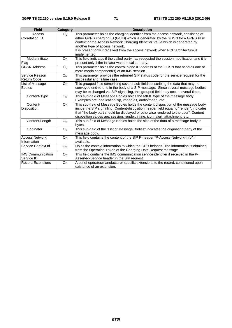| <b>Field</b>                           | Category       | <b>Description</b>                                                                                                                                                                                                                                                                                                                                      |
|----------------------------------------|----------------|---------------------------------------------------------------------------------------------------------------------------------------------------------------------------------------------------------------------------------------------------------------------------------------------------------------------------------------------------------|
| Access<br>Correlation ID               | O <sub>c</sub> | This parameter holds the charging identifier from the access network, consisting of<br>either GPRS charging ID (GCID) which is generated by the GGSN for a GPRS PDP<br>context or the Access Network Charging Identifier Value which is generated by                                                                                                    |
|                                        |                | another type of access network.                                                                                                                                                                                                                                                                                                                         |
|                                        |                | It is present only if received from the access network when PCC architecture is<br>implemented.                                                                                                                                                                                                                                                         |
| Media Initiator<br>Flag                | O <sub>C</sub> | This field indicates if the called party has requested the session modification and it is<br>present only if the initiator was the called party.                                                                                                                                                                                                        |
| <b>GGSN Address</b>                    | O <sub>C</sub> | This parameter holds the control plane IP address of the GGSN that handles one or<br>more media component(s) of an IMS session.                                                                                                                                                                                                                         |
| Service Reason<br><b>Return Code</b>   | $O_{M}$        | This parameter provides the returned SIP status code for the service request for the<br>successful and failure case,                                                                                                                                                                                                                                    |
| List of Message<br><b>Bodies</b>       | O <sub>C</sub> | This grouped field comprising several sub-fields describing the data that may be<br>conveyed end-to-end in the body of a SIP message. Since several message bodies<br>may be exchanged via SIP-signalling, this grouped field may occur several times.                                                                                                  |
| Content-Type                           | O <sub>M</sub> | This sub-field of Message Bodies holds the MIME type of the message body,<br>Examples are: application/zip, image/gif, audio/mpeg, etc.                                                                                                                                                                                                                 |
| Content-<br>Disposition                | O <sub>C</sub> | This sub-field of Message Bodies holds the content disposition of the message body<br>inside the SIP signalling, Content-disposition header field equal to "render", indicates<br>that "the body part should be displayed or otherwise rendered to the user". Content<br>disposition values are: session, render, inline, icon, alert, attachment, etc. |
| Content-Length                         | $O_{M}$        | This sub-field of Message Bodies holds the size of the data of a message body in<br>bytes.                                                                                                                                                                                                                                                              |
| Originator                             | O <sub>C</sub> | This sub-field of the "List of Message Bodies" indicates the originating party of the<br>message body.                                                                                                                                                                                                                                                  |
| <b>Access Network</b><br>Information   | O <sub>C</sub> | This field contains the content of the SIP P-header "P-Access-Network-Info" if<br>available.                                                                                                                                                                                                                                                            |
| Service Context Id                     | O <sub>M</sub> | Holds the context information to which the CDR belongs. The information is obtained<br>from the Operation Token of the Charging Data Request message.                                                                                                                                                                                                   |
| <b>IMS Communication</b><br>Service ID | O <sub>C</sub> | This field contains the IMS communication service identifier if received in the P-<br>Asserted-Service header in the SIP request.                                                                                                                                                                                                                       |
| <b>Record Extensions</b>               | O <sub>C</sub> | A set of operator/manufacturer specific extensions to the record, conditioned upon<br>existence of an extension.                                                                                                                                                                                                                                        |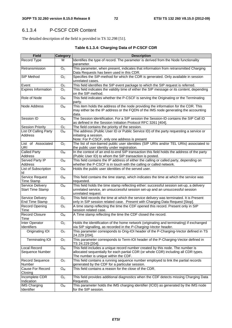# 6.1.3.4 P-CSCF CDR Content

The detailed description of the field is provided in TS 32.298 [51].

### **Table 6.1.3.4: Charging Data of P-CSCF CDR**

| <b>Field</b>                                | <b>Category</b> | <b>Description</b>                                                                                                                                                                              |  |  |  |
|---------------------------------------------|-----------------|-------------------------------------------------------------------------------------------------------------------------------------------------------------------------------------------------|--|--|--|
| Record Type                                 | м               | Identifies the type of record. The parameter is derived from the Node functionality<br>parameter.                                                                                               |  |  |  |
| Retransmission                              | O <sub>C</sub>  | This parameter, when present, indicates that information from retransmitted Charging<br>Data Requests has been used in this CDR.                                                                |  |  |  |
| SIP Method                                  | O <sub>C</sub>  | Specifies the SIP-method for which the CDR is generated. Only available in session<br>unrelated cases.                                                                                          |  |  |  |
| Event                                       | O <sub>C</sub>  | This field identifies the SIP event package to which the SIP request is referred.                                                                                                               |  |  |  |
| <b>Expires Information</b>                  | O <sub>C</sub>  | This field indicates the validity time of either the SIP message or its content, depending<br>on the SIP method.                                                                                |  |  |  |
| Role of Node                                | $O_M$           | This field indicates whether the P-CSCF is serving the Originating or the Terminating<br>party.                                                                                                 |  |  |  |
| <b>Node Address</b>                         | $O_{M}$         | This item holds the address of the node providing the information for the CDR. This<br>may either be the IP address or the FQDN of the IMS node generating the accounting<br>data.              |  |  |  |
| Session ID                                  | O <sub>M</sub>  | The Session identification. For a SIP session the Session-ID contains the SIP Call ID<br>as defined in the Session Initiation Protocol RFC 3261 [404].                                          |  |  |  |
| <b>Session Priority</b>                     | O <sub>C</sub>  | The field contains the priority of the session.                                                                                                                                                 |  |  |  |
| List Of Calling Party<br>Address            | $O_{M}$         | The address (Public User ID or Public Service ID) of the party requesting a service or<br>initiating a session.                                                                                 |  |  |  |
|                                             |                 | Note: For P-CSCF, only one address is present                                                                                                                                                   |  |  |  |
| List of Associated<br>URI                   | O <sub>C</sub>  | The list of non-barred public user identities (SIP URIs and/or TEL URIs) associated to<br>the public user identity under registration.                                                          |  |  |  |
| <b>Called Party</b><br>Address              | $O_{M}$         | In the context of an end-to-end SIP transaction this field holds the address of the party<br>(Public User ID) to whom the SIP transaction is posted.                                            |  |  |  |
| <b>Served Party IP</b>                      | $O_{M}$         | This field contains the IP address of either the calling or called party, depending on                                                                                                          |  |  |  |
| Address                                     |                 | whether the P-CSCF is in touch with the calling or called network.                                                                                                                              |  |  |  |
| List of Subscription<br>ld                  | $O_{M}$         | Holds the public user identities of the served user.                                                                                                                                            |  |  |  |
| Service Request<br><b>Time Stamp</b>        | $O_M$           | This field contains the time stamp, which indicates the time at which the service was<br>requested.                                                                                             |  |  |  |
| Service Delivery<br><b>Start Time Stamp</b> | $O_{M}$         | This field holds the time stamp reflecting either: successful session set-up, a delivery<br>unrelated service, an unsuccessful session set-up and an unsuccessful session<br>unrelated request. |  |  |  |
| Service Delivery<br><b>End Time Stamp</b>   | O <sub>C</sub>  | This field records the time at which the service delivery was terminated. It is Present<br>only in SIP session related case. Present with Charging Data Request [Stop].                         |  |  |  |
| <b>Record Opening</b><br>Time               | O <sub>C</sub>  | A time stamp reflecting the time the CDF opened this record. Present only in SIP<br>session related case.                                                                                       |  |  |  |
| <b>Record Closure</b><br>Time               | $O_M$           | A Time stamp reflecting the time the CDF closed the record.                                                                                                                                     |  |  |  |
| Inter Operator<br>Identifiers               | O <sub>c</sub>  | Holds the identification of the home network (originating and terminating) if exchanged<br>via SIP signalling, as recorded in the P-Charging-Vector header.                                     |  |  |  |
| Originating IOI                             | O <sub>c</sub>  | This parameter corresponds to Orig-IOI header of the P-Charging-Vector defined in TS<br>24.229 [204].                                                                                           |  |  |  |
| <b>Terminating IOI</b>                      | O <sub>C</sub>  | This parameter corresponds to Term-IOI header of the P-Charging-Vector defined in<br>TS 24.229 [204].                                                                                           |  |  |  |
| Local Record                                | $O_M$           | This field includes a unique record number created by this node. The number is                                                                                                                  |  |  |  |
| Sequence Number                             |                 | allocated sequentially for each partial CDR (or whole CDR) including all CDR types.<br>The number is unique within the CDF.                                                                     |  |  |  |
| Record Sequence<br>Number                   | O <sub>C</sub>  | This field contains a running sequence number employed to link the partial records<br>generated by the CDF for a particular session.                                                            |  |  |  |
| Cause For Record<br>Closing                 | $O_{M}$         | This field contains a reason for the close of the CDR.                                                                                                                                          |  |  |  |
| Incomplete CDR<br>Indication                | O <sub>c</sub>  | This field provides additional diagnostics when the CDF detects missing Charging Data<br>Requests.                                                                                              |  |  |  |
| <b>IMS Charging</b><br>Identifier           | $O_{M}$         | This parameter holds the IMS charging identifier (ICID) as generated by the IMS node<br>for the SIP session.                                                                                    |  |  |  |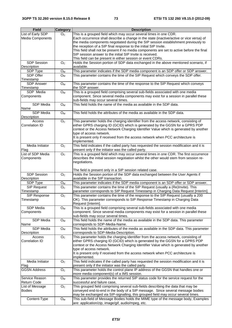| <b>Field</b>                 | <b>Category</b>           | <b>Description</b>                                                                                                           |  |  |  |
|------------------------------|---------------------------|------------------------------------------------------------------------------------------------------------------------------|--|--|--|
| List of Early SDP            | O <sub>C</sub>            | This is a grouped field which may occur several times in one CDR.                                                            |  |  |  |
| <b>Media Components</b>      |                           | Each occurrence shall describe a change in the state (inactive/active or vice versa) of                                      |  |  |  |
|                              |                           | the media components negotiated during the SIP session establishment previously to                                           |  |  |  |
|                              |                           | the reception of a SIP final response to the initial SIP Invite.                                                             |  |  |  |
|                              |                           | This field shall not be present if no media components are set to active before the final                                    |  |  |  |
|                              |                           | SIP session answer to the initial SIP Invite is received.                                                                    |  |  |  |
|                              |                           | This field can be present in either session or event CDRs.                                                                   |  |  |  |
| <b>SDP Session</b>           | O <sub>C</sub>            | Holds the Session portion of SDP data exchanged in the above mentioned scenario, if                                          |  |  |  |
| Description                  |                           | available.                                                                                                                   |  |  |  |
| SDP Type                     | ${\mathsf O}_{\mathsf M}$ | This parameter indicates if the SDP media component is an SDP offer or SDP answer.                                           |  |  |  |
| SDP Offer                    | O <sub>M</sub>            | This parameter contains the time of the SIP Request which conveys the SDP offer.                                             |  |  |  |
| Timestamp                    |                           |                                                                                                                              |  |  |  |
| <b>SDP Answer</b>            | $O_M$                     | This parameter contains the time of the response to the SIP Request which conveys                                            |  |  |  |
| Timestamp                    |                           | the SDP answer.                                                                                                              |  |  |  |
| SDP Media                    | $O_{M}$                   | This is a grouped field comprising several sub-fields associated with one media                                              |  |  |  |
| Components                   |                           | component. Since several media components may exist for a session in parallel these                                          |  |  |  |
|                              |                           | sub-fields may occur several times.                                                                                          |  |  |  |
| SDP Media                    | O <sub>M</sub>            | This field holds the name of the media as available in the SDP data.                                                         |  |  |  |
| Name                         |                           |                                                                                                                              |  |  |  |
| <b>SDP Media</b>             | $O_{M}$                   | This field holds the attributes of the media as available in the SDP data.                                                   |  |  |  |
| Description                  |                           |                                                                                                                              |  |  |  |
| Access                       | O <sub>C</sub>            | This parameter holds the charging identifier from the access network, consisting of                                          |  |  |  |
| Correlation ID               |                           | either GPRS charging ID (GCID) which is generated by the GGSN for a GPRS PDP                                                 |  |  |  |
|                              |                           | context or the Access Network Charging Identifier Value which is generated by another                                        |  |  |  |
|                              |                           | type of access network.                                                                                                      |  |  |  |
|                              |                           | It is present only if received from the access network when PCC architecture is                                              |  |  |  |
|                              |                           | implemented.                                                                                                                 |  |  |  |
| Media Initiator              | O <sub>C</sub>            | This field indicates if the called party has requested the session modification and it is                                    |  |  |  |
| Flag                         |                           | present only if the initiator was the called party.                                                                          |  |  |  |
| List of SDP Media            | O <sub>C</sub>            | This is a grouped field which may occur several times in one CDR. The first occurrence                                       |  |  |  |
| Components                   |                           | describes the initial session negotiation whilst the other would stem from session re-                                       |  |  |  |
|                              |                           | negotiations.                                                                                                                |  |  |  |
|                              |                           |                                                                                                                              |  |  |  |
|                              |                           | The field is present only in a SIP session related case.                                                                     |  |  |  |
| <b>SDP Session</b>           | $\overline{O}_C$          | Holds the Session portion of the SDP data exchanged between the User Agents if                                               |  |  |  |
| Description                  |                           | available in the SIP transaction.                                                                                            |  |  |  |
| SDP Type                     | O <sub>M</sub>            | This parameter indicates if the SDP media component is an SDP offer or SDP answer.                                           |  |  |  |
| <b>SIP Request</b>           | O <sub>C</sub>            | This parameter contains the time of the SIP Request (usually a (Re)Invite). This                                             |  |  |  |
| Timestamp                    |                           | parameter corresponds to SIP Request Timestamp in Charging Data Request [Interim].                                           |  |  |  |
| SIP Response                 | $\overline{O}_C$          | This parameter contains the time of the response to the SIP Request (usually a 200                                           |  |  |  |
| Timestamp                    |                           | OK). This parameter corresponds to SIP Response Timestamp in Charging Data                                                   |  |  |  |
|                              |                           | Request [Interim].                                                                                                           |  |  |  |
| SDP Media                    | O <sub>M</sub>            | This is a grouped field comprising several sub-fields associated with one media                                              |  |  |  |
| Components                   |                           | component. Since several media components may exist for a session in parallel these                                          |  |  |  |
|                              |                           | sub-fields may occur several times.<br>This field holds the name of the media as available in the SDP data. This parameter   |  |  |  |
| SDP Media                    | O <sub>M</sub>            |                                                                                                                              |  |  |  |
| Name                         |                           | corresponds to SDP-Media-Name.<br>This field holds the attributes of the media as available in the SDP data. This parameter  |  |  |  |
| SDP Media                    | $O_M$                     |                                                                                                                              |  |  |  |
| <b>Description</b><br>Access | O <sub>C</sub>            | corresponds to SDP-Media-Description.<br>This parameter holds the charging identifier from the access network, consisting of |  |  |  |
| Correlation ID               |                           | either GPRS charging ID (GCID) which is generated by the GGSN for a GPRS PDP                                                 |  |  |  |
|                              |                           | context or the Access Network Charging Identifier Value which is generated by another                                        |  |  |  |
|                              |                           | type of access network.                                                                                                      |  |  |  |
|                              |                           | It is present only if received from the access network when PCC architecture is                                              |  |  |  |
|                              |                           | implemented.                                                                                                                 |  |  |  |
| Media Initiator              | O <sub>c</sub>            | This field indicates if the called party has requested the session modification and it is                                    |  |  |  |
| Flag                         |                           | present only if the initiator was the called party.                                                                          |  |  |  |
| <b>GGSN Address</b>          | O <sub>C</sub>            | This parameter holds the control plane IP address of the GGSN that handles one or                                            |  |  |  |
|                              |                           | more media component(s) of a IMS session.                                                                                    |  |  |  |
| Service Reason               | $O_{M}$                   | This parameter provides the returned SIP status code for the service request for the                                         |  |  |  |
| <b>Return Code</b>           |                           | successful and failure case,                                                                                                 |  |  |  |
| List of Message              | O <sub>C</sub>            | This grouped field comprising several sub-fields describing the data that may be                                             |  |  |  |
| <b>Bodies</b>                |                           | conveyed end-to-end in the body of a SIP message. Since several message bodies                                               |  |  |  |
|                              |                           | may be exchanged via SIP-signalling, this grouped field may occur several times.                                             |  |  |  |
| Content-Type                 | $O_M$                     | This sub-field of Message Bodies holds the MIME type of the message body, Examples                                           |  |  |  |
|                              |                           | are: application/zip, image/gif, audio/mpeg, etc.                                                                            |  |  |  |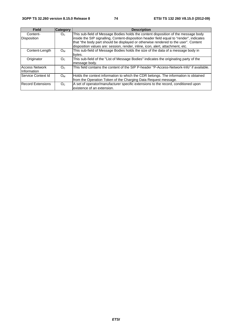| <b>Field</b>             | <b>Category</b> | <b>Description</b>                                                                        |  |  |  |
|--------------------------|-----------------|-------------------------------------------------------------------------------------------|--|--|--|
| Content-                 | O <sub>c</sub>  | This sub-field of Message Bodies holds the content disposition of the message body        |  |  |  |
| <b>Disposition</b>       |                 | inside the SIP signalling, Content-disposition header field equal to "render", indicates  |  |  |  |
|                          |                 | that "the body part should be displayed or otherwise rendered to the user". Content       |  |  |  |
|                          |                 | disposition values are: session, render, inline, icon, alert, attachment, etc.            |  |  |  |
| Content-Length           | $O_{M}$         | This sub-field of Message Bodies holds the size of the data of a message body in          |  |  |  |
|                          |                 | bytes.                                                                                    |  |  |  |
| Originator               | O <sub>c</sub>  | This sub-field of the "List of Message Bodies" indicates the originating party of the     |  |  |  |
|                          |                 | message body.                                                                             |  |  |  |
| <b>Access Network</b>    | O <sub>c</sub>  | This field contains the content of the SIP P-header "P-Access-Network-Info" if available. |  |  |  |
| IInformation             |                 |                                                                                           |  |  |  |
| Service Context Id       | Oм              | Holds the context information to which the CDR belongs. The information is obtained       |  |  |  |
|                          |                 | from the Operation Token of the Charging Data Request message.                            |  |  |  |
| <b>Record Extensions</b> | O <sub>c</sub>  | A set of operator/manufacturer specific extensions to the record, conditioned upon        |  |  |  |
|                          |                 | existence of an extension.                                                                |  |  |  |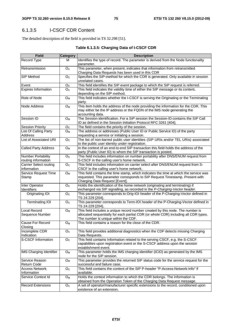# 6.1.3.5 I-CSCF CDR Content

The detailed description of the field is provided in TS 32.298 [51].

#### **Table 6.1.3.5: Charging Data of I-CSCF CDR**

| <b>Field</b>                                     | <b>Category</b> | <b>Description</b>                                                                                                                                                                                            |  |  |  |
|--------------------------------------------------|-----------------|---------------------------------------------------------------------------------------------------------------------------------------------------------------------------------------------------------------|--|--|--|
| Record Type                                      | м               | Identifies the type of record. The parameter is derived from the Node functionality<br>parameter.                                                                                                             |  |  |  |
| Retransmission                                   | O <sub>c</sub>  | This parameter, when present, indicates that information from retransmitted<br>Charging Data Requests has been used in this CDR                                                                               |  |  |  |
| SIP Method                                       | O <sub>C</sub>  | Specifies the SIP-method for which the CDR is generated. Only available in session<br>unrelated cases.                                                                                                        |  |  |  |
| Event                                            | O <sub>C</sub>  | This field identifies the SIP event package to which the SIP request is referred.                                                                                                                             |  |  |  |
| <b>Expires Information</b>                       | O <sub>c</sub>  | This field indicates the validity time of either the SIP message or its content,<br>depending on the SIP method.                                                                                              |  |  |  |
| Role of Node                                     | $O_M$           | This field indicates whether the I-CSCF is serving the Originating or the Terminating<br>party.                                                                                                               |  |  |  |
| Node Address                                     | O <sub>M</sub>  | This item holds the address of the node providing the information for the CDR. This<br>may either be the IP address or the FQDN of the IMS node generating the<br>accounting data.                            |  |  |  |
| Session ID                                       | $O_M$           | The Session identification. For a SIP session the Session-ID contains the SIP Call<br>ID as defined in the Session Initiation Protocol RFC 3261 [404].                                                        |  |  |  |
| <b>Session Priority</b>                          | O <sub>C</sub>  | The field contains the priority of the session.                                                                                                                                                               |  |  |  |
| List Of Calling Party<br>Address                 | $O_{M}$         | The address or addresses (Public User ID or Public Service ID) of the party<br>requesting a service or initiating a session.                                                                                  |  |  |  |
| List of Associated URI                           | O <sub>C</sub>  | The list of non-barred public user identities (SIP URIs and/or TEL URIs) associated<br>to the public user identity under registration.                                                                        |  |  |  |
| <b>Called Party Address</b>                      | O <sub>M</sub>  | In the context of an end-to-end SIP transaction this field holds the address of the<br>party (Public User ID) to whom the SIP transaction is posted.                                                          |  |  |  |
| <b>Number Portability</b><br>routing information | O <sub>C</sub>  | This field includes information on number portability after DNS/ENUM request from<br>S-CSCF in the calling user's home network.                                                                               |  |  |  |
| <b>Carrier Select routing</b><br>information     | O <sub>C</sub>  | This field includes information on carrier select after DNS/ENUM request from S-<br>CSCF in the calling user's home network.                                                                                  |  |  |  |
| Service Request Time<br>Stamp                    | $O_M$           | This field contains the time stamp, which indicates the time at which the service was<br>requested. This parameter corresponds to SIP Request Timestamp. Present with<br>Charging Data Request [Event].       |  |  |  |
| Inter Operator<br>Identifiers                    | O <sub>c</sub>  | Holds the identification of the home network (originating and terminating) if<br>exchanged via SIP signalling, as recorded in the P-Charging-Vector header.                                                   |  |  |  |
| Originating IOI                                  | O <sub>C</sub>  | This parameter corresponds to Orig-IOI header of the P-Charging-Vector defined in<br>TS 24.229 [204].                                                                                                         |  |  |  |
| <b>Terminating IOI</b>                           | O <sub>C</sub>  | This parameter corresponds to Term-IOI header of the P-Charging-Vector defined in<br>TS 24.229 [204].                                                                                                         |  |  |  |
| <b>Local Record</b><br>Sequence Number           | O <sub>M</sub>  | This field includes a unique record number created by this node. The number is<br>allocated sequentially for each partial CDR (or whole CDR) including all CDR types.<br>The number is unique within the CDF. |  |  |  |
| Cause For Record<br>Closing                      | $O_{M}$         | This field contains a reason for the close of the CDR.                                                                                                                                                        |  |  |  |
| Incomplete CDR<br>Indication                     | O <sub>C</sub>  | This field provides additional diagnostics when the CDF detects missing Charging<br>Data Requests.                                                                                                            |  |  |  |
| <b>S-CSCF Information</b>                        | O <sub>C</sub>  | This field contains Information related to the serving CSCF, e.g. the S-CSCF<br>capabilities upon registration event or the S-CSCF address upon the session<br>establishment event.                           |  |  |  |
| <b>IMS Charging Identifier</b>                   | O <sub>M</sub>  | This parameter holds the IMS charging identifier (ICID) as generated by the IMS<br>node for the SIP session.                                                                                                  |  |  |  |
| Service Reason<br><b>Return Code</b>             | $O_{M}$         | This parameter provides the returned SIP status code for the service request for the<br>successful and failure case,                                                                                          |  |  |  |
| <b>Access Network</b><br>Information             | O <sub>c</sub>  | This field contains the content of the SIP P-header "P-Access-Network-Info" if<br>available.                                                                                                                  |  |  |  |
| Service Context Id                               | $O_{M}$         | Holds the context information to which the CDR belongs. The information is<br>obtained from the Operation Token of the Charging Data Request message.                                                         |  |  |  |
| <b>Record Extensions</b>                         | O <sub>C</sub>  | A set of operator/manufacturer specific extensions to the record, conditioned upon<br>existence of an extension.                                                                                              |  |  |  |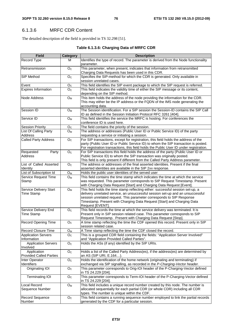# 6.1.3.6 MRFC CDR Content

The detailed description of the field is provided in TS 32.298 [51].

### **Table 6.1.3.6: Charging Data of MRFC CDR**

| <b>Field</b>                                  | <b>Category</b>         | <b>Description</b>                                                                                                                                                                                                                                                                                                                        |  |  |
|-----------------------------------------------|-------------------------|-------------------------------------------------------------------------------------------------------------------------------------------------------------------------------------------------------------------------------------------------------------------------------------------------------------------------------------------|--|--|
| Record Type                                   | М                       | Identifies the type of record. The parameter is derived from the Node functionality<br>parameter.                                                                                                                                                                                                                                         |  |  |
| Retransmission                                | O <sub>C</sub>          | This parameter, when present, indicates that information from retransmitted<br>Charging Data Requests has been used in this CDR.                                                                                                                                                                                                          |  |  |
| SIP Method                                    | O <sub>C</sub>          | Specifies the SIP-method for which the CDR is generated. Only available in<br>session unrelated cases.                                                                                                                                                                                                                                    |  |  |
| Event                                         | O <sub>C</sub>          | This field identifies the SIP event package to which the SIP request is referred.                                                                                                                                                                                                                                                         |  |  |
| <b>Expires Information</b>                    | O <sub>C</sub>          | This field indicates the validity time of either the SIP message or its content,<br>depending on the SIP method.                                                                                                                                                                                                                          |  |  |
| <b>Node Address</b>                           | $O_{M}$                 | This item holds the address of the node providing the information for the CDR.<br>This may either be the IP address or the FQDN of the IMS node generating the<br>accounting data.                                                                                                                                                        |  |  |
| Session ID                                    | $O_{M}$                 | The Session identification. For a SIP session the Session-ID contains the SIP Call<br>ID as defined in the Session Initiation Protocol RFC 3261 [404].                                                                                                                                                                                    |  |  |
| Service ID                                    | O <sub>M</sub>          | This field identifies the service the MRFC is hosting. For conferences the<br>conference ID is used here.                                                                                                                                                                                                                                 |  |  |
| <b>Session Priority</b>                       | O <sub>C</sub>          | The field contains the priority of the session.                                                                                                                                                                                                                                                                                           |  |  |
| List Of Calling Party<br>Address              | $O_{M}$                 | The address or addresses (Public User ID or Public Service ID) of the party<br>requesting a service or initiating a session.                                                                                                                                                                                                              |  |  |
| <b>Called Party Address</b>                   | O <sub>C</sub>          | For SIP transactions, except for registration, this field holds the address of the<br>party (Public User ID or Public Service ID) to whom the SIP transaction is posted.<br>For registration transactions, this field holds the Public User ID under registration.                                                                        |  |  |
| Requested<br>Party<br><b>Address</b>          | O <sub>C</sub>          | For SIP transactions this field holds the address of the party (Public User ID or<br>Public Service ID) to whom the SIP transaction was originally posted.<br>This field is only present if different from the Called Party Address parameter.                                                                                            |  |  |
| List of Called Asserted<br>Identity           | O <sub>C</sub>          | The address or addresses of the final asserted identities. Present if the final<br>asserted identities are available in the SIP 2xx response.                                                                                                                                                                                             |  |  |
| List of Subscription Id                       | $O_M$                   | Holds the public user identities of the served user                                                                                                                                                                                                                                                                                       |  |  |
| Service Request Time<br>Stamp                 | $O_{M}$                 | This field contains the time stamp which indicates the time at which the service<br>was requested. This parameter corresponds to SIP Request Timestamp. Present<br>with Charging Data Request [Start] and Charging Data Request [Event].                                                                                                  |  |  |
| Service Delivery Start<br><b>Time Stamp</b>   | O <sub>M</sub>          | This field holds the time stamp reflecting either: successful session set-up, a<br>delivery unrelated service, an unsuccessful session set-up and an unsuccessful<br>session unrelated request. This parameter corresponds to SIP Response<br>Timestamp. Present with Charging Data Request [Start] and Charging Data<br>Request [EVENT]. |  |  |
| Service Delivery End<br><b>Time Stamp</b>     | O <sub>C</sub>          | This field records the time at which the service delivery was terminated. It is<br>Present only in SIP session related case. This parameter corresponds to SIP<br>Request Timestamp. Present with Charging Data Request [Stop].                                                                                                           |  |  |
| <b>Record Opening Time</b>                    | O <sub>c</sub>          | A time stamp reflecting the time the CDF opened this record. Present only in SIP<br>session related case.                                                                                                                                                                                                                                 |  |  |
| Record Closure Time                           | $O_M$                   | A Time stamp reflecting the time the CDF closed the record.                                                                                                                                                                                                                                                                               |  |  |
| <b>Application Servers</b><br>Information     | $\mathsf{O}_\mathbb{C}$ | This is a grouped CDR field containing the fields: "Application Server Involved"<br>and "Application Provided Called Parties".                                                                                                                                                                                                            |  |  |
| <b>Application Servers</b><br>Involved        | O <sub>C</sub>          | Holds the ASs (if any) identified by the SIP URIs.                                                                                                                                                                                                                                                                                        |  |  |
| Application<br><b>Provided Called Parties</b> | O <sub>C</sub>          | Holds a list of the Called Party Address(es), if the address(es) are determined by<br>an AS (SIP URI, E.164).                                                                                                                                                                                                                             |  |  |
| Inter Operator<br>Identifiers                 | O <sub>C</sub>          | Holds the identification of the home network (originating and terminating) if<br>exchanged via SIP signalling, as recorded in the P-Charging-Vector header.                                                                                                                                                                               |  |  |
| Originating IOI                               | O <sub>C</sub>          | This parameter corresponds to Orig-IOI header of the P-Charging-Vector defined<br>in TS 24.229 [204].                                                                                                                                                                                                                                     |  |  |
| <b>Terminating IOI</b>                        | O <sub>C</sub>          | This parameter corresponds to Term-IOI header of the P-Charging-Vector defined<br>in TS 24.229 [204].                                                                                                                                                                                                                                     |  |  |
| Local Record<br>Sequence Number               | O <sub>M</sub>          | This field includes a unique record number created by this node. The number is<br>allocated sequentially for each partial CDR (or whole CDR) including all CDR<br>types. The number is unique within the CDF.                                                                                                                             |  |  |
| Record Sequence<br>Number                     | O <sub>C</sub>          | This field contains a running sequence number employed to link the partial records<br>generated by the CDF for a particular session.                                                                                                                                                                                                      |  |  |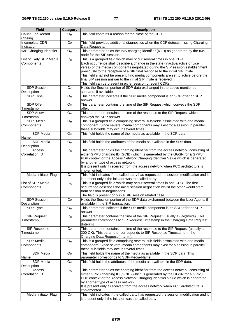| <b>Field</b>                          | Category                  | <b>Description</b>                                                                                                                                                                                                                                                                                                                                                                                                                                                                                                                             |  |  |  |
|---------------------------------------|---------------------------|------------------------------------------------------------------------------------------------------------------------------------------------------------------------------------------------------------------------------------------------------------------------------------------------------------------------------------------------------------------------------------------------------------------------------------------------------------------------------------------------------------------------------------------------|--|--|--|
| Cause For Record<br>Closing           | $O_{M}$                   | This field contains a reason for the close of the CDR.                                                                                                                                                                                                                                                                                                                                                                                                                                                                                         |  |  |  |
| Incomplete CDR<br>Indication          | O <sub>C</sub>            | This field provides additional diagnostics when the CDF detects missing Charging<br>Data Requests.                                                                                                                                                                                                                                                                                                                                                                                                                                             |  |  |  |
| IMS Charging Identifier               | $\mathsf{O}_{\mathsf{M}}$ | This parameter holds the IMS charging identifier (ICID) as generated by the IMS<br>node for the SIP session.                                                                                                                                                                                                                                                                                                                                                                                                                                   |  |  |  |
| List of Early SDP Media<br>Components | O <sub>C</sub>            | This is a grouped field which may occur several times in one CDR.<br>Each occurrence shall describe a change in the state (inactive/active or vice<br>versa) of the media components negotiated during the SIP session establishment<br>previously to the reception of a SIP final response to the initial SIP Invite.<br>This field shall not be present if no media components are set to active before the<br>final SIP session answer to the initial SIP Invite is received.<br>This field can be present in either session or event CDRs. |  |  |  |
| <b>SDP Session</b><br>Description     | O <sub>C</sub>            | Holds the Session portion of SDP data exchanged in the above mentioned<br>scenario, if available.                                                                                                                                                                                                                                                                                                                                                                                                                                              |  |  |  |
| SDP Type                              | $O_M$                     | This parameter indicates if the SDP media component is an SDP offer or SDP<br>answer.                                                                                                                                                                                                                                                                                                                                                                                                                                                          |  |  |  |
| SDP Offer<br>Timestamp                | O <sub>M</sub>            | This parameter contains the time of the SIP Request which conveys the SDP<br>offer.                                                                                                                                                                                                                                                                                                                                                                                                                                                            |  |  |  |
| <b>SDP Answer</b><br>Timestamp        | $O_M$                     | This parameter contains the time of the response to the SIP Request which<br>conveys the SDP answer.                                                                                                                                                                                                                                                                                                                                                                                                                                           |  |  |  |
| SDP Media<br>Components               | $O_M$                     | This is a grouped field comprising several sub-fields associated with one media<br>component. Since several media components may exist for a session in parallel<br>these sub-fields may occur several times.                                                                                                                                                                                                                                                                                                                                  |  |  |  |
| SDP Media<br>Name                     | $O_{M}$                   | This field holds the name of the media as available in the SDP data.                                                                                                                                                                                                                                                                                                                                                                                                                                                                           |  |  |  |
| <b>SDP</b> Media<br>Description       | $O_{M}$                   | This field holds the attributes of the media as available in the SDP data.                                                                                                                                                                                                                                                                                                                                                                                                                                                                     |  |  |  |
| Access<br>Correlation ID              | O <sub>C</sub>            | This parameter holds the charging identifier from the access network, consisting of<br>either GPRS charging ID (GCID) which is generated by the GGSN for a GPRS<br>PDP context or the Access Network Charging Identifier Value which is generated<br>by another type of access network.<br>It is present only if received from the access network when PCC architecture is<br>implemented.                                                                                                                                                     |  |  |  |
| Media Initiator Flag                  | O <sub>c</sub>            | This field indicates if the called party has requested the session modification and it<br>is present only if the initiator was the called party.                                                                                                                                                                                                                                                                                                                                                                                               |  |  |  |
| List of SDP Media<br>Components       | O <sub>C</sub>            | This is a grouped field which may occur several times in one CDR. The first<br>occurrence describes the initial session negotiation whilst the other would stem<br>from session re-negotiations.<br>The field is present only in a SIP session related case                                                                                                                                                                                                                                                                                    |  |  |  |
| <b>SDP Session</b><br>Description     | O <sub>C</sub>            | Holds the Session portion of the SDP data exchanged between the User Agents if<br>available in the SIP transaction.                                                                                                                                                                                                                                                                                                                                                                                                                            |  |  |  |
| SDP Type                              | $\mathsf{O}_{\mathsf{M}}$ | This parameter indicates if the SDP media component is an SDP offer or SDP<br>answer.                                                                                                                                                                                                                                                                                                                                                                                                                                                          |  |  |  |
| <b>SIP Request</b><br>Timestamp       | O <sub>C</sub>            | This parameter contains the time of the SIP Request (usually a (Re)Invite). This<br>parameter corresponds to SIP Request Timestamp in the Charging Data Request<br>[Interim].                                                                                                                                                                                                                                                                                                                                                                  |  |  |  |
| SIP Response<br>Timestamp             | O <sub>C</sub>            | This parameter contains the time of the response to the SIP Request (usually a<br>200 OK). This parameter corresponds to SIP Response Timestamp In the<br>Charging Data Request [Interim]                                                                                                                                                                                                                                                                                                                                                      |  |  |  |
| SDP Media<br>Components               | $O_M$                     | This is a grouped field comprising several sub-fields associated with one media<br>component. Since several media components may exist for a session in parallel<br>these sub-fields may occur several times.                                                                                                                                                                                                                                                                                                                                  |  |  |  |
| SDP Media<br>Name                     | O <sub>M</sub>            | This field holds the name of the media as available in the SDP data. This<br>parameter corresponds to SDP-Media-Name.                                                                                                                                                                                                                                                                                                                                                                                                                          |  |  |  |
| SDP Media<br>Description              | $O_M$                     | This field holds the attributes of the media as available in the SDP data.                                                                                                                                                                                                                                                                                                                                                                                                                                                                     |  |  |  |
| Access<br>Correlation ID              | O <sub>C</sub>            | This parameter holds the charging identifier from the access network, consisting of<br>either GPRS charging ID (GCID) which is generated by the GGSN for a GPRS<br>PDP context or the Access Network Charging Identifier Value which is generated<br>by another type of access network.<br>It is present only if received from the access network when PCC architecture is<br>implemented.                                                                                                                                                     |  |  |  |
| Media Initiator Flag                  | O <sub>C</sub>            | This field indicates if the called party has requested the session modification and it<br>is present only if the initiator was the called party.                                                                                                                                                                                                                                                                                                                                                                                               |  |  |  |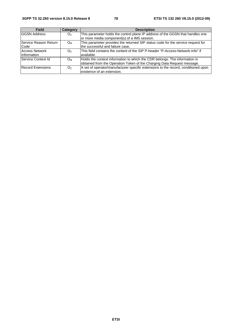| <b>Field</b>             | Category       | <b>Description</b>                                                                 |  |
|--------------------------|----------------|------------------------------------------------------------------------------------|--|
| <b>GGSN Address</b>      | O <sub>C</sub> | This parameter holds the control plane IP address of the GGSN that handles one     |  |
|                          |                | or more media component(s) of a IMS session.                                       |  |
| Service Reason Return    | O <sub>M</sub> | This parameter provides the returned SIP status code for the service request for   |  |
| Code                     |                | the successful and failure case,                                                   |  |
| <b>Access Network</b>    | O <sub>C</sub> | This field contains the content of the SIP P-header "P-Access-Network-Info" if     |  |
| Information              |                | available.                                                                         |  |
| Service Context Id       | O <sub>M</sub> | Holds the context information to which the CDR belongs. The information is         |  |
|                          |                | obtained from the Operation Token of the Charging Data Request message.            |  |
| <b>Record Extensions</b> | O <sub>C</sub> | A set of operator/manufacturer specific extensions to the record, conditioned upon |  |
|                          |                | lexistence of an extension.                                                        |  |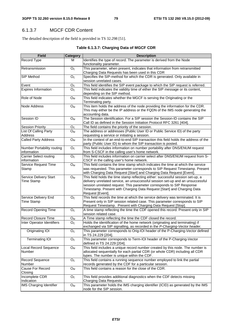## 6.1.3.7 MGCF CDR Content

The detailed description of the field is provided in TS 32.298 [51].

### **Table 6.1.3.7: Charging Data of MGCF CDR**

| <b>Field</b>                                 | <b>Category</b>           | <b>Description</b>                                                                                                                                                                                                                                                                                                                        |
|----------------------------------------------|---------------------------|-------------------------------------------------------------------------------------------------------------------------------------------------------------------------------------------------------------------------------------------------------------------------------------------------------------------------------------------|
| Record Type                                  | м                         | Identifies the type of record. The parameter is derived from the Node<br>functionality parameter.                                                                                                                                                                                                                                         |
| Retransmission                               | O <sub>C</sub>            | This parameter, when present, indicates that information from retransmitted<br>Charging Data Requests has been used in this CDR                                                                                                                                                                                                           |
| SIP Method                                   | $\mathsf{O}_{\mathbb{C}}$ | Specifies the SIP-method for which the CDR is generated. Only available in<br>session unrelated cases.                                                                                                                                                                                                                                    |
| Event                                        | O <sub>C</sub>            | This field identifies the SIP event package to which the SIP request is referred.                                                                                                                                                                                                                                                         |
| <b>Expires Information</b>                   | O <sub>C</sub>            | This field indicates the validity time of either the SIP message or its content,<br>depending on the SIP method.                                                                                                                                                                                                                          |
| Role of Node                                 | $O_{M}$                   | This field indicates whether the MGCF is serving the Originating or the<br>Terminating party.                                                                                                                                                                                                                                             |
| Node Address                                 | Oм                        | This item holds the address of the node providing the information for the CDR.<br>This may either be the IP address or the FQDN of the IMS node generating the<br>accounting data.                                                                                                                                                        |
| Session ID                                   | O <sub>M</sub>            | The Session identification. For a SIP session the Session-ID contains the SIP<br>Call ID as defined in the Session Initiation Protocol RFC 3261 [404].                                                                                                                                                                                    |
| <b>Session Priority</b>                      | O <sub>C</sub>            | The field contains the priority of the session.                                                                                                                                                                                                                                                                                           |
| List Of Calling Party                        | Oм                        | The address or addresses (Public User ID or Public Service ID) of the party                                                                                                                                                                                                                                                               |
| Address                                      |                           | requesting a service or initiating a session.                                                                                                                                                                                                                                                                                             |
| <b>Called Party Address</b>                  | O <sub>M</sub>            | In the context of an end-to-end SIP transaction this field holds the address of the<br>party (Public User ID) to whom the SIP transaction is posted.                                                                                                                                                                                      |
| Number Portability routing<br>information    | O <sub>C</sub>            | This field includes information on number portability after DNS/ENUM request<br>from S-CSCF in the calling user's home network.                                                                                                                                                                                                           |
| <b>Carrier Select routing</b><br>information | O <sub>C</sub>            | This field includes information on carrier select after DNS/ENUM request from S-<br>CSCF in the calling user's home network.                                                                                                                                                                                                              |
| Service Request Time<br>Stamp                | $O_M$                     | This field contains the time stamp which indicates the time at which the service<br>was requested. This parameter corresponds to SIP Request Timestamp. Present<br>with Charging Data Request [Start] and Charging Data Request [Event].                                                                                                  |
| Service Delivery Start<br><b>Time Stamp</b>  | $O_M$                     | This field holds the time stamp reflecting either: successful session set-up, a<br>delivery unrelated service, an unsuccessful session set-up and an unsuccessful<br>session unrelated request. This parameter corresponds to SIP Response<br>Timestamp. Present with Charging Data Request [Start] and Charging Data<br>Request [Event]. |
| Service Delivery End<br><b>Time Stamp</b>    | O <sub>C</sub>            | This field records the time at which the service delivery was terminated. It is<br>Present only in SIP session related case. This parameter corresponds to SIP<br>Request Timestamp. Present with Charging Data Request [Stop].                                                                                                           |
| <b>Record Opening Time</b>                   | O <sub>C</sub>            | A time stamp reflecting the time the CDF opened this record. Present only in SIP<br>session related case.                                                                                                                                                                                                                                 |
| <b>Record Closure Time</b>                   | Oм                        | A Time stamp reflecting the time the CDF closed the record.                                                                                                                                                                                                                                                                               |
| Inter Operator Identifiers                   | O <sub>C</sub>            | Holds the identification of the home network (originating and terminating) if<br>exchanged via SIP signalling, as recorded in the P-Charging-Vector header.                                                                                                                                                                               |
| Originating IOI                              | O <sub>c</sub>            | This parameter corresponds to Orig-IOI header of the P-Charging-Vector defined<br>in TS 24.229 [204].                                                                                                                                                                                                                                     |
| <b>Terminating IOI</b>                       | O <sub>C</sub>            | This parameter corresponds to Term-IOI header of the P-Charging-Vector<br>defined in TS 24.229 [204].                                                                                                                                                                                                                                     |
| Local Record Sequence<br>Number              | ${\mathsf O}_{\mathsf M}$ | This field includes a unique record number created by this node. The number is<br>allocated sequentially for each partial CDR (or whole CDR) including all CDR<br>types. The number is unique within the CDF.                                                                                                                             |
| Record Sequence<br>Number                    | O <sub>c</sub>            | This field contains a running sequence number employed to link the partial<br>records generated by the CDF for a particular session.                                                                                                                                                                                                      |
| Cause For Record<br>Closing                  | $O_M$                     | This field contains a reason for the close of the CDR.                                                                                                                                                                                                                                                                                    |
| Incomplete CDR<br>Indication                 | O <sub>C</sub>            | This field provides additional diagnostics when the CDF detects missing<br>Charging Data Requests.                                                                                                                                                                                                                                        |
| <b>IMS Charging Identifier</b>               | $O_M$                     | This parameter holds the IMS charging identifier (ICID) as generated by the IMS<br>node for the SIP session.                                                                                                                                                                                                                              |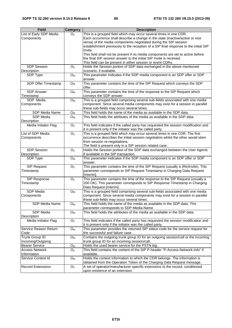| <b>Field</b>                               | <b>Category</b>    | <b>Description</b>                                                                                                                                                                                                                                                                                                        |
|--------------------------------------------|--------------------|---------------------------------------------------------------------------------------------------------------------------------------------------------------------------------------------------------------------------------------------------------------------------------------------------------------------------|
| List of Early SDP Media<br>Components      | O <sub>C</sub>     | This is a grouped field which may occur several times in one CDR.<br>Each occurrence shall describe a change in the state (inactive/active or vice<br>versa) of the media components negotiated during the SIP session<br>establishment previously to the reception of a SIP final response to the initial SIP<br>Invite. |
|                                            |                    | This field shall not be present if no media components are set to active before<br>the final SIP session answer to the initial SIP Invite is received.<br>This field can be present in either session or event CDRs.                                                                                                      |
| <b>SDP Session</b><br>Description          | O <sub>C</sub>     | Holds the Session portion of SDP data exchanged in the above mentioned<br>scenario, if available.                                                                                                                                                                                                                         |
| SDP Type                                   | $O_{M}$            | This parameter indicates if the SDP media component is an SDP offer or SDP<br>answer.                                                                                                                                                                                                                                     |
| SDP Offer Timestamp                        | O <sub>M</sub>     | This parameter contains the time of the SIP Request which conveys the SDP<br>offer.                                                                                                                                                                                                                                       |
| <b>SDP Answer</b><br>Timestamp             | $O_{M}$            | This parameter contains the time of the response to the SIP Request which<br>conveys the SDP answer.                                                                                                                                                                                                                      |
| SDP Media<br>Components                    | $O_{M}$            | This is a grouped field comprising several sub-fields associated with one media<br>component. Since several media components may exist for a session in parallel<br>these sub-fields may occur several times.                                                                                                             |
| SDP Media Name                             | O <sub>M</sub>     | This field holds the name of the media as available in the SDP data.                                                                                                                                                                                                                                                      |
| <b>SDP Media</b><br>Description            | O <sub>M</sub>     | This field holds the attributes of the media as available in the SDP data.                                                                                                                                                                                                                                                |
| Media Initiator Flag                       | O <sub>c</sub>     | This field indicates if the called party has requested the session modification and<br>it is present only if the initiator was the called party.                                                                                                                                                                          |
| List of SDP Media<br>Components            | O <sub>C</sub>     | This is a grouped field which may occur several times in one CDR. The first<br>occurrence describes the initial session negotiation whilst the other would stem<br>from session re-negotiations.<br>The field is present only in a SIP session related case.                                                              |
| <b>SDP Session</b><br>Description          | O <sub>C</sub>     | Holds the Session portion of the SDP data exchanged between the User Agents<br>if available in the SIP transaction.                                                                                                                                                                                                       |
| SDP Type                                   | $O_{M}$            | This parameter indicates if the SDP media component is an SDP offer or SDP<br>answer.                                                                                                                                                                                                                                     |
| SIP Request<br>Timestamp                   | O <sub>C</sub>     | This parameter contains the time of the SIP Request (usually a (Re)Invite). This<br>parameter corresponds to SIP Request Timestamp in Charging Data Request<br>[Interim].                                                                                                                                                 |
| SIP Response<br>Timestamp                  | O <sub>c</sub>     | This parameter contains the time of the response to the SIP Request (usually a<br>200 OK). This parameter corresponds to SIP Response Timestamp in Charging<br>Data Request [Interim].                                                                                                                                    |
| SDP Media<br>Components                    | O <sub>M</sub>     | This is a grouped field comprising several sub-fields associated with one media<br>component. Since several media components may exist for a session in parallel<br>these sub-fields may occur several times.                                                                                                             |
| SDP Media Name                             | $O_{M}$            | This field holds the name of the media as available in the SDP data. This<br>parameter corresponds to SDP-Media-Name.                                                                                                                                                                                                     |
| SDP Media<br>Description                   | O <sub>M</sub>     | This field holds the attributes of the media as available in the SDP data.                                                                                                                                                                                                                                                |
| Media Initiator Flag                       | O <sub>c</sub>     | This field indicates if the called party has requested the session modification and<br>it is present only if the initiator was the called party.                                                                                                                                                                          |
| Service Reason Return<br>Code              | O <sub>M</sub>     | This parameter provides the returned SIP status code for the service request for<br>the successful and failure case.                                                                                                                                                                                                      |
| <b>Trunk Group ID</b><br>Incoming/Outgoing | $\overline{O}_{M}$ | Contains the outgoing trunk group ID for an outgoing session/call or the incoming<br>trunk group ID for an incoming session/call.                                                                                                                                                                                         |
| <b>Bearer Service</b>                      | $O_M$              | Holds the used bearer service for the PSTN leg.                                                                                                                                                                                                                                                                           |
| <b>Access Network</b><br>Information       | $O_{C}$            | This field contains the content of the SIP P-header "P-Access-Network-Info" if<br>available.                                                                                                                                                                                                                              |
| Service Context Id                         | $O_M$              | Holds the context information to which the CDR belongs. The information is<br>obtained from the Operation Token of the Charging Data Request message.                                                                                                                                                                     |
| <b>Record Extensions</b>                   | O <sub>c</sub>     | A set of operator/manufacturer specific extensions to the record, conditioned<br>upon existence of an extension.                                                                                                                                                                                                          |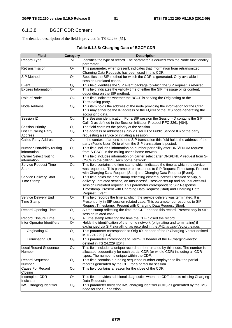# 6.1.3.8 BGCF CDR Content

The detailed description of the field is provided in TS 32.298 [51].

#### **Table 6.1.3.8: Charging Data of BGCF CDR**

| <b>Field</b>                                 | <b>Category</b>         | <b>Description</b>                                                                                                                                                                                                                                                                                                                        |  |  |
|----------------------------------------------|-------------------------|-------------------------------------------------------------------------------------------------------------------------------------------------------------------------------------------------------------------------------------------------------------------------------------------------------------------------------------------|--|--|
| Record Type                                  | м                       | Identifies the type of record. The parameter is derived from the Node functionality<br>parameter.                                                                                                                                                                                                                                         |  |  |
| Retransmission                               | O <sub>C</sub>          | This parameter, when present, indicates that information from retransmitted<br>Charging Data Requests has been used in this CDR.                                                                                                                                                                                                          |  |  |
| SIP Method                                   | O <sub>C</sub>          | Specifies the SIP-method for which the CDR is generated. Only available in<br>session unrelated cases.                                                                                                                                                                                                                                    |  |  |
| Event                                        | O <sub>C</sub>          | This field identifies the SIP event package to which the SIP request is referred.                                                                                                                                                                                                                                                         |  |  |
| <b>Expires Information</b>                   | O <sub>C</sub>          | This field indicates the validity time of either the SIP message or its content,<br>depending on the SIP method.                                                                                                                                                                                                                          |  |  |
| Role of Node                                 | $O_{M}$                 | This field indicates whether the BGCF is serving the Originating or the<br>Terminating party.                                                                                                                                                                                                                                             |  |  |
| Node Address                                 | $O_{M}$                 | This item holds the address of the node providing the information for the CDR.<br>This may either be the IP address or the FQDN of the IMS node generating the<br>accounting data.                                                                                                                                                        |  |  |
| Session ID                                   | O <sub>M</sub>          | The Session identification. For a SIP session the Session-ID contains the SIP<br>Call ID as defined in the Session Initiation Protocol RFC 3261 [404].                                                                                                                                                                                    |  |  |
| <b>Session Priority</b>                      | O <sub>C</sub>          | The field contains the priority of the session.                                                                                                                                                                                                                                                                                           |  |  |
| List Of Calling Party<br>Address             | $O_{M}$                 | The address or addresses (Public User ID or Public Service ID) of the party<br>requesting a service or initiating a session.                                                                                                                                                                                                              |  |  |
| <b>Called Party Address</b>                  | O <sub>M</sub>          | In the context of an end-to-end SIP transaction this field holds the address of the<br>party (Public User ID) to whom the SIP transaction is posted.                                                                                                                                                                                      |  |  |
| Number Portability routing<br>information    | O <sub>C</sub>          | This field includes information on number portability after DNS/ENUM request<br>from S-CSCF in the calling user's home network.                                                                                                                                                                                                           |  |  |
| <b>Carrier Select routing</b><br>information | O <sub>C</sub>          | This field includes information on carrier select after DNS/ENUM request from S-<br>CSCF in the calling user's home network.                                                                                                                                                                                                              |  |  |
| <b>Service Request Time</b><br>Stamp         | $O_M$                   | This field contains the time stamp which indicates the time at which the service<br>was requested. This parameter corresponds to SIP Request Timestamp. Present<br>with Charging Data Request [Start] and Charging Data Request [Event].                                                                                                  |  |  |
| Service Delivery Start<br><b>Time Stamp</b>  | $O_{M}$                 | This field holds the time stamp reflecting either: successful session set-up, a<br>delivery unrelated service, an unsuccessful session set-up and an unsuccessful<br>session unrelated request. This parameter corresponds to SIP Response<br>Timestamp. Present with Charging Data Request [Start] and Charging Data<br>Request [Event]. |  |  |
| Service Delivery End<br><b>Time Stamp</b>    | O <sub>c</sub>          | This field records the time at which the service delivery was terminated. It is<br>Present only in SIP session related case. This parameter corresponds to SIP<br>Request Timestamp. Present with Charging Data Request [Stop].                                                                                                           |  |  |
| <b>Record Opening Time</b>                   | O <sub>C</sub>          | A time stamp reflecting the time the CDF opened this record. Present only in SIP<br>session related case.                                                                                                                                                                                                                                 |  |  |
| <b>Record Closure Time</b>                   | $O_{\underline{M}}$     | A Time stamp reflecting the time the CDF closed the record                                                                                                                                                                                                                                                                                |  |  |
| Inter Operator Identifiers                   | O <sub>c</sub>          | Holds the identification of the home network (originating and terminating) if<br>exchanged via SIP signalling, as recorded in the P-Charging-Vector header.                                                                                                                                                                               |  |  |
| Originating IOI                              | O <sub>c</sub>          | This parameter corresponds to Orig-IOI header of the P-Charging-Vector defined<br>in TS 24.229 [204].                                                                                                                                                                                                                                     |  |  |
| <b>Terminating IOI</b>                       | O <sub>c</sub>          | This parameter corresponds to Term-IOI header of the P-Charging-Vector<br>defined in TS 24.229 [204].                                                                                                                                                                                                                                     |  |  |
| Local Record Sequence<br>Number              | $O_{M}$                 | This field includes a unique record number created by this node. The number is<br>allocated sequentially for each partial CDR (or whole CDR) including all CDR<br>types. The number is unique within the CDF.                                                                                                                             |  |  |
| Record Sequence<br>Number                    | $\mathsf{O}_\mathbb{C}$ | This field contains a running sequence number employed to link the partial<br>records generated by the CDF for a particular session.                                                                                                                                                                                                      |  |  |
| Cause For Record<br>Closing                  | $O_{M}$                 | This field contains a reason for the close of the CDR.                                                                                                                                                                                                                                                                                    |  |  |
| Incomplete CDR<br>Indication                 | O <sub>c</sub>          | This field provides additional diagnostics when the CDF detects missing Charging<br>Data Requests.                                                                                                                                                                                                                                        |  |  |
| <b>IMS Charging Identifier</b>               | O <sub>M</sub>          | This parameter holds the IMS charging identifier (ICID) as generated by the IMS<br>node for the SIP session.                                                                                                                                                                                                                              |  |  |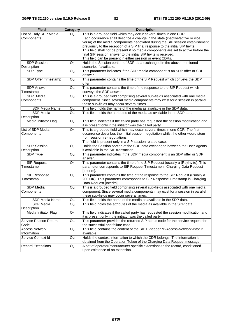| <b>Field</b>                    | Category       | <b>Description</b>                                                                                                                                     |
|---------------------------------|----------------|--------------------------------------------------------------------------------------------------------------------------------------------------------|
| List of Early SDP Media         | O <sub>C</sub> | This is a grouped field which may occur several times in one CDR.                                                                                      |
| Components                      |                | Each occurrence shall describe a change in the state (inactive/active or vice                                                                          |
|                                 |                | versa) of the media components negotiated during the SIP session establishment                                                                         |
|                                 |                | previously to the reception of a SIP final response to the initial SIP Invite.                                                                         |
|                                 |                | This field shall not be present if no media components are set to active before the<br>final SIP session answer to the initial SIP Invite is received. |
|                                 |                | This field can be present in either session or event CDRs.                                                                                             |
| <b>SDP Session</b>              | O <sub>c</sub> | Holds the Session portion of SDP data exchanged in the above mentioned                                                                                 |
| Description                     |                | scenario, if available.                                                                                                                                |
| SDP Type                        | $O_{M}$        | This parameter indicates if the SDP media component is an SDP offer or SDP                                                                             |
|                                 |                | answer.                                                                                                                                                |
| SDP Offer Timestamp             | $O_{M}$        | This parameter contains the time of the SIP Request which conveys the SDP                                                                              |
|                                 |                | offer.                                                                                                                                                 |
| <b>SDP Answer</b>               | $O_M$          | This parameter contains the time of the response to the SIP Request which                                                                              |
| Timestamp                       |                | conveys the SDP answer.                                                                                                                                |
| SDP Media                       | $O_M$          | This is a grouped field comprising several sub-fields associated with one media                                                                        |
| Components                      |                | component. Since several media components may exist for a session in parallel                                                                          |
|                                 |                | these sub-fields may occur several times.                                                                                                              |
| SDP Media Name                  | $O_M$          | This field holds the name of the media as available in the SDP data.<br>This field holds the attributes of the media as available in the SDP data.     |
| SDP Media<br>Description        | $O_{M}$        |                                                                                                                                                        |
| Media Initiator Flag            | O <sub>C</sub> | This field indicates if the called party has requested the session modification and                                                                    |
|                                 |                | it is present only if the initiator was the called party.                                                                                              |
| List of SDP Media               | O <sub>C</sub> | This is a grouped field which may occur several times in one CDR. The first                                                                            |
| Components                      |                | occurrence describes the initial session negotiation whilst the other would stem                                                                       |
|                                 |                | from session re-negotiations.                                                                                                                          |
|                                 |                | The field is present only in a SIP session related case.                                                                                               |
| <b>SDP Session</b>              | O <sub>C</sub> | Holds the Session portion of the SDP data exchanged between the User Agents                                                                            |
| Description                     |                | if available in the SIP transaction.                                                                                                                   |
| SDP Type                        | $O_{M}$        | This parameter indicates if the SDP media component is an SDP offer or SDP                                                                             |
|                                 |                | answer.<br>This parameter contains the time of the SIP Request (usually a (Re)Invite). This                                                            |
| <b>SIP Request</b><br>Timestamp | O <sub>C</sub> | parameter corresponds to SIP Request Timestamp in Charging Data Request                                                                                |
|                                 |                | [Interim].                                                                                                                                             |
| SIP Response                    | O <sub>c</sub> | This parameter contains the time of the response to the SIP Request (usually a                                                                         |
| Timestamp                       |                | 200 OK). This parameter corresponds to SIP Response Timestamp in Charging                                                                              |
|                                 |                | Data Request [Interim]                                                                                                                                 |
| SDP Media                       | $O_{M}$        | This is a grouped field comprising several sub-fields associated with one media                                                                        |
| Components                      |                | component. Since several media components may exist for a session in parallel                                                                          |
|                                 |                | these sub-fields may occur several times.                                                                                                              |
| SDP Media Name                  | O <sub>M</sub> | This field holds the name of the media as available in the SDP data.                                                                                   |
| SDP Media                       | $O_{M}$        | This field holds the attributes of the media as available in the SDP data.                                                                             |
| Description                     |                |                                                                                                                                                        |
| Media Initiator Flag            | O <sub>c</sub> | This field indicates if the called party has requested the session modification and<br>it is present only if the initiator was the called party.       |
| Service Reason Return           | O <sub>M</sub> | This parameter provides the returned SIP status code for the service request for                                                                       |
| Code                            |                | the successful and failure case,                                                                                                                       |
| <b>Access Network</b>           | O <sub>c</sub> | This field contains the content of the SIP P-header "P-Access-Network-Info" if                                                                         |
| Information                     |                | available.                                                                                                                                             |
| Service Context Id              | $O_{M}$        | Holds the context information to which the CDR belongs. The information is                                                                             |
|                                 |                | obtained from the Operation Token of the Charging Data Request message.                                                                                |
| <b>Record Extensions</b>        | O <sub>C</sub> | A set of operator/manufacturer specific extensions to the record, conditioned                                                                          |
|                                 |                | upon existence of an extension.                                                                                                                        |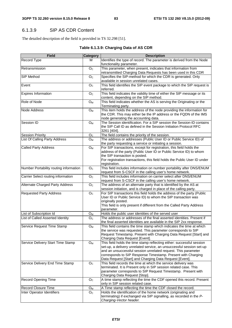## 6.1.3.9 SIP AS CDR Content

The detailed description of the field is provided in TS 32.298 [51].

### **Table 6.1.3.9: Charging Data of AS CDR**

| <b>Field</b>                           | <b>Category</b> | <b>Description</b>                                                                                                                                                                                                                                                                                                                        |
|----------------------------------------|-----------------|-------------------------------------------------------------------------------------------------------------------------------------------------------------------------------------------------------------------------------------------------------------------------------------------------------------------------------------------|
| <b>Record Type</b>                     | м               | Identifies the type of record. The parameter is derived from the Node<br>functionality parameter.                                                                                                                                                                                                                                         |
| Retransmission                         | O <sub>C</sub>  | This parameter, when present, indicates that information from<br>retransmitted Charging Data Requests has been used in this CDR                                                                                                                                                                                                           |
| SIP Method                             | O <sub>C</sub>  | Specifies the SIP-method for which the CDR is generated. Only<br>available in session unrelated cases.                                                                                                                                                                                                                                    |
| Event                                  | O <sub>C</sub>  | This field identifies the SIP event package to which the SIP request is<br>referred.                                                                                                                                                                                                                                                      |
| <b>Expires Information</b>             | O <sub>C</sub>  | This field indicates the validity time of either the SIP message or its<br>content, depending on the SIP method.                                                                                                                                                                                                                          |
| Role of Node                           | O <sub>M</sub>  | This field indicates whether the AS is serving the Originating or the<br>Terminating party.                                                                                                                                                                                                                                               |
| Node Address                           | $O_{M}$         | This item holds the address of the node providing the information for<br>the CDR. This may either be the IP address or the FQDN of the IMS<br>node generating the accounting data.                                                                                                                                                        |
| Session ID                             | $O_{M}$         | The Session identification. For a SIP session the Session-ID contains<br>the SIP Call ID as defined in the Session Initiation Protocol RFC<br>3261 [404].                                                                                                                                                                                 |
| <b>Session Priority</b>                | O <sub>C</sub>  | The field contains the priority of the session.                                                                                                                                                                                                                                                                                           |
| List Of Calling Party Address          | $O_{M}$         | The address or addresses (Public User ID or Public Service ID) of<br>the party requesting a service or initiating a session.                                                                                                                                                                                                              |
| <b>Called Party Address</b>            | O <sub>M</sub>  | For SIP transactions, except for registration, this field holds the<br>address of the party (Public User ID or Public Service ID) to whom<br>the SIP transaction is posted.<br>For registration transactions, this field holds the Public User ID under<br>registration.                                                                  |
| Number Portability routing information | O <sub>C</sub>  | This field includes information on number portability after DNS/ENUM<br>request from S-CSCF in the calling user's home network.                                                                                                                                                                                                           |
| Carrier Select routing information     | O <sub>C</sub>  | This field includes information on carrier select after DNS/ENUM<br>request from S-CSCF in the calling user's home network.                                                                                                                                                                                                               |
| Alternate Charged Party Address        | O <sub>C</sub>  | The address of an alternate party that is identified by the AS at<br>session initiation, and is charged in place of the calling party.                                                                                                                                                                                                    |
| <b>Requested Party Address</b>         | O <sub>C</sub>  | For SIP transactions this field holds the address of the party (Public<br>User ID or Public Service ID) to whom the SIP transaction was<br>originally posted.<br>This field is only present if different from the Called Party Address<br>parameter.                                                                                      |
| List of Subscription Id                | $O_M$           | Holds the public user identities of the served user                                                                                                                                                                                                                                                                                       |
| List of Called Asserted Identity       | O <sub>C</sub>  | The address or addresses of the final asserted identities. Present if<br>the final asserted identities are available in the SIP 2xx response.                                                                                                                                                                                             |
| Service Request Time Stamp             | $O_{M}$         | This field contains the time stamp which indicates the time at which<br>the service was requested. This parameter corresponds to SIP<br>Request Timestamp. Present with Charging Data Request [Start] and<br>Charging Data Request [Event].                                                                                               |
| Service Delivery Start Time Stamp      | $O_M$           | This field holds the time stamp reflecting either: successful session<br>set-up, a delivery unrelated service, an unsuccessful session set-up<br>and an unsuccessful session unrelated request. This parameter<br>corresponds to SIP Response Timestamp. Present with Charging<br>Data Request [Start] and Charging Data Request [Event]. |
| Service Delivery End Time Stamp        | O <sub>c</sub>  | This field records the time at which the service delivery was<br>terminated. It is Present only in SIP session related case. This<br>parameter corresponds to SIP Request Timestamp. Present with<br>Charging Data Request [Stop].                                                                                                        |
| <b>Record Opening Time</b>             | O <sub>C</sub>  | A time stamp reflecting the time the CDF opened this record. Present<br>only in SIP session related case.                                                                                                                                                                                                                                 |
| <b>Record Closure Time</b>             | $O_M$           | A Time stamp reflecting the time the CDF closed the record.                                                                                                                                                                                                                                                                               |
| Inter Operator Identifiers             | O <sub>C</sub>  | Holds the identification of the home network (originating and<br>terminating) if exchanged via SIP signalling, as recorded in the P-<br>Charging-Vector header.                                                                                                                                                                           |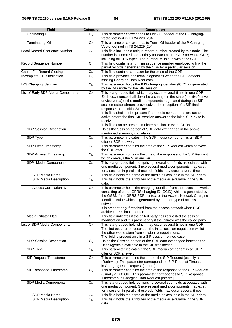| <b>Field</b>                       | <b>Category</b>           | <b>Description</b>                                                                                                                                                                                                                                                                                                                                                                                                                                                                                                                                   |  |
|------------------------------------|---------------------------|------------------------------------------------------------------------------------------------------------------------------------------------------------------------------------------------------------------------------------------------------------------------------------------------------------------------------------------------------------------------------------------------------------------------------------------------------------------------------------------------------------------------------------------------------|--|
| Originating IOI                    | O <sub>C</sub>            | This parameter corresponds to Orig-IOI header of the P-Charging-<br>Vector defined in TS 24.229 [204].                                                                                                                                                                                                                                                                                                                                                                                                                                               |  |
| <b>Terminating IOI</b>             | $\mathsf{O}_\mathbb{C}$   | This parameter corresponds to Term-IOI header of the P-Charging-<br>Vector defined in TS 24.229 [204].                                                                                                                                                                                                                                                                                                                                                                                                                                               |  |
| Local Record Sequence Number       | ${\mathsf O}_{\mathsf M}$ | This field includes a unique record number created by this node. The<br>number is allocated sequentially for each partial CDR (or whole CDR)<br>including all CDR types. The number is unique within the CDF.                                                                                                                                                                                                                                                                                                                                        |  |
| Record Sequence Number             | O <sub>C</sub>            | This field contains a running sequence number employed to link the<br>partial records generated by the CDF for a particular session.                                                                                                                                                                                                                                                                                                                                                                                                                 |  |
| Cause For Record Closing           | $O_M$                     | This field contains a reason for the close of the CDR.                                                                                                                                                                                                                                                                                                                                                                                                                                                                                               |  |
| Incomplete CDR Indication          | $\mathsf{O}_\mathbb{C}$   | This field provides additional diagnostics when the CDF detects<br>missing Charging Data Requests.                                                                                                                                                                                                                                                                                                                                                                                                                                                   |  |
| <b>IMS Charging Identifier</b>     | $O_M$                     | This parameter holds the IMS charging identifier (ICID) as generated<br>by the IMS node for the SIP session.                                                                                                                                                                                                                                                                                                                                                                                                                                         |  |
| List of Early SDP Media Components | O <sub>C</sub>            | This is a grouped field which may occur several times in one CDR.<br>Each occurrence shall describe a change in the state (inactive/active<br>or vice versa) of the media components negotiated during the SIP<br>session establishment previously to the reception of a SIP final<br>response to the initial SIP Invite.<br>This field shall not be present if no media components are set to<br>active before the final SIP session answer to the initial SIP Invite is<br>received.<br>This field can be present in either session or event CDRs. |  |
| <b>SDP Session Description</b>     | O <sub>C</sub>            | Holds the Session portion of SDP data exchanged in the above                                                                                                                                                                                                                                                                                                                                                                                                                                                                                         |  |
| SDP Type                           | $O_{M}$                   | mentioned scenario, if available.<br>This parameter indicates if the SDP media component is an SDP<br>offer or SDP answer.                                                                                                                                                                                                                                                                                                                                                                                                                           |  |
| SDP Offer Timestamp                | O <sub>M</sub>            | This parameter contains the time of the SIP Request which conveys<br>the SDP offer.                                                                                                                                                                                                                                                                                                                                                                                                                                                                  |  |
| SDP Answer Timestamp               | $O_{M}$                   | This parameter contains the time of the response to the SIP Request<br>which conveys the SDP answer.                                                                                                                                                                                                                                                                                                                                                                                                                                                 |  |
| SDP Media Components               | $O_M$                     | This is a grouped field comprising several sub-fields associated with<br>one media component. Since several media components may exist<br>for a session in parallel these sub-fields may occur several times.                                                                                                                                                                                                                                                                                                                                        |  |
| SDP Media Name                     | $O_{M}$                   | This field holds the name of the media as available in the SDP data.                                                                                                                                                                                                                                                                                                                                                                                                                                                                                 |  |
| <b>SDP</b> Media Description       | O <sub>M</sub>            | This field holds the attributes of the media as available in the SDP<br>data.                                                                                                                                                                                                                                                                                                                                                                                                                                                                        |  |
| <b>Access Correlation ID</b>       | O <sub>C</sub>            | This parameter holds the charging identifier from the access network,<br>consisting of either GPRS charging ID (GCID) which is generated by<br>the GGSN for a GPRS PDP context or the Access Network Charging<br>Identifier Value which is generated by another type of access<br>network.<br>It is present only if received from the access network when PCC<br>architecture is implemented.                                                                                                                                                        |  |
| Media Initiator Flag               | O <sub>C</sub>            | This field indicates if the called party has requested the session<br>modification and it is present only if the initiator was the called party.                                                                                                                                                                                                                                                                                                                                                                                                     |  |
| List of SDP Media Components       | O <sub>C</sub>            | This is a grouped field which may occur several times in one CDR.<br>The first occurrence describes the initial session negotiation whilst<br>the other would stem from session re-negotiations.<br>The field is present only in a SIP session related case.                                                                                                                                                                                                                                                                                         |  |
| SDP Session Description            | O <sub>c</sub>            | Holds the Session portion of the SDP data exchanged between the<br>User Agents if available in the SIP transaction.                                                                                                                                                                                                                                                                                                                                                                                                                                  |  |
| SDP Type                           | O <sub>M</sub>            | This parameter indicates if the SDP media component is an SDP<br>offer or SDP answer.                                                                                                                                                                                                                                                                                                                                                                                                                                                                |  |
| SIP Request Timestamp              | O <sub>C</sub>            | This parameter contains the time of the SIP Request (usually a<br>(Re)Invite). This parameter corresponds to SIP Request Timestamp<br>in Charging Data Request [Interim].                                                                                                                                                                                                                                                                                                                                                                            |  |
| SIP Response Timestamp             | O <sub>C</sub>            | This parameter contains the time of the response to the SIP Request<br>(usually a 200 OK). This parameter corresponds to SIP Response<br>Timestamp in Charging Data Request [Interim].                                                                                                                                                                                                                                                                                                                                                               |  |
| SDP Media Components               | $O_{M}$                   | This is a grouped field comprising several sub-fields associated with<br>one media component. Since several media components may exist<br>for a session in parallel these sub-fields may occur several times.                                                                                                                                                                                                                                                                                                                                        |  |
| SDP Media Name                     | $O_M$                     | This field holds the name of the media as available in the SDP data.                                                                                                                                                                                                                                                                                                                                                                                                                                                                                 |  |
| SDP Media Description              | $O_M$                     | This field holds the attributes of the media as available in the SDP<br>data.                                                                                                                                                                                                                                                                                                                                                                                                                                                                        |  |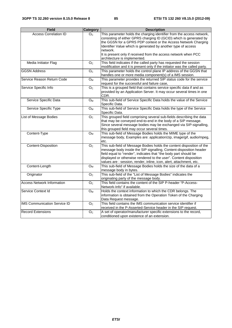| <b>Field</b>                        | Category                | <b>Description</b>                                                                                                                                                                                                                                                                                                                                          |  |  |
|-------------------------------------|-------------------------|-------------------------------------------------------------------------------------------------------------------------------------------------------------------------------------------------------------------------------------------------------------------------------------------------------------------------------------------------------------|--|--|
| <b>Access Correlation ID</b>        | O <sub>C</sub>          | This parameter holds the charging identifier from the access network,<br>consisting of either GPRS charging ID (GCID) which is generated by<br>the GGSN for a GPRS PDP context or the Access Network Charging<br>Identifier Value which is generated by another type of access                                                                              |  |  |
|                                     |                         | network.<br>It is present only if received from the access network when PCC<br>architecture is implemented.                                                                                                                                                                                                                                                 |  |  |
| Media Initiator Flag                | O <sub>C</sub>          | This field indicates if the called party has requested the session<br>modification and it is present only if the initiator was the called party.                                                                                                                                                                                                            |  |  |
| <b>GGSN Address</b>                 | $\overline{O}_C$        | This parameter holds the control plane IP address of the GGSN that<br>handles one or more media component(s) of a IMS session.                                                                                                                                                                                                                              |  |  |
| Service Reason Return Code          | $O_M$                   | This parameter provides the returned SIP status code for the service<br>request for the successful and failure case,                                                                                                                                                                                                                                        |  |  |
| Service Specific Info               | O <sub>C</sub>          | This is a grouped field that contains service specific data if and as<br>provided by an Application Server. It may occur several times in one<br>CDR.                                                                                                                                                                                                       |  |  |
| Service Specific Data               | $O_M$                   | This sub-field of Service Specific Data holds the value of the Service<br>Specific Data.                                                                                                                                                                                                                                                                    |  |  |
| Service Specific Type               | $O_{M}$                 | This sub-field of Service Specific Data holds the type of the Service<br>Specific Data.                                                                                                                                                                                                                                                                     |  |  |
| List of Message Bodies              | $\mathsf{O}_\mathbb{C}$ | This grouped field comprising several sub-fields describing the data<br>that may be conveyed end-to-end in the body of a SIP message.<br>Since several message bodies may be exchanged via SIP-signalling,<br>this grouped field may occur several times.                                                                                                   |  |  |
| Content-Type                        | O <sub>M</sub>          | This sub-field of Message Bodies holds the MIME type of the<br>message body, Examples are: application/zip, image/gif, audio/mpeg,<br>etc.                                                                                                                                                                                                                  |  |  |
| Content-Disposition                 | O <sub>C</sub>          | This sub-field of Message Bodies holds the content disposition of the<br>message body inside the SIP signalling, Content-disposition header<br>field equal to "render", indicates that "the body part should be<br>displayed or otherwise rendered to the user". Content disposition<br>values are : session, render, inline, icon, alert, attachment, etc. |  |  |
| Content-Length                      | O <sub>M</sub>          | This sub-field of Message Bodies holds the size of the data of a<br>message body in bytes.                                                                                                                                                                                                                                                                  |  |  |
| Originator                          | O <sub>C</sub>          | This sub-field of the "List of Message Bodies" indicates the<br>originating party of the message body.                                                                                                                                                                                                                                                      |  |  |
| <b>Access Network Information</b>   | O <sub>C</sub>          | This field contains the content of the SIP P-header "P-Access-<br>Network-Info" if available.                                                                                                                                                                                                                                                               |  |  |
| Service Context Id                  | $O_M$                   | Holds the context information to which the CDR belongs. The<br>information is obtained from the Operation Token of the Charging<br>Data Request message.                                                                                                                                                                                                    |  |  |
| <b>IMS Communication Service ID</b> | $\overline{O_{C}}$      | This field contains the IMS communication service identifier if<br>received in the P-Asserted-Service header in the SIP request.                                                                                                                                                                                                                            |  |  |
| <b>Record Extensions</b>            | O <sub>C</sub>          | A set of operator/manufacturer specific extensions to the record,<br>conditioned upon existence of an extension.                                                                                                                                                                                                                                            |  |  |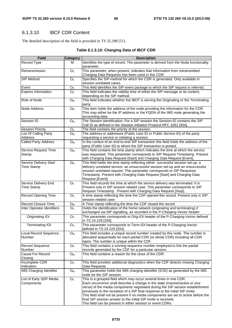# 6.1.3.10 IBCF CDR Content

The detailed description of the field is provided in TS 32.298 [51].

| Table 6.1.3.10: Charging Data of IBCF CDR |  |
|-------------------------------------------|--|
|-------------------------------------------|--|

| <b>Field</b>                                | <b>Category</b>           | <b>Description</b>                                                                                                                                                                                                                                                                                                                                                                                                                                                                                                                             |  |
|---------------------------------------------|---------------------------|------------------------------------------------------------------------------------------------------------------------------------------------------------------------------------------------------------------------------------------------------------------------------------------------------------------------------------------------------------------------------------------------------------------------------------------------------------------------------------------------------------------------------------------------|--|
| Record Type                                 | м                         | Identifies the type of record. The parameter is derived from the Node functionality<br>parameter.                                                                                                                                                                                                                                                                                                                                                                                                                                              |  |
| Retransmission                              | O <sub>c</sub>            | This parameter, when present, indicates that information from retransmitted<br>Charging Data Requests has been used in this CDR.                                                                                                                                                                                                                                                                                                                                                                                                               |  |
| <b>SIP Method</b>                           | O <sub>c</sub>            | Specifies the SIP-method for which the CDR is generated. Only available in<br>session unrelated cases.                                                                                                                                                                                                                                                                                                                                                                                                                                         |  |
| Event                                       | O <sub>C</sub>            | This field identifies the SIP event package to which the SIP request is referred.                                                                                                                                                                                                                                                                                                                                                                                                                                                              |  |
| <b>Expires Information</b>                  | O <sub>C</sub>            | This field indicates the validity time of either the SIP message or its content,<br>depending on the SIP method.                                                                                                                                                                                                                                                                                                                                                                                                                               |  |
| Role of Node                                | $O_{M}$                   | This field indicates whether the IBCF is serving the Originating or the Terminating<br>party.                                                                                                                                                                                                                                                                                                                                                                                                                                                  |  |
| Node Address                                | O <sub>M</sub>            | This item holds the address of the node providing the information for the CDR.<br>This may either be the IP address or the FQDN of the IMS node generating the<br>accounting data.                                                                                                                                                                                                                                                                                                                                                             |  |
| Session ID                                  | $O_M$                     | The Session identification. For a SIP session the Session-ID contains the SIP<br>Call ID as defined in the Session Initiation Protocol RFC 3261 [404].                                                                                                                                                                                                                                                                                                                                                                                         |  |
| <b>Session Priority</b>                     | O <sub>C</sub>            | The field contains the priority of the session.                                                                                                                                                                                                                                                                                                                                                                                                                                                                                                |  |
| List Of Calling Party<br>Address            | $O_{M}$                   | The address or addresses (Public User ID or Public Service ID) of the party<br>requesting a service or initiating a session.                                                                                                                                                                                                                                                                                                                                                                                                                   |  |
| <b>Called Party Address</b>                 | O <sub>M</sub>            | In the context of an end-to-end SIP transaction this field holds the address of the<br>party (Public User ID) to whom the SIP transaction is posted.                                                                                                                                                                                                                                                                                                                                                                                           |  |
| Service Request Time<br>Stamp               | O <sub>M</sub>            | This field contains the time stamp which indicates the time at which the service<br>was requested. This parameter corresponds to SIP Request Timestamp. Present<br>with Charging Data Request [Start] and Charging Data Request [Event].                                                                                                                                                                                                                                                                                                       |  |
| <b>Service Delivery Start</b><br>Time Stamp | O <sub>M</sub>            | This field holds the time stamp reflecting either: successful session set-up, a<br>delivery unrelated service, an unsuccessful session set-up and an unsuccessful<br>session unrelated request. This parameter corresponds to SIP Response<br>Timestamp. Present with Charging Data Request [Start] and Charging Data<br>Request [Event].                                                                                                                                                                                                      |  |
| Service Delivery End<br><b>Time Stamp</b>   | O <sub>C</sub>            | This field records the time at which the service delivery was terminated. It is<br>Present only in SIP session related case. This parameter corresponds to SIP<br>Request Timestamp. Present with Charging Data Request [Stop].                                                                                                                                                                                                                                                                                                                |  |
| <b>Record Opening Time</b>                  | O <sub>C</sub>            | A time stamp reflecting the time the CDF opened this record. Present only in SIP<br>session related case.                                                                                                                                                                                                                                                                                                                                                                                                                                      |  |
| <b>Record Closure Time</b>                  | Oм                        | A Time stamp reflecting the time the CDF closed the record                                                                                                                                                                                                                                                                                                                                                                                                                                                                                     |  |
| <b>Inter Operator Identifiers</b>           | O <sub>C</sub>            | Holds the identification of the home network (originating and terminating) if<br>exchanged via SIP signalling, as recorded in the P-Charging-Vector header.                                                                                                                                                                                                                                                                                                                                                                                    |  |
| Originating IOI                             | O <sub>c</sub>            | This parameter corresponds to Orig-IOI header of the P-Charging-Vector defined<br>in TS 24.229 [204].                                                                                                                                                                                                                                                                                                                                                                                                                                          |  |
| <b>Terminating IOI</b>                      | O <sub>c</sub>            | This parameter corresponds to Term-IOI header of the P-Charging-Vector<br>defined in TS 24.229 [204].                                                                                                                                                                                                                                                                                                                                                                                                                                          |  |
| Local Record Sequence<br>Number             | $\mathsf{O}_{\mathsf{M}}$ | This field includes a unique record number created by this node. The number is<br>allocated sequentially for each partial CDR (or whole CDR) including all CDR<br>types. The number is unique within the CDF.                                                                                                                                                                                                                                                                                                                                  |  |
| <b>Record Sequence</b><br>Number            | O <sub>C</sub>            | This field contains a running sequence number employed to link the partial<br>records generated by the CDF for a particular session.                                                                                                                                                                                                                                                                                                                                                                                                           |  |
| Cause For Record<br>Closing                 | O <sub>M</sub>            | This field contains a reason for the close of the CDR.                                                                                                                                                                                                                                                                                                                                                                                                                                                                                         |  |
| Incomplete CDR<br>Indication                | O <sub>C</sub>            | This field provides additional diagnostics when the CDF detects missing Charging<br>Data Requests.                                                                                                                                                                                                                                                                                                                                                                                                                                             |  |
| <b>IMS Charging Identifier</b>              | $\mathsf{O}_{\mathsf{M}}$ | This parameter holds the IMS charging identifier (ICID) as generated by the IMS<br>node for the SIP session.                                                                                                                                                                                                                                                                                                                                                                                                                                   |  |
| List of Early SDP Media<br>Components       | O <sub>C</sub>            | This is a grouped field which may occur several times in one CDR.<br>Each occurrence shall describe a change in the state (inactive/active or vice<br>versa) of the media components negotiated during the SIP session establishment<br>previously to the reception of a SIP final response to the initial SIP Invite.<br>This field shall not be present if no media components are set to active before the<br>final SIP session answer to the initial SIP Invite is received.<br>This field can be present in either session or event CDRs. |  |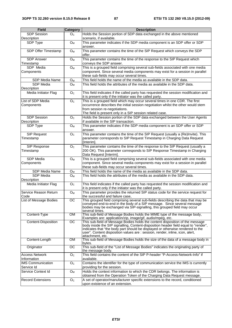| <b>Field</b>                           | Category               | <b>Description</b>                                                                                                                                                                                                                                                                                                                                          |  |  |
|----------------------------------------|------------------------|-------------------------------------------------------------------------------------------------------------------------------------------------------------------------------------------------------------------------------------------------------------------------------------------------------------------------------------------------------------|--|--|
| <b>SDP</b> Session                     | O <sub>C</sub>         | Holds the Session portion of SDP data exchanged in the above mentioned                                                                                                                                                                                                                                                                                      |  |  |
| Description                            |                        | scenario, if available.                                                                                                                                                                                                                                                                                                                                     |  |  |
| SDP Type                               | O <sub>M</sub>         | This parameter indicates if the SDP media component is an SDP offer or SDP<br>answer.                                                                                                                                                                                                                                                                       |  |  |
| SDP Offer Timestamp                    | $O_{M}$                | This parameter contains the time of the SIP Request which conveys the SDP<br>offer.                                                                                                                                                                                                                                                                         |  |  |
| <b>SDP Answer</b><br>Timestamp         | $O_{M}$                | This parameter contains the time of the response to the SIP Request which<br>conveys the SDP answer.                                                                                                                                                                                                                                                        |  |  |
| SDP Media                              | $O_{M}$                | This is a grouped field comprising several sub-fields associated with one media                                                                                                                                                                                                                                                                             |  |  |
| Components                             |                        | component. Since several media components may exist for a session in parallel<br>these sub-fields may occur several times.                                                                                                                                                                                                                                  |  |  |
| SDP Media Name                         | $O_M$                  | This field holds the name of the media as available in the SDP data.                                                                                                                                                                                                                                                                                        |  |  |
| SDP Media<br>Description               | O <sub>M</sub>         | This field holds the attributes of the media as available in the SDP data.                                                                                                                                                                                                                                                                                  |  |  |
| Media Initiator Flag                   | O <sub>C</sub>         | This field indicates if the called party has requested the session modification and<br>it is present only if the initiator was the called party.                                                                                                                                                                                                            |  |  |
| List of SDP Media                      | O <sub>C</sub>         | This is a grouped field which may occur several times in one CDR. The first                                                                                                                                                                                                                                                                                 |  |  |
| Components                             |                        | occurrence describes the initial session negotiation whilst the other would stem<br>from session re-negotiations.                                                                                                                                                                                                                                           |  |  |
| <b>SDP Session</b><br>Description      | O <sub>C</sub>         | The field is present only in a SIP session related case.<br>Holds the Session portion of the SDP data exchanged between the User Agents<br>if available in the SIP transaction.                                                                                                                                                                             |  |  |
| SDP Type                               | $O_{M}$                | This parameter indicates if the SDP media component is an SDP offer or SDP                                                                                                                                                                                                                                                                                  |  |  |
|                                        |                        | answer.                                                                                                                                                                                                                                                                                                                                                     |  |  |
| <b>SIP Request</b>                     | O <sub>C</sub>         | This parameter contains the time of the SIP Request (usually a (Re)Invite). This                                                                                                                                                                                                                                                                            |  |  |
| Timestamp                              |                        | parameter corresponds to SIP Request Timestamp in Charging Data Request<br>[Interim].                                                                                                                                                                                                                                                                       |  |  |
| SIP Response<br>Timestamp              | O <sub>C</sub>         | This parameter contains the time of the response to the SIP Request (usually a<br>200 OK). This parameter corresponds to SIP Response Timestamp in Charging                                                                                                                                                                                                 |  |  |
|                                        |                        | Data Request [Interim].                                                                                                                                                                                                                                                                                                                                     |  |  |
| SDP Media<br>Components                | $O_{M}$                | This is a grouped field comprising several sub-fields associated with one media<br>component. Since several media components may exist for a session in parallel<br>these sub-fields may occur several times.                                                                                                                                               |  |  |
| SDP Media Name                         | $O_{M}$                | This field holds the name of the media as available in the SDP data.                                                                                                                                                                                                                                                                                        |  |  |
| SDP Media                              | $O_M$                  | This field holds the attributes of the media as available in the SDP data.                                                                                                                                                                                                                                                                                  |  |  |
| Description                            |                        |                                                                                                                                                                                                                                                                                                                                                             |  |  |
| Media Initiator Flag                   | O <sub>C</sub>         | This field indicates if the called party has requested the session modification and<br>it is present only if the initiator was the called party.                                                                                                                                                                                                            |  |  |
| Service Reason Return<br>Code          | $O_{M}$                | This parameter provides the returned SIP status code for the service request for<br>the successful and failure case,                                                                                                                                                                                                                                        |  |  |
| <b>List of Message Bodies</b>          | $\overline{\rm sc}$    | This grouped field comprising several sub-fields describing the data that may be<br>conveyed end-to-end in the body of a SIP message. Since several message<br>bodies may be exchanged via SIP-signalling, this grouped field may occur<br>several times.                                                                                                   |  |  |
| Content-Type                           | <b>OM</b>              | This sub-field of Message Bodies holds the MIME type of the message body,<br>Examples are: application/zip, image/gif, audio/mpeg, etc.                                                                                                                                                                                                                     |  |  |
| <b>Content-Disposition</b>             | $\overline{OC}$        | This sub-field of Message Bodies holds the content disposition of the message<br>body inside the SIP signalling, Content-disposition header field equal to "render",<br>indicates that "the body part should be displayed or otherwise rendered to the<br>user". Content disposition values are : session, render, inline, icon, alert,<br>attachment, etc. |  |  |
| Content-Length                         | <b>OM</b>              | This sub-field of Message Bodies holds the size of the data of a message body in<br>bytes.                                                                                                                                                                                                                                                                  |  |  |
| Originator                             | $\overline{\text{oc}}$ | This sub-field of the "List of Message Bodies" indicates the originating party of<br>the message body.                                                                                                                                                                                                                                                      |  |  |
| <b>Access Network</b><br>Information   | O <sub>C</sub>         | This field contains the content of the SIP P-header "P-Access-Network-Info" if<br>available.                                                                                                                                                                                                                                                                |  |  |
| <b>IMS Communication</b><br>Service Id | O <sub>C</sub>         | Contains the identifier for the type of communication service the IMS is currently<br>providing for the session.                                                                                                                                                                                                                                            |  |  |
| Service Context Id                     | $O_{M}$                | Holds the context information to which the CDR belongs. The information is<br>obtained from the Operation Token of the Charging Data Request message.                                                                                                                                                                                                       |  |  |
| <b>Record Extensions</b>               | O <sub>c</sub>         | A set of operator/manufacturer specific extensions to the record, conditioned<br>upon existence of an extension.                                                                                                                                                                                                                                            |  |  |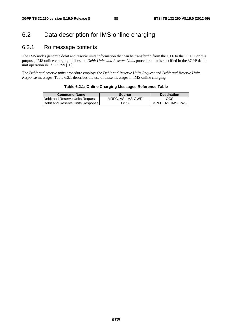# 6.2 Data description for IMS online charging

## 6.2.1 Ro message contents

The IMS nodes generate debit and reserve units information that can be transferred from the CTF to the OCF. For this purpose, IMS online charging utilises the *Debit Units and Reserve Units* procedure that is specified in the 3GPP debit unit operation in TS 32.299 [50].

The *Debit and reserve units* procedure employs the *Debit and Reserve Units Request* and *Debit and Reserve Units Response* messages. Table 6.2.1 describes the use of these messages in IMS online charging.

| Table 6.2.1: Online Charging Messages Reference Table |
|-------------------------------------------------------|
|-------------------------------------------------------|

| <b>Command-Name</b>                      | Source            | <b>Destination</b> |
|------------------------------------------|-------------------|--------------------|
| <b>IDebit and Reserve Units Request</b>  | MRFC, AS, IMS-GWF | OCS                |
| <b>IDebit and Reserve Units Response</b> | ocs               | MRFC. AS. IMS-GWF  |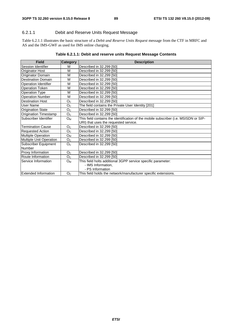#### 6.2.1.1 Debit and Reserve Units Request Message

Table 6.2.1.1 illustrates the basic structure of a *Debit and Reserve Units Request* message from the CTF in MRFC and AS and the IMS-GWF as used for IMS online charging.

#### **Table 6.2.1.1: Debit and reserve units Request Message Contents**

| <b>Field</b>                 | <b>Category</b> | <b>Description</b>                                                                   |
|------------------------------|-----------------|--------------------------------------------------------------------------------------|
| Session Identifier           | M               | Described in 32.299 [50]                                                             |
| <b>Originator Host</b>       | M               | Described in 32.299 [50]                                                             |
| Originator Domain            | M               | Described in 32.299 [50]                                                             |
| <b>Destination Domain</b>    | M               | Described in 32.299 [50]                                                             |
| Operation Identifier         | M               | Described in 32.299 [50]                                                             |
| <b>Operation Token</b>       | M               | Described in 32.299 [50]                                                             |
| <b>Operation Type</b>        | M               | Described in 32.299 [50]                                                             |
| <b>Operation Number</b>      | M               | Described in 32.299 [50]                                                             |
| <b>Destination Host</b>      | O <sub>C</sub>  | Described in 32.299 [50]                                                             |
| User Name                    | O <sub>C</sub>  | The field contains the Private User Identity [201]                                   |
| <b>Origination State</b>     | O <sub>C</sub>  | Described in 32.299 [50]                                                             |
| <b>Origination Timestamp</b> | O <sub>C</sub>  | Described in 32.299 [50]                                                             |
| Subscriber Identifier        | $O_{M}$         | This field contains the identification of the mobile subscriber (i.e. MSISDN or SIP- |
|                              |                 | URI) that uses the requested service.                                                |
| <b>Termination Cause</b>     | O <sub>C</sub>  | Described in 32.299 [50]                                                             |
| <b>Requested Action</b>      | O <sub>C</sub>  | Described in 32.299 [50]                                                             |
| <b>Multiple Operation</b>    | $O_{M}$         | Described in 32.299 [50]                                                             |
| Multiple Unit Operation      | O <sub>C</sub>  | Described in 32.299 [50]                                                             |
| <b>Subscriber Equipment</b>  | O <sub>C</sub>  | Described in 32.299 [50]                                                             |
| <b>Number</b>                |                 |                                                                                      |
| Proxy Information            | O <sub>C</sub>  | Described in 32.299 [50]                                                             |
| Route Information            | O <sub>C</sub>  | Described in 32.299 [50]                                                             |
| Service Information          | $O_{M}$         | This field holts additional 3GPP service specific parameter:                         |
|                              |                 | - IMS Information,                                                                   |
|                              |                 | - PS Information                                                                     |
| <b>Extended Information</b>  | O <sub>C</sub>  | This field holds the network/manufacturer specific extensions.                       |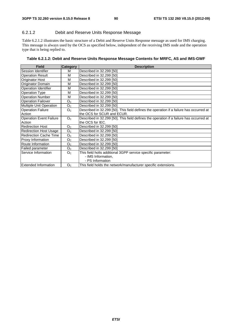#### 6.2.1.2 Debit and Reserve Units Response Message

Table 6.2.1.2 illustrates the basic structure of a Debit and Reserve Units Response message as used for IMS charging. This message is always used by the OCS as specified below, independent of the receiving IMS node and the operation type that is being replied to.

| Field                          | <b>Category</b> | <b>Description</b>                                                                      |  |  |
|--------------------------------|-----------------|-----------------------------------------------------------------------------------------|--|--|
| <b>Session Identifier</b>      | М               | Described in 32.299 [50]                                                                |  |  |
| <b>Operation Result</b>        | M               | Described in 32.299 [50]                                                                |  |  |
| Originator Host                | M               | Described in 32.299 [50]                                                                |  |  |
| Originator Domain              | M               | Described in 32.299 [50]                                                                |  |  |
| <b>Operation Identifier</b>    | M               | Described in 32.299 [50]                                                                |  |  |
| <b>Operation Type</b>          | M               | Described in 32.299 [50]                                                                |  |  |
| <b>Operation Number</b>        | M               | Described in 32.299 [50]                                                                |  |  |
| <b>Operation Failover</b>      | O <sub>C</sub>  | Described in 32.299 [50]                                                                |  |  |
| Multiple Unit Operation        | O <sub>C</sub>  | Described in 32.299 [50]                                                                |  |  |
| <b>Operation Failure</b>       | O <sub>C</sub>  | Described in 32.299 [50]. This field defines the operation if a failure has occurred at |  |  |
| Action                         |                 | the OCS for SCUR and ECUR.                                                              |  |  |
| <b>Operation Event Failure</b> | O <sub>C</sub>  | Described in 32.299 [50]. This field defines the operation if a failure has occurred at |  |  |
| Action                         |                 | the OCS for IEC.                                                                        |  |  |
| Redirection Host               | O <sub>C</sub>  | Described in 32.299 [50]                                                                |  |  |
| <b>Redirection Host Usage</b>  | O <sub>C</sub>  | Described in 32.299 [50]                                                                |  |  |
| <b>Redirection Cache Time</b>  | O <sub>C</sub>  | Described in 32.299 [50]                                                                |  |  |
| Proxy Information              | O <sub>C</sub>  | Described in 32.299 [50]                                                                |  |  |
| Route Information              | O <sub>C</sub>  | Described in 32.299 [50]                                                                |  |  |
| <b>Failed parameter</b>        | O <sub>C</sub>  | Described in 32.299 [50]                                                                |  |  |
| Service Information            | O <sub>C</sub>  | This field holts additional 3GPP service specific parameter:                            |  |  |
|                                |                 | - IMS Information,                                                                      |  |  |
|                                |                 | - PS Information                                                                        |  |  |
| <b>Extended Information</b>    | O <sub>C</sub>  | This field holds the network/manufacturer specific extensions.                          |  |  |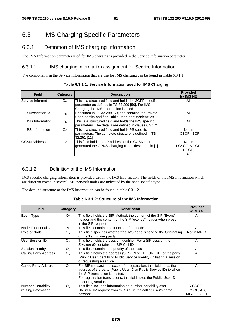# 6.3 IMS Charging Specific Parameters

# 6.3.1 Definition of IMS charging information

The IMS Information parameter used for IMS charging is provided in the Service Information parameter.

#### 6.3.1.1 IMS charging information assignment for Service Information

The components in the Service Information that are use for IMS charging can be found in Table 6.3.1.1.

| Table 6.3.1.1: Service Information used for IMS Charging |  |
|----------------------------------------------------------|--|
|----------------------------------------------------------|--|

| <b>Field</b>           | Category       | <b>Description</b>                                                                                                                                 | <b>Provided</b><br>by IMS NE                    |
|------------------------|----------------|----------------------------------------------------------------------------------------------------------------------------------------------------|-------------------------------------------------|
| Service Information    | $O_M$          | This is a structured field and holds the 3GPP specific<br>parameter as defined in TS 32.299 [50]. For IMS<br>Charging the IMS Information is used. | All                                             |
| Subscription-Id        | $O_{M}$        | Described in TS 32.299 [50] and contains the Private<br>User Identity and / or Public User Identity/Identities                                     | All                                             |
| <b>IMS</b> Information | $O_M$          | This is a structured field and holds the IMS specific<br>parameters. The details are defined in clause 6.3.1.2.                                    | All                                             |
| <b>PS</b> Information  | O <sub>C</sub> | This is a structured field and holds PS specific<br>parameters. The complete structure is defined in TS<br>32.251 [11].                            | Not in<br>I-CSCF, IBCF                          |
| <b>GGSN Address</b>    | O <sub>C</sub> | This field holds the IP-address of the GGSN that<br>generated the GPRS Charging ID, as described in [1].                                           | Not in<br>I-CSCF, MGCF,<br>BGCF,<br><b>IBCF</b> |

### 6.3.1.2 Definition of the IMS Information

IMS specific charging information is provided within the IMS Information. The fields of the IMS Information which are different coved in several IMS network nodes are indicated by the node specific type.

The detailed structure of the IMS Information can be found in table 6.3.1.2.

| <b>Field</b>                                     | <b>Category</b> | <b>Description</b>                                                                                                                                                                                                                                                       | <b>Provided</b><br>by IMS NE          |
|--------------------------------------------------|-----------------|--------------------------------------------------------------------------------------------------------------------------------------------------------------------------------------------------------------------------------------------------------------------------|---------------------------------------|
| Event Type                                       | O <sub>C</sub>  | This field holds the SIP Method, the content of the SIP "Event"<br>header and the content of the SIP "expires" header when present<br>in the SIP request.                                                                                                                | All                                   |
| <b>Node Functionality</b>                        | М               | This field contains the function of the node.                                                                                                                                                                                                                            | All                                   |
| Role of Node                                     | $O_{M}$         | This field specifies whether the IMS node is serving the Originating<br>or the Terminating party.                                                                                                                                                                        | Not in MRFC                           |
| User Session ID                                  | $O_{M}$         | This field holds the session identifier. For a SIP session the<br>Session-ID contains the SIP Call ID.                                                                                                                                                                   | All                                   |
| <b>Session Priority</b>                          | O <sub>C</sub>  | This field contains the priority of the session.                                                                                                                                                                                                                         | All                                   |
| <b>Calling Party Address</b>                     | O <sub>M</sub>  | This field holds the address (SIP URI or TEL URI)URI of the party<br>(Public User Identity or Public Service Identity) initiating a session<br>or requesting a service.                                                                                                  | All                                   |
| <b>Called Party Address</b>                      | O <sub>M</sub>  | For SIP transactions, except for registration, this field holds the<br>address of the party (Public User ID or Public Service ID) to whom<br>the SIP transaction is posted.<br>For registration transactions, this field holds the Public User ID<br>under registration. | All                                   |
| <b>Number Portability</b><br>routing information | O <sub>c</sub>  | This field includes information on number portability after<br>DNS/ENUM request from S-CSCF in the calling user's home<br>network.                                                                                                                                       | S-CSCF, I-<br>CSCF, AS,<br>MGCF, BGCF |

**Table 6.3.1.2: Structure of the IMS Information**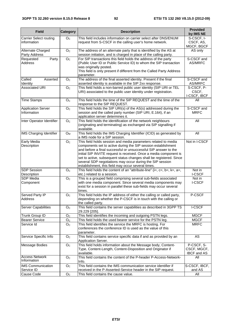| <b>Field</b>                                 | Category         | <b>Description</b>                                                                                                                                                                                                                                                                                                                                                                                                                                                | <b>Provided</b><br>by IMS NE                    |
|----------------------------------------------|------------------|-------------------------------------------------------------------------------------------------------------------------------------------------------------------------------------------------------------------------------------------------------------------------------------------------------------------------------------------------------------------------------------------------------------------------------------------------------------------|-------------------------------------------------|
| <b>Carrier Select routing</b><br>information | O <sub>C</sub>   | This field includes information on carrier select after DNS/ENUM<br>request from S-CSCF in the calling user's home network.                                                                                                                                                                                                                                                                                                                                       | S-CSCF, I-<br>CSCF, AS,<br>MGCF, BGCF           |
| Alternate Charged<br>Party Address           | O <sub>C</sub>   | The address of an alternate party that is identified by the AS at<br>session initiation, and is charged in place of the calling party.                                                                                                                                                                                                                                                                                                                            | AS only                                         |
| Requested<br>Party<br>Address                | O <sub>C</sub>   | For SIP transactions this field holds the address of the party<br>(Public User ID or Public Service ID) to whom the SIP transaction<br>was originally posted.<br>This field is only present if different from the Called Party Address<br>parameter.                                                                                                                                                                                                              | S-CSCF and<br>AS/MRFC                           |
| Called<br>Asserted<br>Identity               | O <sub>C</sub>   | The address of the final asserted identity. Present if the final<br>asserted identity is available in the SIP 2xx response.                                                                                                                                                                                                                                                                                                                                       | S-CSCF and<br>AS/MRFC                           |
| <b>Associated URI</b>                        | O <sub>c</sub>   | This field holds a non-barred public user identity (SIP URI or TEL<br>URI) associated to the public user identity under registration.                                                                                                                                                                                                                                                                                                                             | S-CSCF, P-<br>CSCF,<br>I-CSCF, IBCF             |
| <b>Time Stamps</b>                           | O <sub>C</sub>   | This field holds the time of the SIP REQUEST and the time of the<br>response to the SIP REQUEST.                                                                                                                                                                                                                                                                                                                                                                  | All                                             |
| <b>Application Server</b><br>Information     | O <sub>c</sub>   | This field holds the SIP URI(s) of the AS(s) addressed during the<br>session and the called party number (SIP URI, E.164), if an<br>application server determines it.                                                                                                                                                                                                                                                                                             | S-CSCF and<br><b>MRFC</b>                       |
| Inter Operator Identifier                    | $\overline{O}_C$ | This field holds the identification of the network neighbours<br>(originating and terminating) as exchanged via SIP signalling if<br>available.                                                                                                                                                                                                                                                                                                                   | All                                             |
| <b>IMS Charging Identifier</b>               | $O_{M}$          | This field holds the IMS Charging Identifier (ICID) as generated by<br>a IMS node for a SIP session.                                                                                                                                                                                                                                                                                                                                                              | All                                             |
| Early Media<br>Description                   | O <sub>C</sub>   | This field holds session and media parameters related to media<br>components set to active during the SIP session establishment<br>and before a final successful or unsuccessful SIP answer to the<br>initial SIP INVITE request is received. Once a media component is<br>set to active, subsequent status changes shall be registered. Since<br>several SDP negotiations may occur during the SIP session<br>establishment, this field may occur several times. | Not in I-CSCF                                   |
| <b>SDP Session</b><br>Description            | O <sub>C</sub>   | This field holds the content of an "attribute-line" (i=, c=, b=, k=, a=,<br>etc.) related to a session.                                                                                                                                                                                                                                                                                                                                                           | Not in<br><b>I-CSCF</b>                         |
| SDP Media<br>Component                       | O <sub>C</sub>   | This is a grouped field comprising several sub-fields associated<br>with one media component. Since several media components may<br>exist for a session in parallel these sub-fields may occur several<br>times.                                                                                                                                                                                                                                                  | Not in<br><b>I-CSCF</b>                         |
| <b>Served Party IP</b><br>Address            | O <sub>C</sub>   | This field holds the IP address of either the calling or called party,<br>depending on whether the P-CSCF is in touch with the calling or<br>the called party.                                                                                                                                                                                                                                                                                                    | P-CSCF                                          |
| <b>Server Capabilities</b>                   | O <sub>C</sub>   | This field contains the server capabilities as described in 3GPP TS<br>29.229 [205].                                                                                                                                                                                                                                                                                                                                                                              | <b>I-CSCF</b>                                   |
| Trunk Group ID                               | O <sub>C</sub>   | This field identifies the incoming and outgoing PSTN legs.                                                                                                                                                                                                                                                                                                                                                                                                        | <b>MGCF</b>                                     |
| <b>Bearer Service</b>                        | O <sub>C</sub>   | This field holds the used bearer service for the PSTN leg.                                                                                                                                                                                                                                                                                                                                                                                                        | <b>MGCF</b>                                     |
| Service Id                                   | O <sub>C</sub>   | This field identifies the service the MRFC is hosting. For<br>conferences the conference ID is used as the value of this<br>parameter.                                                                                                                                                                                                                                                                                                                            | <b>MRFC</b>                                     |
| Service Specific Info                        | O <sub>C</sub>   | This field contains service specific data if and as provided by an<br>Application Server.                                                                                                                                                                                                                                                                                                                                                                         | AS                                              |
| <b>Message Bodies</b>                        | O <sub>C</sub>   | This field holds information about the Message body, Content-<br>Type, Content-Length, Content-Disposition and Originator if<br>available.                                                                                                                                                                                                                                                                                                                        | P-CSCF, S-<br>CSCF, MGCF,<br><b>IBCF</b> and AS |
| <b>Access Network</b><br>Information         | O <sub>C</sub>   | This field contains the content of the P-header P-Access-Network-<br>Info.                                                                                                                                                                                                                                                                                                                                                                                        | All                                             |
| <b>IMS</b> Communication                     | O <sub>C</sub>   | This field contains the IMS communication service identifier if                                                                                                                                                                                                                                                                                                                                                                                                   | S-CSCF, IBCF,                                   |
| Service ID                                   |                  | received in the P-Asserted-Service header in the SIP request.                                                                                                                                                                                                                                                                                                                                                                                                     | and AS                                          |
| Cause Code                                   | O <sub>C</sub>   | This field contains the cause value.                                                                                                                                                                                                                                                                                                                                                                                                                              | All                                             |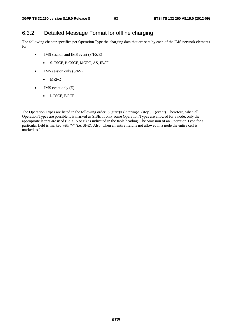# 6.3.2 Detailed Message Format for offline charging

The following chapter specifies per Operation Type the charging data that are sent by each of the IMS network elements for:

- IMS session and IMS event (S/I/S/E)
	- S-CSCF, P-CSCF, MGFC, AS, IBCF
- IMS session only  $(S/I/S)$ 
	- MRFC
- IMS event only (E)
	- I-CSCF, BGCF

The Operation Types are listed in the following order: S (start)/I (interim)/S (stop)/E (event). Therefore, when all Operation Types are possible it is marked as SISE. If only some Operation Types are allowed for a node, only the appropriate letters are used (i.e. SIS or E) as indicated in the table heading. The omission of an Operation Type for a particular field is marked with "-" (i.e. SI-E). Also, when an entire field is not allowed in a node the entire cell is marked as "-".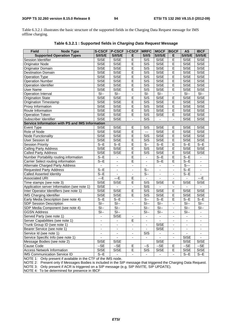Table 6.3.2.1 illustrates the basic structure of the supported fields in the Charging Data Request message for IMS offline charging.

| <b>Field</b>                                                   | <b>Node Type</b>                                | <b>S-CSCF</b>            | <b>P-CSCF I-CSCF</b>      |                          | <b>MRFC</b>                  | <b>MGCF</b>    | <b>BGCF</b>              | <b>AS</b>                     | <b>IBCF</b>              |
|----------------------------------------------------------------|-------------------------------------------------|--------------------------|---------------------------|--------------------------|------------------------------|----------------|--------------------------|-------------------------------|--------------------------|
|                                                                | <b>Supported Operation Types</b>                | S/I/S/E                  | <b>S/I/S/E</b>            | Е                        | <b>S/I/S</b>                 | <b>S/I/S/E</b> | Е                        | <b>S/I/S/E</b>                | <b>S/I/S/E</b>           |
| Session Identifier                                             |                                                 | <b>SISE</b>              | <b>SISE</b>               | E                        | $\overline{\text{SIS}}$      | <b>SISE</b>    | E                        | <b>SISE</b>                   | <b>SISE</b>              |
| <b>Originator Node</b>                                         |                                                 | <b>SISE</b>              | <b>SISE</b>               | $\overline{E}$           | $\overline{\text{SIS}}$      | <b>SISE</b>    | E                        | <b>SISE</b>                   | <b>SISE</b>              |
| Originator Domain                                              |                                                 | <b>SISE</b>              | <b>SISE</b>               | Ē                        | $\overline{\text{SIS}}$      | <b>SISE</b>    | Ē                        | <b>SISE</b>                   | <b>SISE</b>              |
| <b>Destination Domain</b>                                      |                                                 | <b>SISE</b>              | <b>SISE</b>               | $\overline{E}$           | SIS                          | <b>SISE</b>    | $\overline{E}$           | <b>SISE</b>                   | <b>SISE</b>              |
| <b>Operation Type</b>                                          |                                                 | <b>SISE</b>              | <b>SISE</b>               | E                        | SIS                          | <b>SISE</b>    | $\mathsf E$              | <b>SISE</b>                   | <b>SISE</b>              |
| <b>Operation Number</b>                                        |                                                 | <b>SISE</b>              | <b>SISE</b>               | $\overline{E}$           | SIS                          | <b>SISE</b>    | E                        | <b>SISE</b>                   | <b>SISE</b>              |
| Operation Identifier                                           |                                                 | <b>SISE</b>              | <b>SISE</b>               | $\overline{E}$           | $\overline{\text{SIS}}$      | <b>SISE</b>    | E                        | <b>SISE</b>                   | <b>SISE</b>              |
| <b>User Name</b>                                               |                                                 | <b>SISE</b>              | <b>SISE</b>               | E                        | $\overline{\text{SIS}}$      | <b>SISE</b>    | E                        | <b>SISE</b>                   | <b>SISE</b>              |
| Operation Interval                                             |                                                 | $S-I$                    | $S-I$                     | $\overline{\phantom{a}}$ | $\overline{\mathsf{SI}}$     | $S-I$          | $\blacksquare$           | $S-I$                         | $SI-$                    |
| <b>Origination State</b>                                       |                                                 | <b>SISE</b>              | <b>SISE</b>               | $\overline{E}$           | $\overline{\text{SIS}}$      | <b>SISE</b>    | E                        | <b>SISE</b>                   | <b>SISE</b>              |
| <b>Origination Timestamp</b>                                   |                                                 | <b>SISE</b>              | <b>SISE</b>               | $\overline{E}$           | SIS                          | <b>SISE</b>    | E                        | <b>SISE</b>                   | <b>SISE</b>              |
| Proxy Information                                              |                                                 | <b>SISE</b>              | <b>SISE</b>               | E                        | $\overline{\text{SIS}}$      | <b>SISE</b>    | E                        | <b>SISE</b>                   | <b>SISE</b>              |
| Route Information                                              |                                                 | <b>SISE</b>              | <b>SISE</b>               | $\overline{E}$           | $\overline{\text{SIS}}$      | <b>SISE</b>    | E                        | <b>SISE</b>                   | <b>SISE</b>              |
| <b>Operation Token</b>                                         |                                                 | <b>SISE</b>              | <b>SISE</b>               | E                        | $\overline{\text{SIS}}$      | <b>SISE</b>    | E                        | <b>SISE</b>                   | <b>SISE</b>              |
| Subscriber Identifier                                          |                                                 | <b>SISE</b>              | <b>SISE</b>               | ÷.                       | $\overline{\text{SIS}}$      | $\omega$       | ÷.                       | <b>SISE</b>                   | <b>SISE</b>              |
|                                                                | Service Information with PS and IMS Information |                          |                           |                          |                              |                |                          |                               |                          |
| Event Type                                                     |                                                 | <b>SISE</b>              | <b>SISE</b>               | Е                        | SIS                          | <b>SISE</b>    | Е                        | <b>SISE</b>                   | <b>SISE</b>              |
| Role of Node                                                   |                                                 | <b>SISE</b>              | <b>SISE</b>               | $\overline{E}$           | $\overline{a}$               | <b>SISE</b>    | E                        | <b>SISE</b>                   | <b>SISE</b>              |
| Node Functionality                                             |                                                 | <b>SISE</b>              | <b>SISE</b>               | $\overline{E}$           | SIS                          | <b>SISE</b>    | E                        | <b>SISE</b>                   | <b>SISE</b>              |
| User Session Id                                                |                                                 | <b>SISE</b>              | <b>SISE</b>               | $\overline{E}$           | SIS                          | <b>SISE</b>    | $\mathsf E$              | <b>SISE</b>                   | <b>SISE</b>              |
| <b>Session Priority</b>                                        |                                                 | $S - E$                  | $S - E$                   | E                        | $S-$                         | $S - E$        | $\mathsf E$              | $\overline{S} - \overline{E}$ | $S - E$                  |
| <b>Calling Party Address</b>                                   |                                                 | <b>SISE</b>              | <b>SISE</b>               | $\overline{E}$           | SIS                          | <b>SISE</b>    | E                        | <b>SISE</b>                   | <b>SISE</b>              |
| <b>Called Party Address</b>                                    |                                                 | <b>SISE</b>              | <b>SISE</b>               | $\overline{E}$           | $\overline{\text{SIS}}$      | <b>SISE</b>    | E                        | <b>SISE</b>                   | <b>SISE</b>              |
|                                                                | Number Portability routing information          | $S - E$                  | $\blacksquare$            | E                        | $\blacksquare$               | $S - E$        | E                        | $S - E$                       | $\overline{\phantom{a}}$ |
| Carrier Select routing information                             |                                                 | $S - E$                  | L.                        | E                        | $\overline{\phantom{a}}$     | $S - E$        | E                        | $S - E$                       | L.                       |
| Alternate Charged Party Address                                |                                                 | $\blacksquare$           | $\overline{\phantom{a}}$  | $\blacksquare$           | $\blacksquare$               | $\blacksquare$ | $\blacksquare$           | $S-$                          | $\overline{\phantom{a}}$ |
| <b>Requested Party Address</b>                                 |                                                 | $S - E$                  | ۰                         | $\blacksquare$           | $S-$                         | $\blacksquare$ | $\overline{\phantom{a}}$ | $S - E$                       | ۰                        |
| <b>Called Asserted Identity</b>                                |                                                 | $S - E$                  | $\overline{\phantom{a}}$  | $\blacksquare$           | $S-$                         | $\blacksquare$ | $\blacksquare$           | $S - E$                       | $\overline{\phantom{a}}$ |
| <b>Associated URI</b>                                          |                                                 | $- E$                    | $- E$                     | Ē                        |                              |                | $\overline{\phantom{a}}$ |                               | $--E$                    |
| Time stamps (see note 3)                                       |                                                 | <b>SISE</b>              | <b>SISE</b>               | E                        | $\overline{\text{SIS}}$      | <b>SISE</b>    | E                        | <b>SISE</b>                   | <b>SISE</b>              |
|                                                                | Application server Information (see note 1)     | <b>SISE</b>              | ä,                        | $\Box$                   | $\overline{\text{SIS}}$      | ä,             | ä,                       | $\blacksquare$                | $\blacksquare$           |
|                                                                | Inter Operator Identifiers (see note 1)         | <b>SISE</b>              | <b>SISE</b>               | E                        | SIS                          | <b>SISE</b>    | Е                        | <b>SISE</b>                   | <b>SISE</b>              |
| <b>IMS Charging Identifier</b>                                 |                                                 | <b>SISE</b>              | <b>SISE</b>               | E                        | $\overline{\text{SIS}}$      | <b>SISE</b>    | E                        | <b>SISE</b>                   | <b>SISE</b>              |
|                                                                | Early Media Description (see note 4)            | $S - E$                  | $S - E$                   | $\blacksquare$           | $S-$                         | $S - E$        | E                        | $S - E$                       | $S - E$                  |
| <b>SDP Session Description</b>                                 |                                                 | $S-I$                    | $S-I$                     |                          | $S-I$                        | $S$ --         | $\Box$                   | $S-I$                         | $S-I$                    |
|                                                                | SDP Media Component (see note 4)                | $S-I$                    | $S-I$                     |                          | $S-I$                        | $S$ --         | $\mathbf{L}$             | $S-I$                         | $S-I$                    |
| <b>GGSN Address</b>                                            |                                                 | $SI-$                    | $\overline{\mathsf{S}}$ - |                          | $SI-$                        | $SI-$          | $\blacksquare$           | $SI-$                         | $\blacksquare$           |
| Served Party (see note 1)                                      |                                                 | $\overline{\phantom{a}}$ | <b>SISE</b>               | ۰                        | $\qquad \qquad \blacksquare$ | $\blacksquare$ | $\overline{\phantom{0}}$ |                               | $\overline{\phantom{a}}$ |
| Server Capabilities (see note 1)                               |                                                 | $\overline{\phantom{a}}$ | $\overline{\phantom{a}}$  | E                        | $\overline{\phantom{a}}$     | $\blacksquare$ | $\overline{\phantom{a}}$ | $\overline{\phantom{a}}$      | $\overline{\phantom{a}}$ |
| Trunk Group ID (see note 1)                                    |                                                 |                          |                           |                          |                              | <b>SISE</b>    |                          |                               |                          |
| Bearer Service (see note 1)                                    |                                                 | ä,                       | $\blacksquare$            | $\blacksquare$           | $\blacksquare$               | <b>SISE</b>    | ä,                       | $\blacksquare$                | $\blacksquare$           |
| Service Id (see note 1)                                        |                                                 | $\overline{\phantom{a}}$ | $\overline{\phantom{a}}$  | $\blacksquare$           | <b>SIS</b>                   | $\blacksquare$ | $\overline{\phantom{a}}$ |                               |                          |
| Service Specific Info (see note 1)                             |                                                 | $\overline{\phantom{a}}$ |                           | ۰.                       | $\overline{\phantom{a}}$     | $\blacksquare$ | -                        | <b>SISE</b>                   |                          |
| Message Bodies (see note 2)                                    |                                                 | <b>SISE</b>              | <b>SISE</b>               |                          |                              | <b>SISE</b>    |                          | <b>SISE</b>                   | <b>SISE</b>              |
| <b>Cause Code</b>                                              |                                                 | $-SE$                    | $-SE$                     | Е                        | --S                          | $-SE$          | Е                        | $-SE$                         | $-SE$                    |
| <b>Access Network Information</b>                              |                                                 | <b>SISE</b>              | <b>SISE</b>               | E                        | SIS                          | <b>SISE</b>    | E                        | <b>SISE</b>                   | <b>SISE</b>              |
|                                                                | IMS Communication Service ID                    | $S - E$                  |                           | ÷,                       | $\overline{\phantom{a}}$     | $\blacksquare$ | $\blacksquare$           | $S - E$                       | $S - E$                  |
| INOTE 1: Only present if available in the CTF of the IMS node. |                                                 |                          |                           |                          |                              |                |                          |                               |                          |

**Table 6.3.2.1 : Supported fields in** *Charging Data Request* **Message** 

NOTE 1: Only present if available in the CTF of the IMS node.

NOTE 2: Present only if Messages Bodies is included in the SIP message that triggered the Charging Data Request. NOTE 3: Only present if ACR is triggered on a SIP message (e.g. SIP INVITE, SIP UPDATE).

NOTE 4: To be determined for presence in IBCF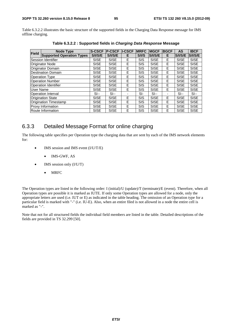Table 6.3.2.2 illustrates the basic structure of the supported fields in the Charging Data Response message for IMS offline charging.

| <b>Field</b>                | <b>Node Type</b>                 | <b>S-CSCF</b> | <b>P-CSCF II-CSCF</b> |   | <b>IMRFC</b> | <b>MGCF</b> | <b>BGCF</b> | <b>AS</b>      | <b>IBCF</b> |
|-----------------------------|----------------------------------|---------------|-----------------------|---|--------------|-------------|-------------|----------------|-------------|
|                             | <b>Supported Operation Types</b> | S/I/S/E       | S/I/S/E               | E | S/IS         | S/I/S/E     | Е           | <b>S/I/S/E</b> | S/I/S/E     |
|                             | <b>Session Identifier</b>        | <b>SISE</b>   | <b>SISE</b>           | E | <b>SIS</b>   | <b>SISE</b> | E           | <b>SISE</b>    | <b>SISE</b> |
|                             | <b>Originator Node</b>           | <b>SISE</b>   | <b>SISE</b>           | E | <b>SIS</b>   | <b>SISE</b> | E           | <b>SISE</b>    | <b>SISE</b> |
|                             | <b>Originator Domain</b>         | <b>SISE</b>   | <b>SISE</b>           | E | <b>SIS</b>   | <b>SISE</b> | Е           | <b>SISE</b>    | <b>SISE</b> |
|                             | Destination Domain               | <b>SISE</b>   | <b>SISE</b>           | E | <b>SIS</b>   | <b>SISE</b> | E           | <b>SISE</b>    | <b>SISE</b> |
| <b>Operation Type</b>       |                                  | <b>SISE</b>   | <b>SISE</b>           | E | <b>SIS</b>   | <b>SISE</b> | Е           | <b>SISE</b>    | <b>SISE</b> |
| <b>Operation Number</b>     |                                  | <b>SISE</b>   | <b>SISE</b>           | E | <b>SIS</b>   | <b>SISE</b> | E           | <b>SISE</b>    | <b>SISE</b> |
| <b>Operation Identifier</b> |                                  | <b>SISE</b>   | <b>SISE</b>           | E | <b>SIS</b>   | <b>SISE</b> | E           | <b>SISE</b>    | <b>SISE</b> |
| User Name                   |                                  | <b>SISE</b>   | <b>SISE</b>           | E | <b>SIS</b>   | <b>SISE</b> | E.          | <b>SISE</b>    | <b>SISE</b> |
|                             | <b>Operation Interval</b>        | $S$ --        | $SI -$                | ٠ | $SI-$        | $SI -$      | ٠           | $SI-$          | $SI -$      |
|                             | <b>Origination State</b>         | <b>SISE</b>   | <b>SISE</b>           | Е | <b>SIS</b>   | <b>SISE</b> | E           | <b>SISE</b>    | <b>SISE</b> |
|                             | Origination Timestamp            | <b>SISE</b>   | <b>SISE</b>           | E | <b>SIS</b>   | <b>SISE</b> | E           | <b>SISE</b>    | <b>SISE</b> |
| <b>Proxy Information</b>    |                                  | <b>SISE</b>   | <b>SISE</b>           | Е | <b>SIS</b>   | <b>SISE</b> | E           | <b>SISE</b>    | <b>SISE</b> |
| Route Information           |                                  | <b>SISE</b>   | <b>SISE</b>           | E | <b>SIS</b>   | <b>SISE</b> | E           | <b>SISE</b>    | <b>SISE</b> |

**Table 6.3.2.2 : Supported fields in** *Charging Data Response* **Message** 

## 6.3.3 Detailed Message Format for online charging

The following table specifies per Operation type the charging data that are sent by each of the IMS network elements for:

- IMS session and IMS event (I/U/T/E)
	- IMS-GWF, AS
- IMS session only (I/U/T)
	- MRFC

The Operation types are listed in the following order: I (initial)/U (update)/T (terminate)/E (event). Therefore, when all Operation types are possible it is marked as IUTE. If only some Operation types are allowed for a node, only the appropriate letters are used (i.e. IUT or E) as indicated in the table heading. The omission of an Operation type for a particular field is marked with "-" (i.e. IU-E). Also, when an entire filed is not allowed in a node the entire cell is marked as "-".

Note that not for all structured fields the individual field members are listed in the table. Detailed descriptions of the fields are provided in TS 32.299 [50].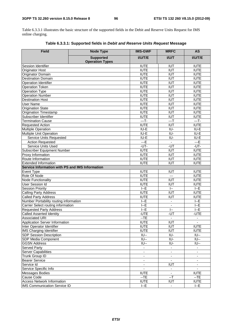Table 6.3.3.1 illustrates the basic structure of the supported fields in the Debit and Reserve Units Request for IMS online charging.

| <b>Field</b>                                    | <b>Node Type</b>                           | <b>IMS-GWF</b>                     | <b>MRFC</b>              | <b>AS</b>                                           |
|-------------------------------------------------|--------------------------------------------|------------------------------------|--------------------------|-----------------------------------------------------|
|                                                 | <b>Supported</b><br><b>Operation Types</b> | I/U/T/E                            | <b>I/U/T</b>             | I/U/T/E                                             |
| Session Identifier                              |                                            | <b>IUTE</b>                        | <b>IUT</b>               | <b>IUTE</b>                                         |
| <b>Originator Host</b>                          |                                            | <b>IUTE</b>                        | <b>IUT</b>               | <b>IUTE</b>                                         |
| Originator Domain                               |                                            | <b>IUTE</b>                        | $\overline{IUT}$         | <b>IUTE</b>                                         |
| <b>Destination Domain</b>                       |                                            | <b>IUTE</b>                        | <b>IUT</b>               | <b>IUTE</b>                                         |
| <b>Operation Identifier</b>                     |                                            | <b>IUTE</b>                        | <b>IUT</b>               | <b>IUTE</b>                                         |
| <b>Operation Token</b>                          |                                            | <b>IUTE</b>                        | <b>IUT</b>               | <b>IUTE</b>                                         |
| Operation Type                                  |                                            | <b>IUTE</b>                        | <b>IUT</b>               | <b>IUTE</b>                                         |
| <b>Operation Number</b>                         |                                            | <b>IUTE</b>                        | <b>IUT</b>               | <b>IUTE</b>                                         |
| <b>Destination Host</b>                         |                                            | <b>IUTE</b>                        | <b>IUT</b>               | <b>IUTE</b>                                         |
| <b>User Name</b>                                |                                            | <b>IUTE</b>                        | <b>IUT</b>               | <b>IUTE</b>                                         |
| <b>Origination State</b>                        |                                            | <b>IUTE</b>                        | <b>IUT</b>               | <b>IUTE</b>                                         |
| <b>Origination Timestamp</b>                    |                                            | <b>IUTE</b>                        | <b>IUT</b>               | <b>IUTE</b>                                         |
| Subscriber Identifier                           |                                            | <b>IUTE</b>                        | <b>IUT</b>               | <b>IUTE</b>                                         |
| <b>Termination Cause</b>                        |                                            | $-$ T-                             | $\overline{-1}$          | $-$ T-                                              |
| Requested Action                                |                                            | <b>IUTE</b>                        | $\overline{IUT}$         | <b>IUTE</b>                                         |
| <b>Multiple Operation</b>                       |                                            | $\overline{I U - E}$               | IU-                      | $\overline{I U - E}$                                |
| <b>Multiple Unit Operation</b>                  |                                            | IU-E                               | IU-                      | $\overline{I U - E}$                                |
| <b>Service Units Requested</b>                  |                                            | $\overline{I U - E}$               | IU-                      | $\overline{\mathsf{I} \mathsf{U} \cdot \mathsf{E}}$ |
| <b>Action Requested</b>                         |                                            | $- E$                              | ä,                       | $- E$                                               |
| Service Units Used                              |                                            | $-UT-$                             | $-\overline{UT}$         | $-UT -$                                             |
| Subscriber Equipment Number                     |                                            | <b>IUTE</b>                        | <b>IUT</b>               | <b>IUTE</b>                                         |
| Proxy Information                               |                                            | <b>IUTE</b>                        | <b>IUT</b>               | <b>IUTE</b>                                         |
| Route Information                               |                                            | <b>IUTE</b>                        | <b>IUT</b>               | <b>IUTE</b>                                         |
| <b>Extended Information</b>                     |                                            | <b>IUTE</b>                        | <b>IUT</b>               | <b>IUTE</b>                                         |
| Service Information with PS and IMS Information |                                            |                                    |                          |                                                     |
| Event Type                                      |                                            | <b>IUTE</b>                        | <b>IUT</b>               | <b>IUTE</b>                                         |
| Role Of Node                                    |                                            | <b>IUTE</b>                        | $\overline{a}$           | <b>IUTE</b>                                         |
| <b>Node Functionality</b>                       |                                            | <b>IUTE</b>                        | <b>IUT</b>               | <b>IUTE</b>                                         |
| <b>User Session Id</b>                          |                                            | <b>IUTE</b>                        | <b>IUT</b>               | <b>IUTE</b>                                         |
| <b>Session Priority</b>                         |                                            | $l - E$                            | $\left  - \right $       | $I - E$                                             |
| <b>Calling Party Address</b>                    |                                            | <b>IUTE</b>                        | <b>IUT</b>               | <b>IUTE</b>                                         |
| Called Party Address                            |                                            | <b>IUTE</b>                        | <b>IUT</b>               | <b>IUTE</b>                                         |
| Number Portability routing information          |                                            | $l - E$                            | $\blacksquare$           | $l - E$                                             |
| Carrier Select routing information              |                                            | $F-E$                              | $\blacksquare$           | $I - E$                                             |
| <b>Requested Party Address</b>                  |                                            | $I - E$                            | $\left  - - \right $     | $I - E$                                             |
| <b>Called Asserted Identity</b>                 |                                            | -UTE                               | -UT                      | -UTE                                                |
| <b>Associated URI</b>                           |                                            | $-TE$                              |                          |                                                     |
| <b>Application Server Information</b>           |                                            | <b>IUTE</b>                        | <b>IUT</b>               | $\blacksquare$                                      |
| Inter Operator Identifier                       |                                            | <b>IUTE</b>                        | <b>IUT</b>               | <b>IUTE</b>                                         |
| <b>IMS Charging Identifier</b>                  |                                            | <b>IUTE</b>                        | <b>IUT</b>               | <b>IUTE</b>                                         |
| <b>SDP Session Description</b>                  |                                            | IU--                               | IU-                      | <b>IU--</b>                                         |
| SDP Media Component                             |                                            | IU--                               | IU-                      | IU--                                                |
| <b>GGSN Address</b>                             |                                            | $\overline{\overline{\bigcup}}$ -- | IU-                      | $\overline{U}$                                      |
| <b>Served Party</b>                             |                                            | $\overline{\phantom{a}}$           | $\blacksquare$           | $\blacksquare$                                      |
| <b>Server Capabilities</b>                      |                                            | $\blacksquare$                     | ä,                       |                                                     |
| <b>Trunk Group ID</b>                           | $\blacksquare$                             | $\blacksquare$                     | $\overline{\phantom{a}}$ |                                                     |
| <b>Bearer Service</b>                           |                                            | $\overline{\phantom{a}}$           | $\overline{\phantom{a}}$ | -                                                   |
| Service Id                                      | $\overline{\phantom{a}}$                   | <b>IUT</b>                         | $\overline{\phantom{a}}$ |                                                     |
| Service Specific Info                           |                                            | $\blacksquare$                     | $\overline{\phantom{a}}$ |                                                     |
| <b>Messages Bodies</b>                          | <b>IUTE</b>                                | $\blacksquare$                     | <b>IUTE</b>              |                                                     |
| <b>Cause Code</b>                               | $-TE$                                      | --T                                | $-TE$                    |                                                     |
| <b>Access Network Information</b>               |                                            | <b>IUTE</b>                        | <b>IUT</b>               | <b>IUTE</b>                                         |
| <b>IMS Communication Service ID</b>             | $I - E$                                    |                                    | $I - E$                  |                                                     |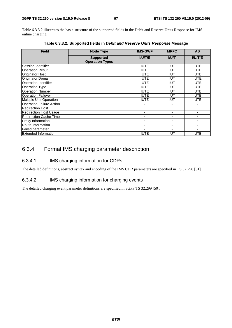Table 6.3.3.2 illustrates the basic structure of the supported fields in the Debit and Reserve Units Response for IMS online charging.

| <b>Field</b>                    | <b>Node Type</b>                           | <b>IMS-GWF</b>           | <b>MRFC</b>    | <b>AS</b>      |
|---------------------------------|--------------------------------------------|--------------------------|----------------|----------------|
|                                 | <b>Supported</b><br><b>Operation Types</b> | <b>I/U/T/E</b>           | <b>I/U/T</b>   | <b>I/U/T/E</b> |
| Session Identifier              |                                            | <b>IUTE</b>              | <b>IUT</b>     | <b>IUTE</b>    |
| <b>Operation Result</b>         |                                            | <b>IUTE</b>              | IUT            | <b>IUTE</b>    |
| <b>Originator Host</b>          |                                            | <b>IUTE</b>              | <b>IUT</b>     | <b>IUTE</b>    |
| Originator Domain               |                                            | <b>IUTE</b>              | <b>IUT</b>     | <b>IUTE</b>    |
| <b>Operation Identifier</b>     |                                            | <b>IUTE</b>              | IUT            | <b>IUTE</b>    |
| <b>Operation Type</b>           |                                            | <b>IUTE</b>              | IUT            | <b>IUTE</b>    |
| <b>Operation Number</b>         |                                            | <b>IUTE</b>              | <b>IUT</b>     | <b>IUTE</b>    |
| <b>Operation Failover</b>       |                                            | <b>IUTE</b>              | <b>IUT</b>     | <b>IUTE</b>    |
| <b>Multiple Unit Operation</b>  |                                            | <b>IUTE</b>              | <b>IUT</b>     | <b>IUTE</b>    |
| <b>Operation Failure Action</b> |                                            |                          |                |                |
| <b>Redirection Host</b>         |                                            |                          |                |                |
| <b>Redirection Host Usage</b>   |                                            | ٠                        |                |                |
| <b>Redirection Cache Time</b>   |                                            | $\overline{\phantom{a}}$ | $\blacksquare$ | ٠              |
| Proxy Information               |                                            | $\blacksquare$           | ۰              |                |
| Route Information               |                                            | $\overline{\phantom{0}}$ |                |                |
| Failed parameter                |                                            |                          |                |                |
| <b>Extended Information</b>     | <b>IUTE</b>                                | <b>IUT</b>               | <b>IUTE</b>    |                |

**Table 6.3.3.2: Supported fields in** *Debit and Reserve Units Response* **Message** 

## 6.3.4 Formal IMS charging parameter description

#### 6.3.4.1 IMS charging information for CDRs

The detailed definitions, abstract syntax and encoding of the IMS CDR parameters are specified in TS 32.298 [51].

#### 6.3.4.2 IMS charging information for charging events

The detailed charging event parameter definitions are specified in 3GPP TS 32.299 [50].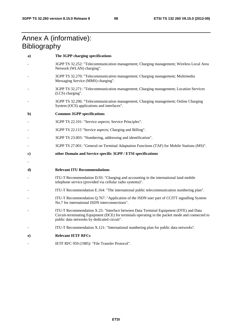# Annex A (informative): **Bibliography**

| a)           | The 3GPP charging specifications                                                                                                                                                                                                       |
|--------------|----------------------------------------------------------------------------------------------------------------------------------------------------------------------------------------------------------------------------------------|
|              | 3GPP TS 32.252: "Telecommunication management; Charging management; Wireless Local Area<br>Network (WLAN) charging".                                                                                                                   |
|              | 3GPP TS 32.270: "Telecommunication management; Charging management; Multimedia<br>Messaging Service (MMS) charging".                                                                                                                   |
|              | 3GPP TS 32.271: "Telecommunication management; Charging management; Location Services<br>(LCS) charging".                                                                                                                              |
|              | 3GPP TS 32.296: "Telecommunication management; Charging management; Online Charging<br>System (OCS) applications and interfaces".                                                                                                      |
| $\mathbf{b}$ | <b>Common 3GPP specifications</b>                                                                                                                                                                                                      |
|              | 3GPP TS 22.101: "Service aspects; Service Principles".                                                                                                                                                                                 |
|              | 3GPP TS 22.115 "Service aspects; Charging and Billing".                                                                                                                                                                                |
|              | 3GPP TS 23.003: "Numbering, addressing and identification".                                                                                                                                                                            |
|              | 3GPP TS 27.001: "General on Terminal Adaptation Functions (TAF) for Mobile Stations (MS)".                                                                                                                                             |
| C)           | other Domain and Service specific 3GPP / ETSI specifications                                                                                                                                                                           |
|              |                                                                                                                                                                                                                                        |
| d)           | <b>Relevant ITU Recommendations</b>                                                                                                                                                                                                    |
|              | ITU-T Recommendation D.93: "Charging and accounting in the international land mobile<br>telephone service (provided via cellular radio systems)".                                                                                      |
|              | ITU-T Recommendation E.164: "The international public telecommunication numbering plan".                                                                                                                                               |
|              | ITU-T Recommendation Q.767: "Application of the ISDN user part of CCITT signalling System<br>No.7 for international ISDN interconnections".                                                                                            |
|              | ITU-T Recommendation X.25: "Interface between Data Terminal Equipment (DTE) and Data<br>Circuit-terminating Equipment (DCE) for terminals operating in the packet mode and connected to<br>public data networks by dedicated circuit". |
|              | ITU-T Recommendation X.121: "International numbering plan for public data networks".                                                                                                                                                   |
| e)           | <b>Relevant IETF RFCs</b>                                                                                                                                                                                                              |
|              | IETF RFC 959 (1985): "File Transfer Protocol".                                                                                                                                                                                         |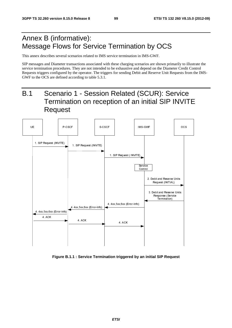# Annex B (informative): Message Flows for Service Termination by OCS

This annex describes several scenarios related to IMS service termination in IMS-GWF.

SIP messages and Diameter transactions associated with these charging scenarios are shown primarily to illustrate the service termination procedures. They are not intended to be exhaustive and depend on the Diameter Credit Control Requests triggers configured by the operator. The triggers for sending Debit and Reserve Unit Requests from the IMS-GWF to the OCS are defined according to table 5.3.1.

# B.1 Scenario 1 - Session Related (SCUR): Service Termination on reception of an initial SIP INVITE Request



**Figure B.1.1 : Service Termination triggered by an initial SIP Request**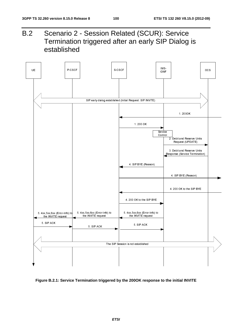B.2 Scenario 2 - Session Related (SCUR): Service Termination triggered after an early SIP Dialog is established



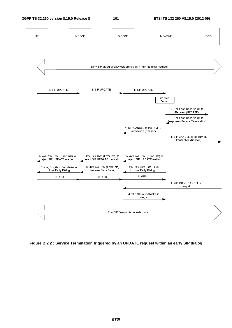

**Figure B.2.2 : Service Termination triggered by an UPDATE request within an early SIP dialog**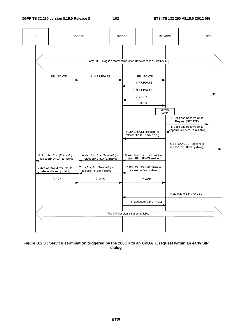

**Figure B.2.3 : Service Termination triggered by the 200OK to an UPDATE request within an early SIP dialog**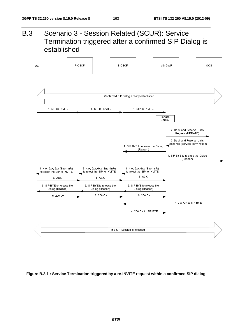B.3 Scenario 3 - Session Related (SCUR): Service Termination triggered after a confirmed SIP Dialog is established



#### **Figure B.3.1 : Service Termination triggered by a re-INVITE request within a confirmed SIP dialog**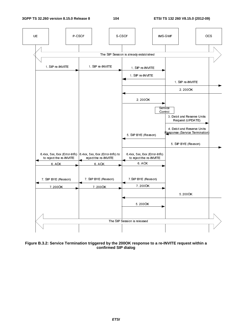

**Figure B.3.2: Service Termination triggered by the 200OK response to a re-INVITE request within a confirmed SIP dialog**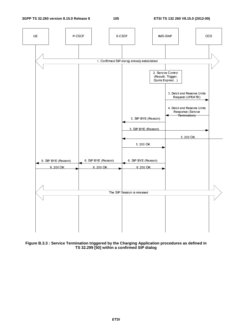

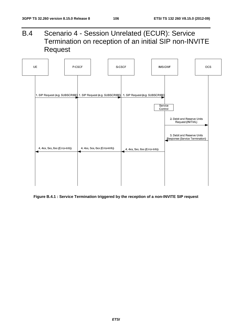B.4 Scenario 4 - Session Unrelated (ECUR): Service Termination on reception of an initial SIP non-INVITE Request



**Figure B.4.1 : Service Termination triggered by the reception of a non-INVITE SIP request**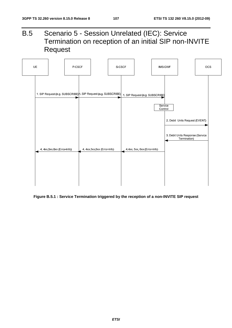B.5 Scenario 5 - Session Unrelated (IEC): Service Termination on reception of an initial SIP non-INVITE Request



**Figure B.5.1 : Service Termination triggered by the reception of a non-INVITE SIP request**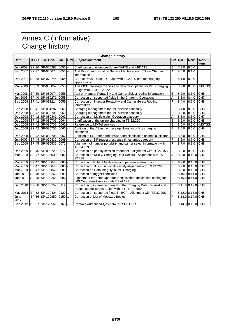## Annex C (informative): Change history

| <b>Change history</b> |  |                                          |            |                          |                                                                        |   |         |                   |                 |
|-----------------------|--|------------------------------------------|------------|--------------------------|------------------------------------------------------------------------|---|---------|-------------------|-----------------|
| <b>Date</b>           |  | TSG # TSG Doc.                           | <b>CR</b>  |                          | <b>Rev Subject/Comment</b>                                             |   | Cat Old | <b>New</b>        | <b>Work</b>     |
|                       |  |                                          |            |                          |                                                                        |   |         |                   | <b>Item</b>     |
|                       |  | Jun 2007 SP-36 SP-070292                 | 0051       | $\overline{\phantom{a}}$ | Clarification of unsuccessful re-INVITE and UPDATE                     | в | 7.3.0   | 8.0.0             |                 |
|                       |  | Sep 2007 SP-37 SP-070674 0053 --         |            |                          | Add IMS Communication Service Identification (ICSI) in Charging        | A | 8.0.0   | 8.1.0             |                 |
|                       |  |                                          |            |                          | information                                                            |   |         |                   |                 |
|                       |  | Dec 2007 SP-38 SP-070745 0054 --         |            |                          | Correct Private User ID - Align with 32.299 Diameter charging          | F | 8.1.0   | 8.2.0             |                 |
|                       |  |                                          |            |                          | applications                                                           |   |         |                   |                 |
| Mar 2008              |  | SP-39 SP-080059                          | $0055$   1 |                          | Add IBCF into stage 2 flows and data descriptions for IMS Charging     | B | 8.2.0   | 8.3.0             | <b>IMSTSS</b>   |
|                       |  |                                          |            |                          | - Align with 23.002, 23.228                                            |   |         |                   |                 |
|                       |  | Mar 2008   SP-39   SP-080074   0056   -- |            |                          | Add on Number Portability and Carrier Select routing information       | в | 8.2.0   | 8.3.0             | CH <sub>8</sub> |
| Jun 2008              |  | SP-40 SP-080271                          | 0058       | $\sim$                   | Correction on supported fields in the Charging Operations              | Α | 8.3.0   | 8.4.0             | CH <sub>7</sub> |
|                       |  | Sep 2008 SP-41 SP-081214 0059            |            | $\sim$                   | Correction on Number Portability and Carrier Select Routing            | F | 8.4.0   | 8.5.0             | CH <sub>8</sub> |
|                       |  |                                          |            |                          | Information                                                            |   |         |                   |                 |
|                       |  | Sep 2008 SP-41 SP-081287                 | 0060       | $\sim$                   | Charging management for IMS service continuity                         | B | 8.4.0   | 8.5.0             | CH <sub>8</sub> |
|                       |  | Dec 2008 SP-42 SP-080706 0063            |            |                          | Charging management for IMS service continuity                         | D | 8.5.0   | 8.6.0             | CH8             |
|                       |  | Dec 2008 SP-42 SP-080841                 | 0062       |                          | Correction on Multiple Unit Operation category                         | A | 8.5.0   | 8.6.0             | CH <sub>7</sub> |
|                       |  | Dec 2008   SP-42   SP-080706   0064      |            |                          | Clarification of the online charging in TS 32.260                      | B | 8.5.0   | 8.6.0             | CH8             |
|                       |  | Dec 2008 SP-42 SP-080707                 | 0065       |                          | Reference to MMTel services                                            | B | 8.5.0   | 8.6.0             | <b>IMSTSS</b>   |
| Dec 2008              |  | SP-42 SP-080706                          | 0066       |                          | Addition of the AS in the message flows for online charging            | B | 8.5.0   | 8.6.0             | CH <sub>8</sub> |
|                       |  |                                          |            |                          | scenarios                                                              |   |         |                   |                 |
|                       |  | Dec 2008 SP-42 SP-080706 0067            |            |                          | Addition of SDP offer and answer and clarification on media initiator  | B | 8.5.0   | 8.6.0             | CH8             |
| Jun 2009              |  | SP-44 SP-090432 0068                     |            |                          | Correction of SIP request/response timestamps category                 | F | 8.6.0   | 8.7.0             | CH8             |
|                       |  | Sep 2009 SP-45 SP-090536 0072 -          |            |                          | Alignment of number portability and carrier select information with    | F | 8.7.0   | 8.8.0             | CH8             |
|                       |  |                                          |            |                          | TS 24.229                                                              |   |         |                   |                 |
|                       |  | Dec 2009   SP-46   SP-090720   0077      |            |                          | Correction on priority session treatment – alignment with TS 22.153    | F | 8.8.0   | 8.9.0             | CH <sub>8</sub> |
| Mar 2010              |  | SP-47 SP-100039 0082                     |            |                          | Correction on MRFC Charging Data Record - Alignment with TS            | A | 8.9.0   | 8.10.0 CH7        |                 |
|                       |  |                                          |            |                          | 32.298                                                                 |   |         |                   |                 |
|                       |  | Mar 2010 SP-47 SP-100040 0085            |            | $\blacksquare$           | Correction of Role of Node charging parameter description              | F | 8.9.0   | 8.10.0 CH8        |                 |
|                       |  | Mar 2010 SP-47 SP-100040 0087            |            |                          | Correction of THIG functionality entity alignment with TS 24.229       | F | 8.9.0   | 8.10.0 CH8        |                 |
|                       |  | Mar 2010   SP-47   SP-100040   0089      |            |                          | Correction on Data integrity in IMS Charging                           | F | 8.9.0   | 8.10.0 CH8        |                 |
|                       |  | Jun 2010   SP-48   SP-100265   0095      |            |                          | Correction of trigger conditions                                       | F |         | 8.10.0 8.11.0     | CH <sub>8</sub> |
| Jun 2010              |  | SP-48 SP-100265 0096 -                   |            |                          | Alignement for "Inter Operator Identification" description setting for | F |         | 8.10.0 8.11.0 CH8 |                 |
|                       |  |                                          |            |                          | IMS Centralised service with TS 24.292                                 |   |         |                   |                 |
|                       |  | Dec 2010 SP-50 SP-100757 0112            |            |                          | Correction of Operation Interval in the Charging Data Request and      | F |         | 8.11.0 8.12.0 CH8 |                 |
|                       |  |                                          |            |                          | Response messages - Align with IETF RFC 3588                           |   |         |                   |                 |
|                       |  | May 2011   SP-52   SP-110404   0129   1  |            |                          | Correction on supported fileds in IBCF - Alignment with TS 32.298      | F |         | 8.12.0 8.13.0 CH8 |                 |
| June                  |  | SP-56 SP-120359 0150 1                   |            |                          | Correction of List of Message Bodies                                   | F |         | 8.13.0 8.14.0 CH8 |                 |
| 2012                  |  |                                          |            |                          |                                                                        |   |         |                   |                 |
|                       |  | Sep 2012   SP-57   SP-120561   0160   -  |            |                          | Remove Authorised-Qos from P-CSCF CDR                                  | F |         | 8.14.0 8.15.0 CH8 |                 |